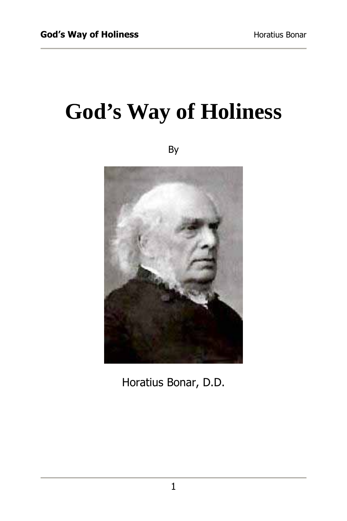# **God's Way of Holiness**

By



Horatius Bonar, D.D.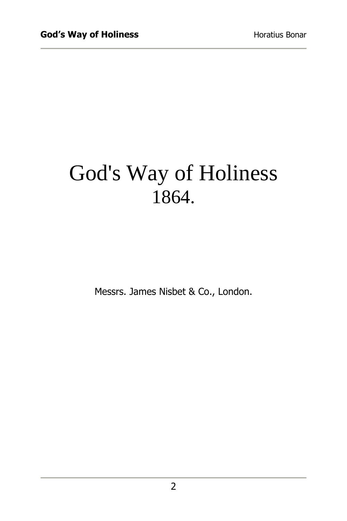# God's Way of Holiness 1864.

Messrs. James Nisbet & Co., London.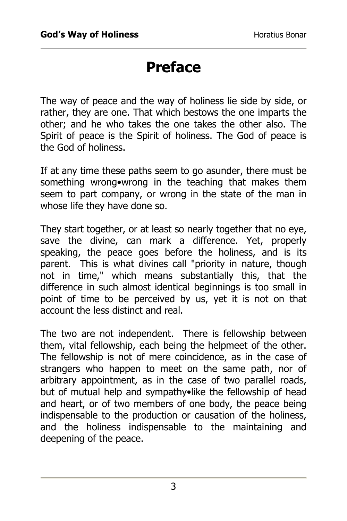### **Preface**

The way of peace and the way of holiness lie side by side, or rather, they are one. That which bestows the one imparts the other; and he who takes the one takes the other also. The Spirit of peace is the Spirit of holiness. The God of peace is the God of holiness.

If at any time these paths seem to go asunder, there must be something wrong•wrong in the teaching that makes them seem to part company, or wrong in the state of the man in whose life they have done so.

They start together, or at least so nearly together that no eye, save the divine, can mark a difference. Yet, properly speaking, the peace goes before the holiness, and is its parent. This is what divines call "priority in nature, though not in time," which means substantially this, that the difference in such almost identical beginnings is too small in point of time to be perceived by us, yet it is not on that account the less distinct and real.

The two are not independent. There is fellowship between them, vital fellowship, each being the helpmeet of the other. The fellowship is not of mere coincidence, as in the case of strangers who happen to meet on the same path, nor of arbitrary appointment, as in the case of two parallel roads, but of mutual help and sympathy•like the fellowship of head and heart, or of two members of one body, the peace being indispensable to the production or causation of the holiness, and the holiness indispensable to the maintaining and deepening of the peace.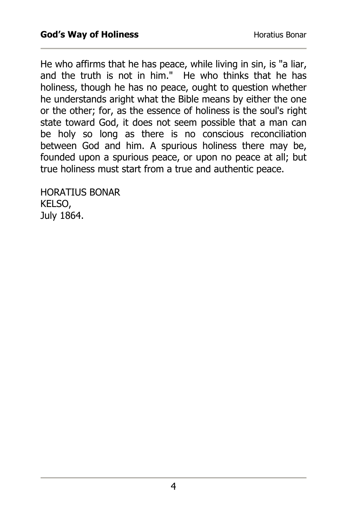He who affirms that he has peace, while living in sin, is "a liar, and the truth is not in him." He who thinks that he has holiness, though he has no peace, ought to question whether he understands aright what the Bible means by either the one or the other; for, as the essence of holiness is the soul's right state toward God, it does not seem possible that a man can be holy so long as there is no conscious reconciliation between God and him. A spurious holiness there may be, founded upon a spurious peace, or upon no peace at all; but true holiness must start from a true and authentic peace.

HORATIUS BONAR KELSO, July 1864.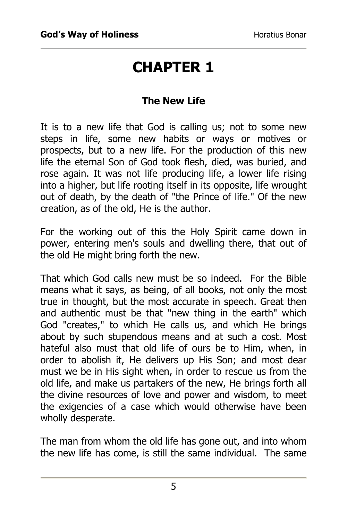# **CHAPTER 1**

#### **The New Life**

It is to a new life that God is calling us; not to some new steps in life, some new habits or ways or motives or prospects, but to a new life. For the production of this new life the eternal Son of God took flesh, died, was buried, and rose again. It was not life producing life, a lower life rising into a higher, but life rooting itself in its opposite, life wrought out of death, by the death of "the Prince of life." Of the new creation, as of the old, He is the author.

For the working out of this the Holy Spirit came down in power, entering men's souls and dwelling there, that out of the old He might bring forth the new.

That which God calls new must be so indeed. For the Bible means what it says, as being, of all books, not only the most true in thought, but the most accurate in speech. Great then and authentic must be that "new thing in the earth" which God "creates," to which He calls us, and which He brings about by such stupendous means and at such a cost. Most hateful also must that old life of ours be to Him, when, in order to abolish it, He delivers up His Son; and most dear must we be in His sight when, in order to rescue us from the old life, and make us partakers of the new, He brings forth all the divine resources of love and power and wisdom, to meet the exigencies of a case which would otherwise have been wholly desperate.

The man from whom the old life has gone out, and into whom the new life has come, is still the same individual. The same

5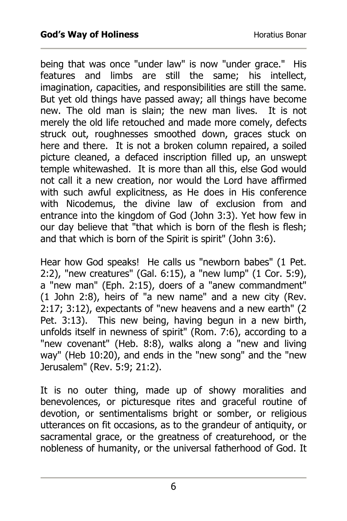being that was once "under law" is now "under grace." His features and limbs are still the same; his intellect, imagination, capacities, and responsibilities are still the same. But yet old things have passed away; all things have become new. The old man is slain; the new man lives. It is not merely the old life retouched and made more comely, defects struck out, roughnesses smoothed down, graces stuck on here and there. It is not a broken column repaired, a soiled picture cleaned, a defaced inscription filled up, an unswept temple whitewashed. It is more than all this, else God would not call it a new creation, nor would the Lord have affirmed with such awful explicitness, as He does in His conference with Nicodemus, the divine law of exclusion from and entrance into the kingdom of God (John 3:3). Yet how few in our day believe that "that which is born of the flesh is flesh; and that which is born of the Spirit is spirit" (John 3:6).

Hear how God speaks! He calls us "newborn babes" (1 Pet. 2:2), "new creatures" (Gal. 6:15), a "new lump" (1 Cor. 5:9), a "new man" (Eph. 2:15), doers of a "anew commandment" (1 John 2:8), heirs of "a new name" and a new city (Rev. 2:17; 3:12), expectants of "new heavens and a new earth" (2 Pet. 3:13). This new being, having begun in a new birth, unfolds itself in newness of spirit" (Rom. 7:6), according to a "new covenant" (Heb. 8:8), walks along a "new and living way" (Heb 10:20), and ends in the "new song" and the "new Jerusalem" (Rev. 5:9; 21:2).

It is no outer thing, made up of showy moralities and benevolences, or picturesque rites and graceful routine of devotion, or sentimentalisms bright or somber, or religious utterances on fit occasions, as to the grandeur of antiquity, or sacramental grace, or the greatness of creaturehood, or the nobleness of humanity, or the universal fatherhood of God. It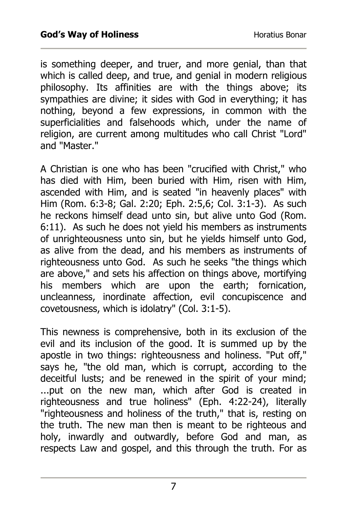is something deeper, and truer, and more genial, than that which is called deep, and true, and genial in modern religious philosophy. Its affinities are with the things above; its sympathies are divine; it sides with God in everything; it has nothing, beyond a few expressions, in common with the superficialities and falsehoods which, under the name of religion, are current among multitudes who call Christ "Lord" and "Master."

A Christian is one who has been "crucified with Christ," who has died with Him, been buried with Him, risen with Him, ascended with Him, and is seated "in heavenly places" with Him (Rom. 6:3-8; Gal. 2:20; Eph. 2:5,6; Col. 3:1-3). As such he reckons himself dead unto sin, but alive unto God (Rom. 6:11). As such he does not yield his members as instruments of unrighteousness unto sin, but he yields himself unto God, as alive from the dead, and his members as instruments of righteousness unto God. As such he seeks "the things which are above," and sets his affection on things above, mortifying his members which are upon the earth; fornication, uncleanness, inordinate affection, evil concupiscence and covetousness, which is idolatry" (Col. 3:1-5).

This newness is comprehensive, both in its exclusion of the evil and its inclusion of the good. It is summed up by the apostle in two things: righteousness and holiness. "Put off," says he, "the old man, which is corrupt, according to the deceitful lusts; and be renewed in the spirit of your mind; ...put on the new man, which after God is created in righteousness and true holiness" (Eph. 4:22-24), literally "righteousness and holiness of the truth," that is, resting on the truth. The new man then is meant to be righteous and holy, inwardly and outwardly, before God and man, as respects Law and gospel, and this through the truth. For as

7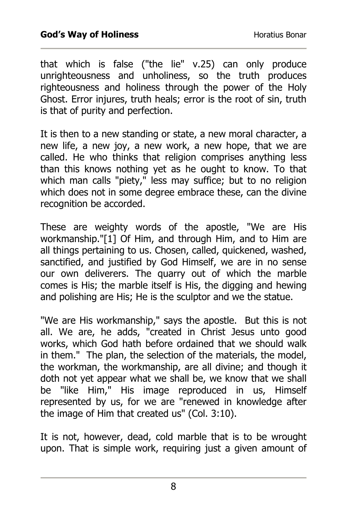that which is false ("the lie" v.25) can only produce unrighteousness and unholiness, so the truth produces righteousness and holiness through the power of the Holy Ghost. Error injures, truth heals; error is the root of sin, truth is that of purity and perfection.

It is then to a new standing or state, a new moral character, a new life, a new joy, a new work, a new hope, that we are called. He who thinks that religion comprises anything less than this knows nothing yet as he ought to know. To that which man calls "piety," less may suffice; but to no religion which does not in some degree embrace these, can the divine recognition be accorded.

These are weighty words of the apostle, "We are His workmanship."[1] Of Him, and through Him, and to Him are all things pertaining to us. Chosen, called, quickened, washed, sanctified, and justified by God Himself, we are in no sense our own deliverers. The quarry out of which the marble comes is His; the marble itself is His, the digging and hewing and polishing are His; He is the sculptor and we the statue.

"We are His workmanship," says the apostle. But this is not all. We are, he adds, "created in Christ Jesus unto good works, which God hath before ordained that we should walk in them." The plan, the selection of the materials, the model, the workman, the workmanship, are all divine; and though it doth not yet appear what we shall be, we know that we shall be "like Him," His image reproduced in us, Himself represented by us, for we are "renewed in knowledge after the image of Him that created us" (Col. 3:10).

It is not, however, dead, cold marble that is to be wrought upon. That is simple work, requiring just a given amount of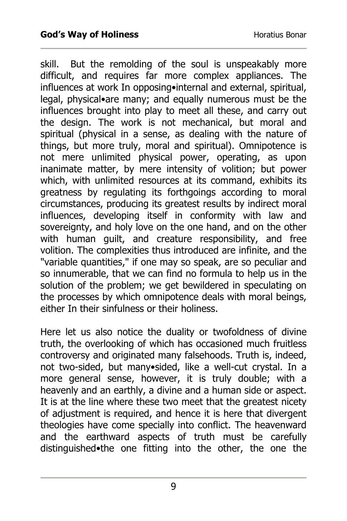skill. But the remolding of the soul is unspeakably more difficult, and requires far more complex appliances. The influences at work In opposing•internal and external, spiritual, legal, physical•are many; and equally numerous must be the influences brought into play to meet all these, and carry out the design. The work is not mechanical, but moral and spiritual (physical in a sense, as dealing with the nature of things, but more truly, moral and spiritual). Omnipotence is not mere unlimited physical power, operating, as upon inanimate matter, by mere intensity of volition; but power which, with unlimited resources at its command, exhibits its greatness by regulating its forthgoings according to moral circumstances, producing its greatest results by indirect moral influences, developing itself in conformity with law and sovereignty, and holy love on the one hand, and on the other with human guilt, and creature responsibility, and free volition. The complexities thus introduced are infinite, and the "variable quantities," if one may so speak, are so peculiar and so innumerable, that we can find no formula to help us in the solution of the problem; we get bewildered in speculating on the processes by which omnipotence deals with moral beings, either In their sinfulness or their holiness.

Here let us also notice the duality or twofoldness of divine truth, the overlooking of which has occasioned much fruitless controversy and originated many falsehoods. Truth is, indeed, not two-sided, but many•sided, like a well-cut crystal. In a more general sense, however, it is truly double; with a heavenly and an earthly, a divine and a human side or aspect. It is at the line where these two meet that the greatest nicety of adjustment is required, and hence it is here that divergent theologies have come specially into conflict. The heavenward and the earthward aspects of truth must be carefully distinguished•the one fitting into the other, the one the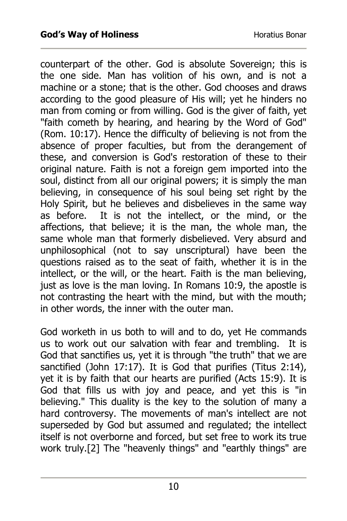counterpart of the other. God is absolute Sovereign; this is the one side. Man has volition of his own, and is not a machine or a stone; that is the other. God chooses and draws according to the good pleasure of His will; yet he hinders no man from coming or from willing. God is the giver of faith, yet "faith cometh by hearing, and hearing by the Word of God" (Rom. 10:17). Hence the difficulty of believing is not from the absence of proper faculties, but from the derangement of these, and conversion is God's restoration of these to their original nature. Faith is not a foreign gem imported into the soul, distinct from all our original powers; it is simply the man believing, in consequence of his soul being set right by the Holy Spirit, but he believes and disbelieves in the same way as before. It is not the intellect, or the mind, or the affections, that believe; it is the man, the whole man, the same whole man that formerly disbelieved. Very absurd and unphilosophical (not to say unscriptural) have been the questions raised as to the seat of faith, whether it is in the intellect, or the will, or the heart. Faith is the man believing, just as love is the man loving. In Romans 10:9, the apostle is not contrasting the heart with the mind, but with the mouth; in other words, the inner with the outer man.

God worketh in us both to will and to do, yet He commands us to work out our salvation with fear and trembling. It is God that sanctifies us, yet it is through "the truth" that we are sanctified (John 17:17). It is God that purifies (Titus 2:14), yet it is by faith that our hearts are purified (Acts 15:9). It is God that fills us with joy and peace, and yet this is "in believing." This duality is the key to the solution of many a hard controversy. The movements of man's intellect are not superseded by God but assumed and regulated; the intellect itself is not overborne and forced, but set free to work its true work truly.[2] The "heavenly things" and "earthly things" are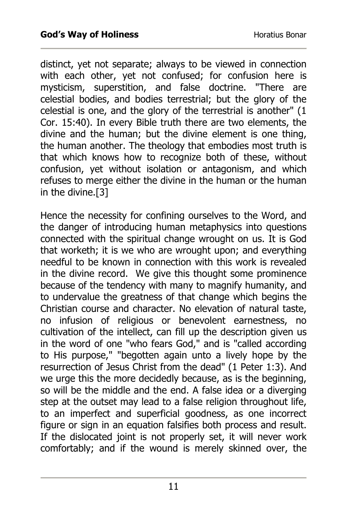distinct, yet not separate; always to be viewed in connection with each other, yet not confused; for confusion here is mysticism, superstition, and false doctrine. "There are celestial bodies, and bodies terrestrial; but the glory of the celestial is one, and the glory of the terrestrial is another" (1 Cor. 15:40). In every Bible truth there are two elements, the divine and the human; but the divine element is one thing, the human another. The theology that embodies most truth is that which knows how to recognize both of these, without confusion, yet without isolation or antagonism, and which refuses to merge either the divine in the human or the human in the divine.[3]

Hence the necessity for confining ourselves to the Word, and the danger of introducing human metaphysics into questions connected with the spiritual change wrought on us. It is God that worketh; it is we who are wrought upon; and everything needful to be known in connection with this work is revealed in the divine record. We give this thought some prominence because of the tendency with many to magnify humanity, and to undervalue the greatness of that change which begins the Christian course and character. No elevation of natural taste, no infusion of religious or benevolent earnestness, no cultivation of the intellect, can fill up the description given us in the word of one "who fears God," and is "called according to His purpose," "begotten again unto a lively hope by the resurrection of Jesus Christ from the dead" (1 Peter 1:3). And we urge this the more decidedly because, as is the beginning, so will be the middle and the end. A false idea or a diverging step at the outset may lead to a false religion throughout life, to an imperfect and superficial goodness, as one incorrect figure or sign in an equation falsifies both process and result. If the dislocated joint is not properly set, it will never work comfortably; and if the wound is merely skinned over, the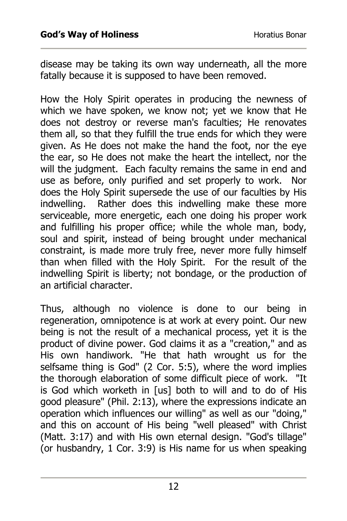disease may be taking its own way underneath, all the more fatally because it is supposed to have been removed.

How the Holy Spirit operates in producing the newness of which we have spoken, we know not; yet we know that He does not destroy or reverse man's faculties; He renovates them all, so that they fulfill the true ends for which they were given. As He does not make the hand the foot, nor the eye the ear, so He does not make the heart the intellect, nor the will the judgment. Each faculty remains the same in end and use as before, only purified and set properly to work. Nor does the Holy Spirit supersede the use of our faculties by His indwelling. Rather does this indwelling make these more serviceable, more energetic, each one doing his proper work and fulfilling his proper office; while the whole man, body, soul and spirit, instead of being brought under mechanical constraint, is made more truly free, never more fully himself than when filled with the Holy Spirit. For the result of the indwelling Spirit is liberty; not bondage, or the production of an artificial character.

Thus, although no violence is done to our being in regeneration, omnipotence is at work at every point. Our new being is not the result of a mechanical process, yet it is the product of divine power. God claims it as a "creation," and as His own handiwork. "He that hath wrought us for the selfsame thing is God" (2 Cor. 5:5), where the word implies the thorough elaboration of some difficult piece of work. "It is God which worketh in [us] both to will and to do of His good pleasure" (Phil. 2:13), where the expressions indicate an operation which influences our willing" as well as our "doing," and this on account of His being "well pleased" with Christ (Matt. 3:17) and with His own eternal design. "God's tillage" (or husbandry, 1 Cor. 3:9) is His name for us when speaking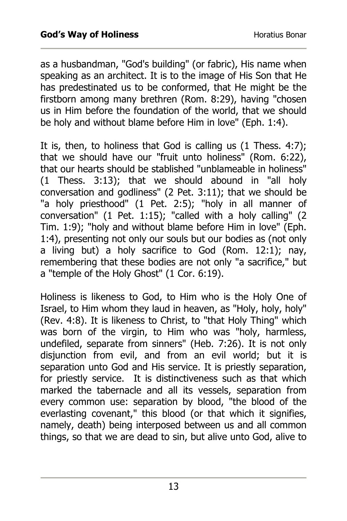as a husbandman, "God's building" (or fabric), His name when speaking as an architect. It is to the image of His Son that He has predestinated us to be conformed, that He might be the firstborn among many brethren (Rom. 8:29), having "chosen us in Him before the foundation of the world, that we should be holy and without blame before Him in love" (Eph. 1:4).

It is, then, to holiness that God is calling us (1 Thess. 4:7); that we should have our "fruit unto holiness" (Rom. 6:22), that our hearts should be stablished "unblameable in holiness" (1 Thess. 3:13); that we should abound in "all holy conversation and godliness" (2 Pet. 3:11); that we should be "a holy priesthood" (1 Pet. 2:5); "holy in all manner of conversation" (1 Pet. 1:15); "called with a holy calling" (2 Tim. 1:9); "holy and without blame before Him in love" (Eph. 1:4), presenting not only our souls but our bodies as (not only a living but) a holy sacrifice to God (Rom. 12:1); nay, remembering that these bodies are not only "a sacrifice," but a "temple of the Holy Ghost" (1 Cor. 6:19).

Holiness is likeness to God, to Him who is the Holy One of Israel, to Him whom they laud in heaven, as "Holy, holy, holy" (Rev. 4:8). It is likeness to Christ, to "that Holy Thing" which was born of the virgin, to Him who was "holy, harmless, undefiled, separate from sinners" (Heb. 7:26). It is not only disjunction from evil, and from an evil world; but it is separation unto God and His service. It is priestly separation, for priestly service. It is distinctiveness such as that which marked the tabernacle and all its vessels, separation from every common use: separation by blood, "the blood of the everlasting covenant," this blood (or that which it signifies, namely, death) being interposed between us and all common things, so that we are dead to sin, but alive unto God, alive to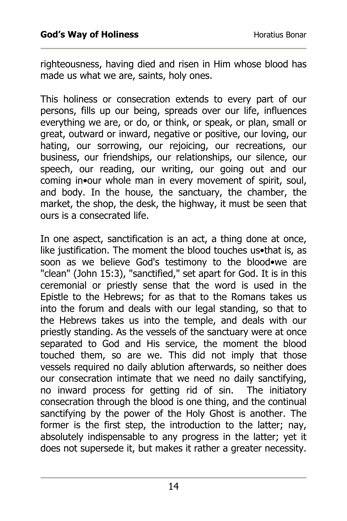righteousness, having died and risen in Him whose blood has made us what we are, saints, holy ones.

This holiness or consecration extends to every part of our persons, fills up our being, spreads over our life, influences everything we are, or do, or think, or speak, or plan, small or great, outward or inward, negative or positive, our loving, our hating, our sorrowing, our rejoicing, our recreations, our business, our friendships, our relationships, our silence, our speech, our reading, our writing, our going out and our coming in•our whole man in every movement of spirit, soul, and body. In the house, the sanctuary, the chamber, the market, the shop, the desk, the highway, it must be seen that ours is a consecrated life.

In one aspect, sanctification is an act, a thing done at once, like justification. The moment the blood touches us•that is, as soon as we believe God's testimony to the blood•we are "clean" (John 15:3), "sanctified," set apart for God. It is in this ceremonial or priestly sense that the word is used in the Epistle to the Hebrews; for as that to the Romans takes us into the forum and deals with our legal standing, so that to the Hebrews takes us into the temple, and deals with our priestly standing. As the vessels of the sanctuary were at once separated to God and His service, the moment the blood touched them, so are we. This did not imply that those vessels required no daily ablution afterwards, so neither does our consecration intimate that we need no daily sanctifying, no inward process for getting rid of sin. The initiatory consecration through the blood is one thing, and the continual sanctifying by the power of the Holy Ghost is another. The former is the first step, the introduction to the latter; nay, absolutely indispensable to any progress in the latter; yet it does not supersede it, but makes it rather a greater necessity.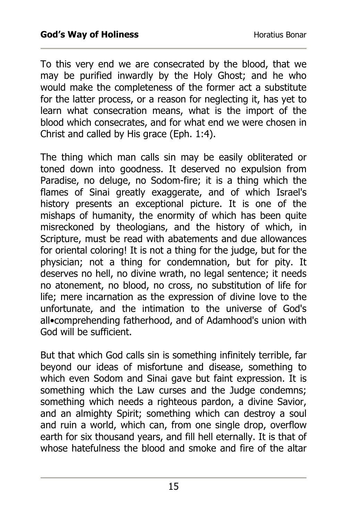To this very end we are consecrated by the blood, that we may be purified inwardly by the Holy Ghost; and he who would make the completeness of the former act a substitute for the latter process, or a reason for neglecting it, has yet to learn what consecration means, what is the import of the blood which consecrates, and for what end we were chosen in Christ and called by His grace (Eph. 1:4).

The thing which man calls sin may be easily obliterated or toned down into goodness. It deserved no expulsion from Paradise, no deluge, no Sodom-fire; it is a thing which the flames of Sinai greatly exaggerate, and of which Israel's history presents an exceptional picture. It is one of the mishaps of humanity, the enormity of which has been quite misreckoned by theologians, and the history of which, in Scripture, must be read with abatements and due allowances for oriental coloring! It is not a thing for the judge, but for the physician; not a thing for condemnation, but for pity. It deserves no hell, no divine wrath, no legal sentence; it needs no atonement, no blood, no cross, no substitution of life for life; mere incarnation as the expression of divine love to the unfortunate, and the intimation to the universe of God's all•comprehending fatherhood, and of Adamhood's union with God will be sufficient.

But that which God calls sin is something infinitely terrible, far beyond our ideas of misfortune and disease, something to which even Sodom and Sinai gave but faint expression. It is something which the Law curses and the Judge condemns; something which needs a righteous pardon, a divine Savior, and an almighty Spirit; something which can destroy a soul and ruin a world, which can, from one single drop, overflow earth for six thousand years, and fill hell eternally. It is that of whose hatefulness the blood and smoke and fire of the altar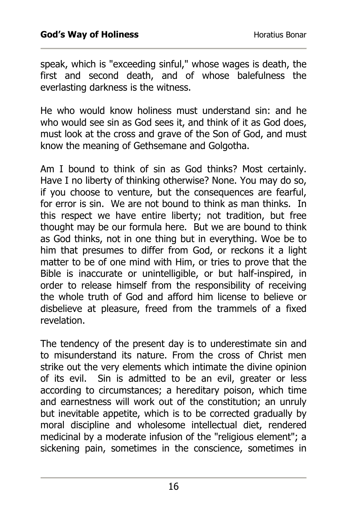speak, which is "exceeding sinful," whose wages is death, the first and second death, and of whose balefulness the everlasting darkness is the witness.

He who would know holiness must understand sin: and he who would see sin as God sees it, and think of it as God does, must look at the cross and grave of the Son of God, and must know the meaning of Gethsemane and Golgotha.

Am I bound to think of sin as God thinks? Most certainly. Have I no liberty of thinking otherwise? None. You may do so, if you choose to venture, but the consequences are fearful, for error is sin. We are not bound to think as man thinks. In this respect we have entire liberty; not tradition, but free thought may be our formula here. But we are bound to think as God thinks, not in one thing but in everything. Woe be to him that presumes to differ from God, or reckons it a light matter to be of one mind with Him, or tries to prove that the Bible is inaccurate or unintelligible, or but half-inspired, in order to release himself from the responsibility of receiving the whole truth of God and afford him license to believe or disbelieve at pleasure, freed from the trammels of a fixed revelation.

The tendency of the present day is to underestimate sin and to misunderstand its nature. From the cross of Christ men strike out the very elements which intimate the divine opinion of its evil. Sin is admitted to be an evil, greater or less according to circumstances; a hereditary poison, which time and earnestness will work out of the constitution; an unruly but inevitable appetite, which is to be corrected gradually by moral discipline and wholesome intellectual diet, rendered medicinal by a moderate infusion of the "religious element"; a sickening pain, sometimes in the conscience, sometimes in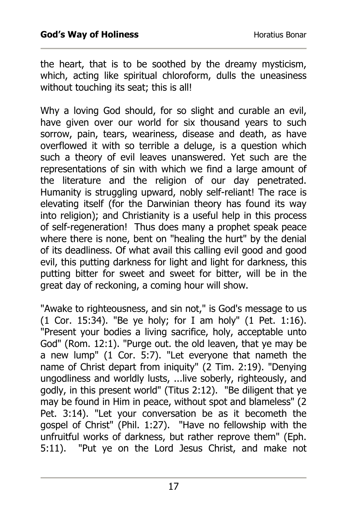the heart, that is to be soothed by the dreamy mysticism, which, acting like spiritual chloroform, dulls the uneasiness without touching its seat; this is all!

Why a loving God should, for so slight and curable an evil, have given over our world for six thousand years to such sorrow, pain, tears, weariness, disease and death, as have overflowed it with so terrible a deluge, is a question which such a theory of evil leaves unanswered. Yet such are the representations of sin with which we find a large amount of the literature and the religion of our day penetrated. Humanity is struggling upward, nobly self-reliant! The race is elevating itself (for the Darwinian theory has found its way into religion); and Christianity is a useful help in this process of self-regeneration! Thus does many a prophet speak peace where there is none, bent on "healing the hurt" by the denial of its deadliness. Of what avail this calling evil good and good evil, this putting darkness for light and light for darkness, this putting bitter for sweet and sweet for bitter, will be in the great day of reckoning, a coming hour will show.

"Awake to righteousness, and sin not," is God's message to us (1 Cor. 15:34). "Be ye holy; for I am holy" (1 Pet. 1:16). "Present your bodies a living sacrifice, holy, acceptable unto God" (Rom. 12:1). "Purge out. the old leaven, that ye may be a new lump" (1 Cor. 5:7). "Let everyone that nameth the name of Christ depart from iniquity" (2 Tim. 2:19). "Denying ungodliness and worldly lusts, ...live soberly, righteously, and godly, in this present world" (Titus 2:12). "Be diligent that ye may be found in Him in peace, without spot and blameless" (2 Pet. 3:14). "Let your conversation be as it becometh the gospel of Christ" (Phil. 1:27). "Have no fellowship with the unfruitful works of darkness, but rather reprove them" (Eph. 5:11). "Put ye on the Lord Jesus Christ, and make not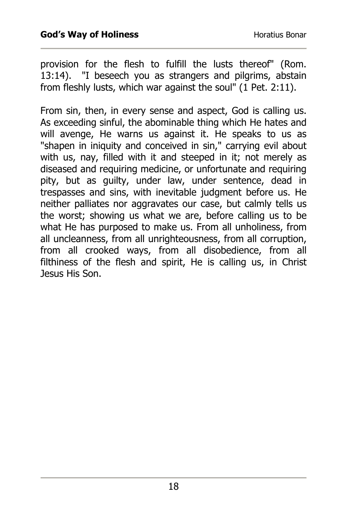provision for the flesh to fulfill the lusts thereof" (Rom. 13:14). "I beseech you as strangers and pilgrims, abstain from fleshly lusts, which war against the soul" (1 Pet. 2:11).

From sin, then, in every sense and aspect, God is calling us. As exceeding sinful, the abominable thing which He hates and will avenge, He warns us against it. He speaks to us as "shapen in iniquity and conceived in sin," carrying evil about with us, nay, filled with it and steeped in it; not merely as diseased and requiring medicine, or unfortunate and requiring pity, but as guilty, under law, under sentence, dead in trespasses and sins, with inevitable judgment before us. He neither palliates nor aggravates our case, but calmly tells us the worst; showing us what we are, before calling us to be what He has purposed to make us. From all unholiness, from all uncleanness, from all unrighteousness, from all corruption, from all crooked ways, from all disobedience, from all filthiness of the flesh and spirit, He is calling us, in Christ Jesus His Son.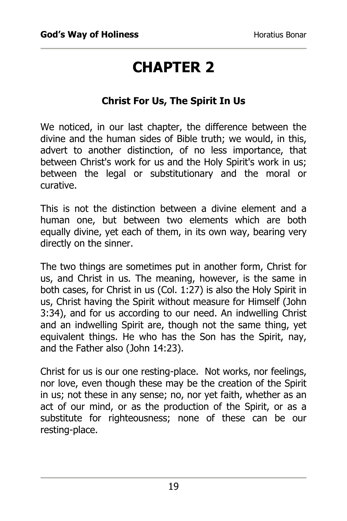# **CHAPTER 2**

#### **Christ For Us, The Spirit In Us**

We noticed, in our last chapter, the difference between the divine and the human sides of Bible truth; we would, in this, advert to another distinction, of no less importance, that between Christ's work for us and the Holy Spirit's work in us; between the legal or substitutionary and the moral or curative.

This is not the distinction between a divine element and a human one, but between two elements which are both equally divine, yet each of them, in its own way, bearing very directly on the sinner.

The two things are sometimes put in another form, Christ for us, and Christ in us. The meaning, however, is the same in both cases, for Christ in us (Col. 1:27) is also the Holy Spirit in us, Christ having the Spirit without measure for Himself (John 3:34), and for us according to our need. An indwelling Christ and an indwelling Spirit are, though not the same thing, yet equivalent things. He who has the Son has the Spirit, nay, and the Father also (John 14:23).

Christ for us is our one resting-place. Not works, nor feelings, nor love, even though these may be the creation of the Spirit in us; not these in any sense; no, nor yet faith, whether as an act of our mind, or as the production of the Spirit, or as a substitute for righteousness; none of these can be our resting-place.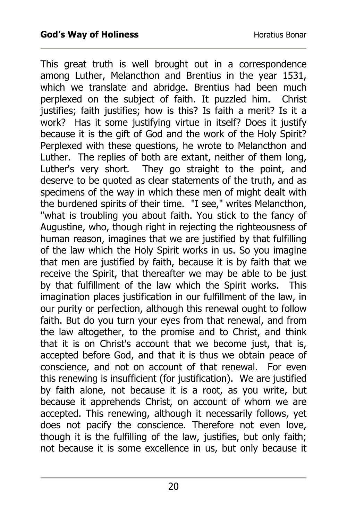This great truth is well brought out in a correspondence among Luther, Melancthon and Brentius in the year 1531, which we translate and abridge. Brentius had been much perplexed on the subject of faith. It puzzled him. Christ justifies; faith justifies; how is this? Is faith a merit? Is it a work? Has it some justifying virtue in itself? Does it justify because it is the gift of God and the work of the Holy Spirit? Perplexed with these questions, he wrote to Melancthon and Luther. The replies of both are extant, neither of them long, Luther's very short. They go straight to the point, and deserve to be quoted as clear statements of the truth, and as specimens of the way in which these men of might dealt with the burdened spirits of their time. "I see," writes Melancthon, "what is troubling you about faith. You stick to the fancy of Augustine, who, though right in rejecting the righteousness of human reason, imagines that we are justified by that fulfilling of the law which the Holy Spirit works in us. So you imagine that men are justified by faith, because it is by faith that we receive the Spirit, that thereafter we may be able to be just by that fulfillment of the law which the Spirit works. This imagination places justification in our fulfillment of the law, in our purity or perfection, although this renewal ought to follow faith. But do you turn your eyes from that renewal, and from the law altogether, to the promise and to Christ, and think that it is on Christ's account that we become just, that is, accepted before God, and that it is thus we obtain peace of conscience, and not on account of that renewal. For even this renewing is insufficient (for justification). We are justified by faith alone, not because it is a root, as you write, but because it apprehends Christ, on account of whom we are accepted. This renewing, although it necessarily follows, yet does not pacify the conscience. Therefore not even love, though it is the fulfilling of the law, justifies, but only faith; not because it is some excellence in us, but only because it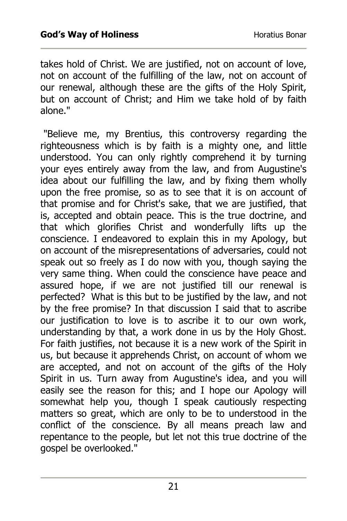takes hold of Christ. We are justified, not on account of love, not on account of the fulfilling of the law, not on account of our renewal, although these are the gifts of the Holy Spirit, but on account of Christ; and Him we take hold of by faith alone<sup>"</sup>

 "Believe me, my Brentius, this controversy regarding the righteousness which is by faith is a mighty one, and little understood. You can only rightly comprehend it by turning your eyes entirely away from the law, and from Augustine's idea about our fulfilling the law, and by fixing them wholly upon the free promise, so as to see that it is on account of that promise and for Christ's sake, that we are justified, that is, accepted and obtain peace. This is the true doctrine, and that which glorifies Christ and wonderfully lifts up the conscience. I endeavored to explain this in my Apology, but on account of the misrepresentations of adversaries, could not speak out so freely as I do now with you, though saying the very same thing. When could the conscience have peace and assured hope, if we are not justified till our renewal is perfected? What is this but to be justified by the law, and not by the free promise? In that discussion I said that to ascribe our justification to love is to ascribe it to our own work, understanding by that, a work done in us by the Holy Ghost. For faith justifies, not because it is a new work of the Spirit in us, but because it apprehends Christ, on account of whom we are accepted, and not on account of the gifts of the Holy Spirit in us. Turn away from Augustine's idea, and you will easily see the reason for this; and I hope our Apology will somewhat help you, though I speak cautiously respecting matters so great, which are only to be to understood in the conflict of the conscience. By all means preach law and repentance to the people, but let not this true doctrine of the gospel be overlooked."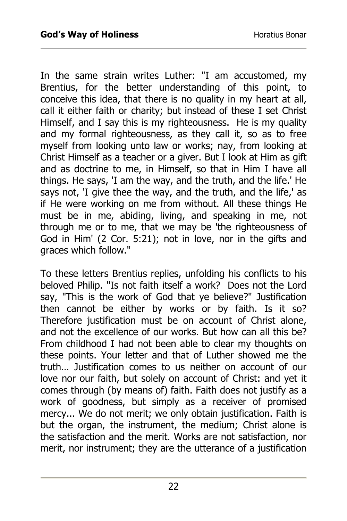In the same strain writes Luther: "I am accustomed, my Brentius, for the better understanding of this point, to conceive this idea, that there is no quality in my heart at all, call it either faith or charity; but instead of these I set Christ Himself, and I say this is my righteousness. He is my quality and my formal righteousness, as they call it, so as to free myself from looking unto law or works; nay, from looking at Christ Himself as a teacher or a giver. But I look at Him as gift and as doctrine to me, in Himself, so that in Him I have all things. He says, 'I am the way, and the truth, and the life.' He says not, 'I give thee the way, and the truth, and the life,' as if He were working on me from without. All these things He must be in me, abiding, living, and speaking in me, not through me or to me, that we may be 'the righteousness of God in Him' (2 Cor. 5:21); not in love, nor in the gifts and graces which follow."

To these letters Brentius replies, unfolding his conflicts to his beloved Philip. "Is not faith itself a work? Does not the Lord say, "This is the work of God that ye believe?" Justification then cannot be either by works or by faith. Is it so? Therefore justification must be on account of Christ alone, and not the excellence of our works. But how can all this be? From childhood I had not been able to clear my thoughts on these points. Your letter and that of Luther showed me the truth… Justification comes to us neither on account of our love nor our faith, but solely on account of Christ: and yet it comes through (by means of) faith. Faith does not justify as a work of goodness, but simply as a receiver of promised mercy... We do not merit; we only obtain justification. Faith is but the organ, the instrument, the medium; Christ alone is the satisfaction and the merit. Works are not satisfaction, nor merit, nor instrument; they are the utterance of a justification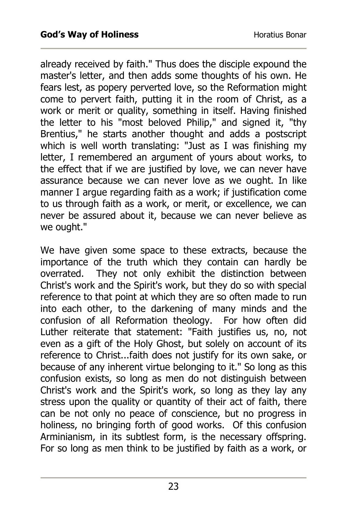already received by faith." Thus does the disciple expound the master's letter, and then adds some thoughts of his own. He fears lest, as popery perverted love, so the Reformation might come to pervert faith, putting it in the room of Christ, as a work or merit or quality, something in itself. Having finished the letter to his "most beloved Philip," and signed it, "thy Brentius," he starts another thought and adds a postscript which is well worth translating: "Just as I was finishing my letter, I remembered an argument of yours about works, to the effect that if we are justified by love, we can never have assurance because we can never love as we ought. In like manner I argue regarding faith as a work; if justification come to us through faith as a work, or merit, or excellence, we can never be assured about it, because we can never believe as we ought."

We have given some space to these extracts, because the importance of the truth which they contain can hardly be overrated. They not only exhibit the distinction between Christ's work and the Spirit's work, but they do so with special reference to that point at which they are so often made to run into each other, to the darkening of many minds and the confusion of all Reformation theology. For how often did Luther reiterate that statement: "Faith justifies us, no, not even as a gift of the Holy Ghost, but solely on account of its reference to Christ...faith does not justify for its own sake, or because of any inherent virtue belonging to it." So long as this confusion exists, so long as men do not distinguish between Christ's work and the Spirit's work, so long as they lay any stress upon the quality or quantity of their act of faith, there can be not only no peace of conscience, but no progress in holiness, no bringing forth of good works. Of this confusion Arminianism, in its subtlest form, is the necessary offspring. For so long as men think to be justified by faith as a work, or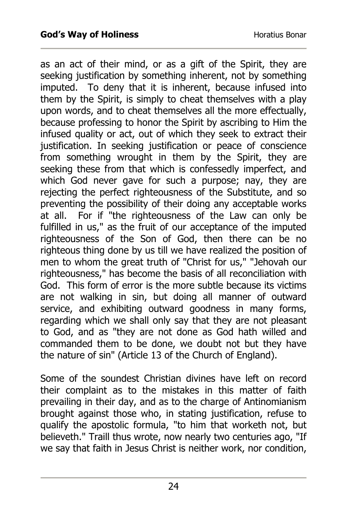as an act of their mind, or as a gift of the Spirit, they are seeking justification by something inherent, not by something imputed. To deny that it is inherent, because infused into them by the Spirit, is simply to cheat themselves with a play upon words, and to cheat themselves all the more effectually, because professing to honor the Spirit by ascribing to Him the infused quality or act, out of which they seek to extract their justification. In seeking justification or peace of conscience from something wrought in them by the Spirit, they are seeking these from that which is confessedly imperfect, and which God never gave for such a purpose; nay, they are rejecting the perfect righteousness of the Substitute, and so preventing the possibility of their doing any acceptable works at all. For if "the righteousness of the Law can only be fulfilled in us," as the fruit of our acceptance of the imputed righteousness of the Son of God, then there can be no righteous thing done by us till we have realized the position of men to whom the great truth of "Christ for us," "Jehovah our righteousness," has become the basis of all reconciliation with God. This form of error is the more subtle because its victims are not walking in sin, but doing all manner of outward service, and exhibiting outward goodness in many forms, regarding which we shall only say that they are not pleasant to God, and as "they are not done as God hath willed and commanded them to be done, we doubt not but they have the nature of sin" (Article 13 of the Church of England).

Some of the soundest Christian divines have left on record their complaint as to the mistakes in this matter of faith prevailing in their day, and as to the charge of Antinomianism brought against those who, in stating justification, refuse to qualify the apostolic formula, "to him that worketh not, but believeth." Traill thus wrote, now nearly two centuries ago, "If we say that faith in Jesus Christ is neither work, nor condition,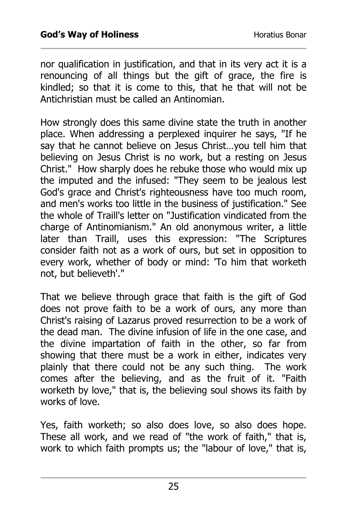nor qualification in justification, and that in its very act it is a renouncing of all things but the gift of grace, the fire is kindled; so that it is come to this, that he that will not be Antichristian must be called an Antinomian.

How strongly does this same divine state the truth in another place. When addressing a perplexed inquirer he says, "If he say that he cannot believe on Jesus Christ…you tell him that believing on Jesus Christ is no work, but a resting on Jesus Christ." How sharply does he rebuke those who would mix up the imputed and the infused: "They seem to be jealous lest God's grace and Christ's righteousness have too much room, and men's works too little in the business of justification." See the whole of Traill's letter on "Justification vindicated from the charge of Antinomianism." An old anonymous writer, a little later than Traill, uses this expression: "The Scriptures consider faith not as a work of ours, but set in opposition to every work, whether of body or mind: 'To him that worketh not, but believeth'."

That we believe through grace that faith is the gift of God does not prove faith to be a work of ours, any more than Christ's raising of Lazarus proved resurrection to be a work of the dead man. The divine infusion of life in the one case, and the divine impartation of faith in the other, so far from showing that there must be a work in either, indicates very plainly that there could not be any such thing. The work comes after the believing, and as the fruit of it. "Faith worketh by love," that is, the believing soul shows its faith by works of love.

Yes, faith worketh; so also does love, so also does hope. These all work, and we read of "the work of faith," that is, work to which faith prompts us; the "labour of love," that is,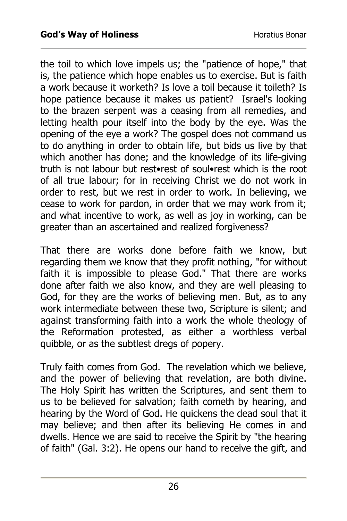the toil to which love impels us; the "patience of hope," that is, the patience which hope enables us to exercise. But is faith a work because it worketh? Is love a toil because it toileth? Is hope patience because it makes us patient? Israel's looking to the brazen serpent was a ceasing from all remedies, and letting health pour itself into the body by the eye. Was the opening of the eye a work? The gospel does not command us to do anything in order to obtain life, but bids us live by that which another has done; and the knowledge of its life-giving truth is not labour but rest•rest of soul•rest which is the root of all true labour; for in receiving Christ we do not work in order to rest, but we rest in order to work. In believing, we cease to work for pardon, in order that we may work from it; and what incentive to work, as well as joy in working, can be greater than an ascertained and realized forgiveness?

That there are works done before faith we know, but regarding them we know that they profit nothing, "for without faith it is impossible to please God." That there are works done after faith we also know, and they are well pleasing to God, for they are the works of believing men. But, as to any work intermediate between these two, Scripture is silent; and against transforming faith into a work the whole theology of the Reformation protested, as either a worthless verbal quibble, or as the subtlest dregs of popery.

Truly faith comes from God. The revelation which we believe, and the power of believing that revelation, are both divine. The Holy Spirit has written the Scriptures, and sent them to us to be believed for salvation; faith cometh by hearing, and hearing by the Word of God. He quickens the dead soul that it may believe; and then after its believing He comes in and dwells. Hence we are said to receive the Spirit by "the hearing of faith" (Gal. 3:2). He opens our hand to receive the gift, and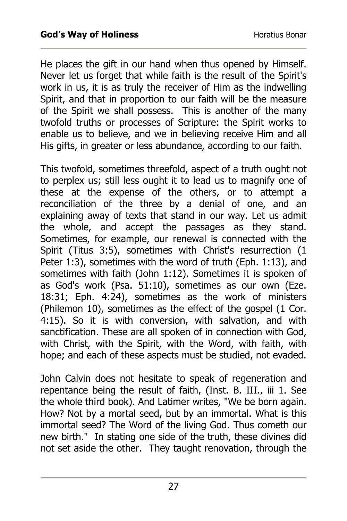He places the gift in our hand when thus opened by Himself. Never let us forget that while faith is the result of the Spirit's work in us, it is as truly the receiver of Him as the indwelling Spirit, and that in proportion to our faith will be the measure of the Spirit we shall possess. This is another of the many twofold truths or processes of Scripture: the Spirit works to enable us to believe, and we in believing receive Him and all His gifts, in greater or less abundance, according to our faith.

This twofold, sometimes threefold, aspect of a truth ought not to perplex us; still less ought it to lead us to magnify one of these at the expense of the others, or to attempt a reconciliation of the three by a denial of one, and an explaining away of texts that stand in our way. Let us admit the whole, and accept the passages as they stand. Sometimes, for example, our renewal is connected with the Spirit (Titus 3:5), sometimes with Christ's resurrection (1 Peter 1:3), sometimes with the word of truth (Eph. 1:13), and sometimes with faith (John 1:12). Sometimes it is spoken of as God's work (Psa. 51:10), sometimes as our own (Eze. 18:31; Eph. 4:24), sometimes as the work of ministers (Philemon 10), sometimes as the effect of the gospel (1 Cor. 4:15). So it is with conversion, with salvation, and with sanctification. These are all spoken of in connection with God, with Christ, with the Spirit, with the Word, with faith, with hope; and each of these aspects must be studied, not evaded.

John Calvin does not hesitate to speak of regeneration and repentance being the result of faith, (Inst. B. III., iii 1. See the whole third book). And Latimer writes, "We be born again. How? Not by a mortal seed, but by an immortal. What is this immortal seed? The Word of the living God. Thus cometh our new birth." In stating one side of the truth, these divines did not set aside the other. They taught renovation, through the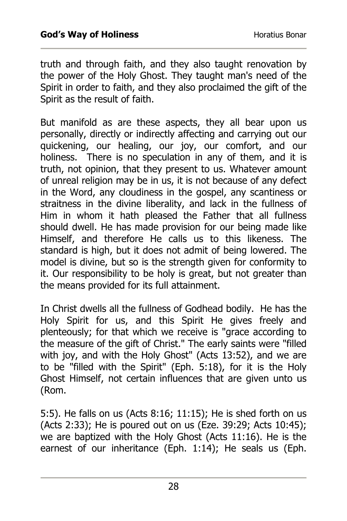truth and through faith, and they also taught renovation by the power of the Holy Ghost. They taught man's need of the Spirit in order to faith, and they also proclaimed the gift of the Spirit as the result of faith.

But manifold as are these aspects, they all bear upon us personally, directly or indirectly affecting and carrying out our quickening, our healing, our joy, our comfort, and our holiness. There is no speculation in any of them, and it is truth, not opinion, that they present to us. Whatever amount of unreal religion may be in us, it is not because of any defect in the Word, any cloudiness in the gospel, any scantiness or straitness in the divine liberality, and lack in the fullness of Him in whom it hath pleased the Father that all fullness should dwell. He has made provision for our being made like Himself, and therefore He calls us to this likeness. The standard is high, but it does not admit of being lowered. The model is divine, but so is the strength given for conformity to it. Our responsibility to be holy is great, but not greater than the means provided for its full attainment.

In Christ dwells all the fullness of Godhead bodily. He has the Holy Spirit for us, and this Spirit He gives freely and plenteously; for that which we receive is "grace according to the measure of the gift of Christ." The early saints were "filled with joy, and with the Holy Ghost" (Acts 13:52), and we are to be "filled with the Spirit" (Eph. 5:18), for it is the Holy Ghost Himself, not certain influences that are given unto us (Rom.

5:5). He falls on us (Acts 8:16; 11:15); He is shed forth on us (Acts 2:33); He is poured out on us (Eze. 39:29; Acts 10:45); we are baptized with the Holy Ghost (Acts 11:16). He is the earnest of our inheritance (Eph. 1:14); He seals us (Eph.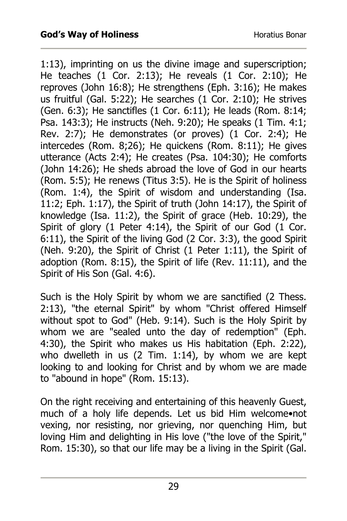1:13), imprinting on us the divine image and superscription; He teaches (1 Cor. 2:13); He reveals (1 Cor. 2:10); He reproves (John 16:8); He strengthens (Eph. 3:16); He makes us fruitful (Gal. 5:22); He searches (1 Cor. 2:10); He strives (Gen. 6:3); He sanctifles (1 Cor. 6:11); He leads (Rom. 8:14; Psa. 143:3); He instructs (Neh. 9:20); He speaks (1 Tim. 4:1; Rev. 2:7); He demonstrates (or proves) (1 Cor. 2:4); He intercedes (Rom. 8;26); He quickens (Rom. 8:11); He gives utterance (Acts 2:4); He creates (Psa. 104:30); He comforts (John 14:26); He sheds abroad the love of God in our hearts (Rom. 5:5); He renews (Titus 3:5). He is the Spirit of holiness (Rom. 1:4), the Spirit of wisdom and understanding (Isa. 11:2; Eph. 1:17), the Spirit of truth (John 14:17), the Spirit of knowledge (Isa. 11:2), the Spirit of grace (Heb. 10:29), the Spirit of glory (1 Peter 4:14), the Spirit of our God (1 Cor. 6:11), the Spirit of the living God (2 Cor. 3:3), the good Spirit (Neh. 9:20), the Spirit of Christ (1 Peter 1:11), the Spirit of adoption (Rom. 8:15), the Spirit of life (Rev. 11:11), and the Spirit of His Son (Gal. 4:6).

Such is the Holy Spirit by whom we are sanctified (2 Thess. 2:13), "the eternal Spirit" by whom "Christ offered Himself without spot to God" (Heb. 9:14). Such is the Holy Spirit by whom we are "sealed unto the day of redemption" (Eph. 4:30), the Spirit who makes us His habitation (Eph. 2:22), who dwelleth in us (2 Tim. 1:14), by whom we are kept looking to and looking for Christ and by whom we are made to "abound in hope" (Rom. 15:13).

On the right receiving and entertaining of this heavenly Guest, much of a holy life depends. Let us bid Him welcome•not vexing, nor resisting, nor grieving, nor quenching Him, but loving Him and delighting in His love ("the love of the Spirit," Rom. 15:30), so that our life may be a living in the Spirit (Gal.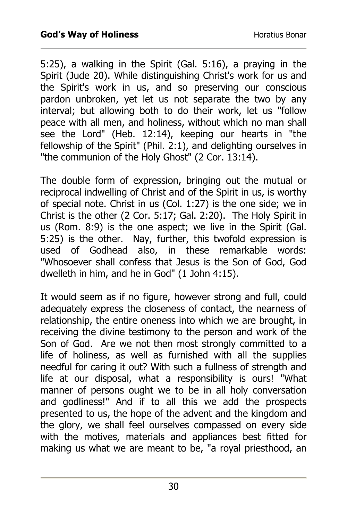5:25), a walking in the Spirit (Gal. 5:16), a praying in the Spirit (Jude 20). While distinguishing Christ's work for us and the Spirit's work in us, and so preserving our conscious pardon unbroken, yet let us not separate the two by any interval; but allowing both to do their work, let us "follow peace with all men, and holiness, without which no man shall see the Lord" (Heb. 12:14), keeping our hearts in "the fellowship of the Spirit" (Phil. 2:1), and delighting ourselves in "the communion of the Holy Ghost" (2 Cor. 13:14).

The double form of expression, bringing out the mutual or reciprocal indwelling of Christ and of the Spirit in us, is worthy of special note. Christ in us (Col. 1:27) is the one side; we in Christ is the other (2 Cor. 5:17; Gal. 2:20). The Holy Spirit in us (Rom. 8:9) is the one aspect; we live in the Spirit (Gal. 5:25) is the other. Nay, further, this twofold expression is used of Godhead also, in these remarkable words: "Whosoever shall confess that Jesus is the Son of God, God dwelleth in him, and he in God" (1 John 4:15).

It would seem as if no figure, however strong and full, could adequately express the closeness of contact, the nearness of relationship, the entire oneness into which we are brought, in receiving the divine testimony to the person and work of the Son of God. Are we not then most strongly committed to a life of holiness, as well as furnished with all the supplies needful for caring it out? With such a fullness of strength and life at our disposal, what a responsibility is ours! "What manner of persons ought we to be in all holy conversation and godliness!" And if to all this we add the prospects presented to us, the hope of the advent and the kingdom and the glory, we shall feel ourselves compassed on every side with the motives, materials and appliances best fitted for making us what we are meant to be, "a royal priesthood, an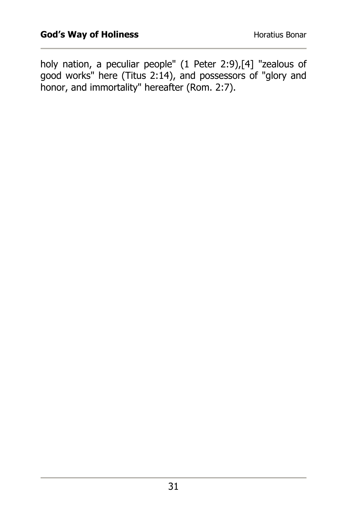holy nation, a peculiar people" (1 Peter 2:9),[4] "zealous of good works" here (Titus 2:14), and possessors of "glory and honor, and immortality" hereafter (Rom. 2:7).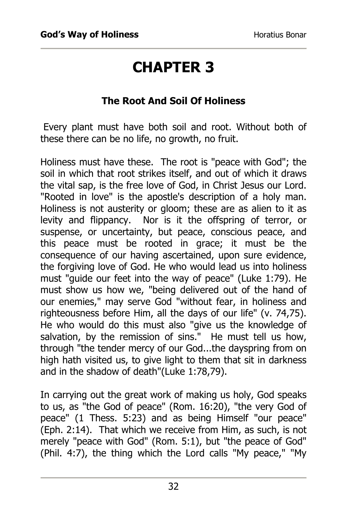# **CHAPTER 3**

#### **The Root And Soil Of Holiness**

 Every plant must have both soil and root. Without both of these there can be no life, no growth, no fruit.

Holiness must have these. The root is "peace with God"; the soil in which that root strikes itself, and out of which it draws the vital sap, is the free love of God, in Christ Jesus our Lord. "Rooted in love" is the apostle's description of a holy man. Holiness is not austerity or gloom; these are as alien to it as levity and flippancy. Nor is it the offspring of terror, or suspense, or uncertainty, but peace, conscious peace, and this peace must be rooted in grace; it must be the consequence of our having ascertained, upon sure evidence, the forgiving love of God. He who would lead us into holiness must "guide our feet into the way of peace" (Luke 1:79). He must show us how we, "being delivered out of the hand of our enemies," may serve God "without fear, in holiness and righteousness before Him, all the days of our life" (v. 74,75). He who would do this must also "give us the knowledge of salvation, by the remission of sins." He must tell us how, through "the tender mercy of our God...the dayspring from on high hath visited us, to give light to them that sit in darkness and in the shadow of death"(Luke 1:78,79).

In carrying out the great work of making us holy, God speaks to us, as "the God of peace" (Rom. 16:20), "the very God of peace" (1 Thess. 5:23) and as being Himself "our peace" (Eph. 2:14). That which we receive from Him, as such, is not merely "peace with God" (Rom. 5:1), but "the peace of God" (Phil. 4:7), the thing which the Lord calls "My peace," "My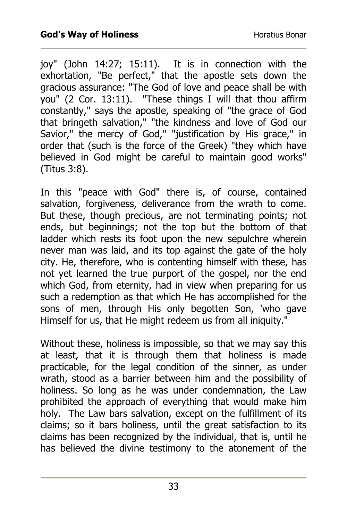joy" (John 14:27; 15:11). It is in connection with the exhortation, "Be perfect," that the apostle sets down the gracious assurance: "The God of love and peace shall be with you" (2 Cor. 13:11). "These things I will that thou affirm constantly," says the apostle, speaking of "the grace of God that bringeth salvation," "the kindness and love of God our Savior," the mercy of God," "justification by His grace," in order that (such is the force of the Greek) "they which have believed in God might be careful to maintain good works" (Titus 3:8).

In this "peace with God" there is, of course, contained salvation, forgiveness, deliverance from the wrath to come. But these, though precious, are not terminating points; not ends, but beginnings; not the top but the bottom of that ladder which rests its foot upon the new sepulchre wherein never man was laid, and its top against the gate of the holy city. He, therefore, who is contenting himself with these, has not yet learned the true purport of the gospel, nor the end which God, from eternity, had in view when preparing for us such a redemption as that which He has accomplished for the sons of men, through His only begotten Son, 'who gave Himself for us, that He might redeem us from all iniquity."

Without these, holiness is impossible, so that we may say this at least, that it is through them that holiness is made practicable, for the legal condition of the sinner, as under wrath, stood as a barrier between him and the possibility of holiness. So long as he was under condemnation, the Law prohibited the approach of everything that would make him holy. The Law bars salvation, except on the fulfillment of its claims; so it bars holiness, until the great satisfaction to its claims has been recognized by the individual, that is, until he has believed the divine testimony to the atonement of the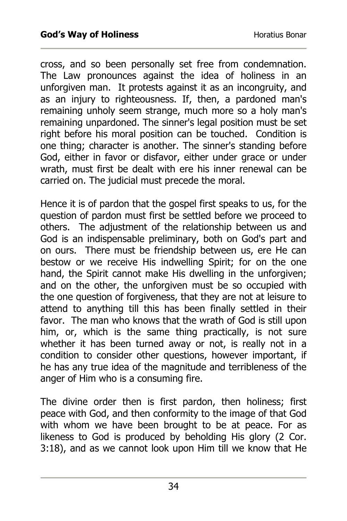cross, and so been personally set free from condemnation. The Law pronounces against the idea of holiness in an unforgiven man. It protests against it as an incongruity, and as an injury to righteousness. If, then, a pardoned man's remaining unholy seem strange, much more so a holy man's remaining unpardoned. The sinner's legal position must be set right before his moral position can be touched. Condition is one thing; character is another. The sinner's standing before God, either in favor or disfavor, either under grace or under wrath, must first be dealt with ere his inner renewal can be carried on. The judicial must precede the moral.

Hence it is of pardon that the gospel first speaks to us, for the question of pardon must first be settled before we proceed to others. The adjustment of the relationship between us and God is an indispensable preliminary, both on God's part and on ours. There must be friendship between us, ere He can bestow or we receive His indwelling Spirit; for on the one hand, the Spirit cannot make His dwelling in the unforgiven; and on the other, the unforgiven must be so occupied with the one question of forgiveness, that they are not at leisure to attend to anything till this has been finally settled in their favor. The man who knows that the wrath of God is still upon him, or, which is the same thing practically, is not sure whether it has been turned away or not, is really not in a condition to consider other questions, however important, if he has any true idea of the magnitude and terribleness of the anger of Him who is a consuming fire.

The divine order then is first pardon, then holiness; first peace with God, and then conformity to the image of that God with whom we have been brought to be at peace. For as likeness to God is produced by beholding His glory (2 Cor. 3:18), and as we cannot look upon Him till we know that He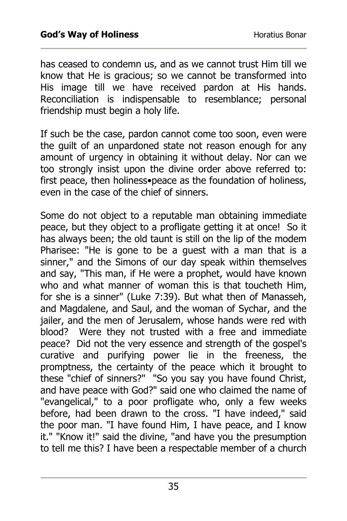has ceased to condemn us, and as we cannot trust Him till we know that He is gracious; so we cannot be transformed into His image till we have received pardon at His hands. Reconciliation is indispensable to resemblance; personal friendship must begin a holy life.

If such be the case, pardon cannot come too soon, even were the guilt of an unpardoned state not reason enough for any amount of urgency in obtaining it without delay. Nor can we too strongly insist upon the divine order above referred to: first peace, then holiness•peace as the foundation of holiness, even in the case of the chief of sinners.

Some do not object to a reputable man obtaining immediate peace, but they object to a profligate getting it at once! So it has always been; the old taunt is still on the lip of the modem Pharisee: "He is gone to be a guest with a man that is a sinner," and the Simons of our day speak within themselves and say, "This man, if He were a prophet, would have known who and what manner of woman this is that toucheth Him, for she is a sinner" (Luke 7:39). But what then of Manasseh, and Magdalene, and Saul, and the woman of Sychar, and the jailer, and the men of Jerusalem, whose hands were red with blood? Were they not trusted with a free and immediate peace? Did not the very essence and strength of the gospel's curative and purifying power lie in the freeness, the promptness, the certainty of the peace which it brought to these "chief of sinners?" "So you say you have found Christ, and have peace with God?" said one who claimed the name of "evangelical," to a poor profligate who, only a few weeks before, had been drawn to the cross. "I have indeed," said the poor man. "I have found Him, I have peace, and I know it." "Know it!" said the divine, "and have you the presumption to tell me this? I have been a respectable member of a church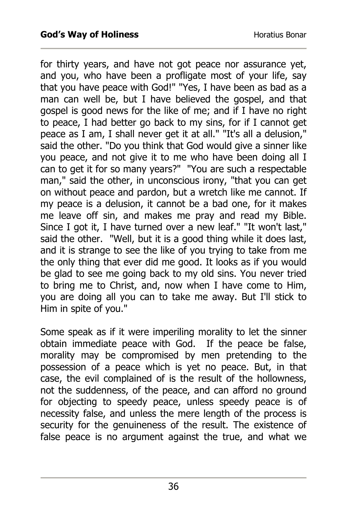for thirty years, and have not got peace nor assurance yet, and you, who have been a profligate most of your life, say that you have peace with God!" "Yes, I have been as bad as a man can well be, but I have believed the gospel, and that gospel is good news for the like of me; and if I have no right to peace, I had better go back to my sins, for if I cannot get peace as I am, I shall never get it at all." "It's all a delusion," said the other. "Do you think that God would give a sinner like you peace, and not give it to me who have been doing all I can to get it for so many years?" "You are such a respectable man," said the other, in unconscious irony, "that you can get on without peace and pardon, but a wretch like me cannot. If my peace is a delusion, it cannot be a bad one, for it makes me leave off sin, and makes me pray and read my Bible. Since I got it, I have turned over a new leaf." "It won't last," said the other. "Well, but it is a good thing while it does last, and it is strange to see the like of you trying to take from me the only thing that ever did me good. It looks as if you would be glad to see me going back to my old sins. You never tried to bring me to Christ, and, now when I have come to Him, you are doing all you can to take me away. But I'll stick to Him in spite of you."

Some speak as if it were imperiling morality to let the sinner obtain immediate peace with God. If the peace be false, morality may be compromised by men pretending to the possession of a peace which is yet no peace. But, in that case, the evil complained of is the result of the hollowness, not the suddenness, of the peace, and can afford no ground for objecting to speedy peace, unless speedy peace is of necessity false, and unless the mere length of the process is security for the genuineness of the result. The existence of false peace is no argument against the true, and what we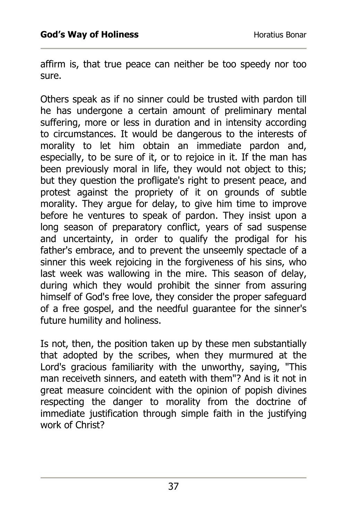affirm is, that true peace can neither be too speedy nor too sure.

Others speak as if no sinner could be trusted with pardon till he has undergone a certain amount of preliminary mental suffering, more or less in duration and in intensity according to circumstances. It would be dangerous to the interests of morality to let him obtain an immediate pardon and, especially, to be sure of it, or to rejoice in it. If the man has been previously moral in life, they would not object to this; but they question the profligate's right to present peace, and protest against the propriety of it on grounds of subtle morality. They argue for delay, to give him time to improve before he ventures to speak of pardon. They insist upon a long season of preparatory conflict, years of sad suspense and uncertainty, in order to qualify the prodigal for his father's embrace, and to prevent the unseemly spectacle of a sinner this week rejoicing in the forgiveness of his sins, who last week was wallowing in the mire. This season of delay, during which they would prohibit the sinner from assuring himself of God's free love, they consider the proper safeguard of a free gospel, and the needful guarantee for the sinner's future humility and holiness.

Is not, then, the position taken up by these men substantially that adopted by the scribes, when they murmured at the Lord's gracious familiarity with the unworthy, saying, "This man receiveth sinners, and eateth with them"? And is it not in great measure coincident with the opinion of popish divines respecting the danger to morality from the doctrine of immediate justification through simple faith in the justifying work of Christ?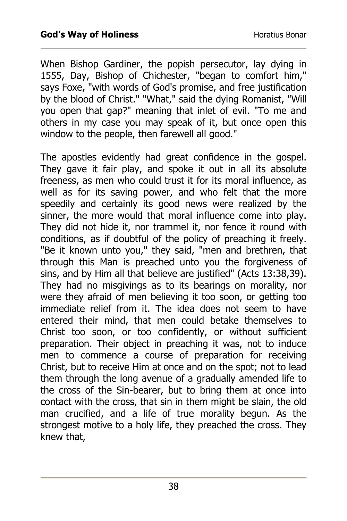When Bishop Gardiner, the popish persecutor, lay dying in 1555, Day, Bishop of Chichester, "began to comfort him," says Foxe, "with words of God's promise, and free justification by the blood of Christ." "What," said the dying Romanist, "Will you open that gap?" meaning that inlet of evil. "To me and others in my case you may speak of it, but once open this window to the people, then farewell all good."

The apostles evidently had great confidence in the gospel. They gave it fair play, and spoke it out in all its absolute freeness, as men who could trust it for its moral influence, as well as for its saving power, and who felt that the more speedily and certainly its good news were realized by the sinner, the more would that moral influence come into play. They did not hide it, nor trammel it, nor fence it round with conditions, as if doubtful of the policy of preaching it freely. "Be it known unto you," they said, "men and brethren, that through this Man is preached unto you the forgiveness of sins, and by Him all that believe are justified" (Acts 13:38,39). They had no misgivings as to its bearings on morality, nor were they afraid of men believing it too soon, or getting too immediate relief from it. The idea does not seem to have entered their mind, that men could betake themselves to Christ too soon, or too confidently, or without sufficient preparation. Their object in preaching it was, not to induce men to commence a course of preparation for receiving Christ, but to receive Him at once and on the spot; not to lead them through the long avenue of a gradually amended life to the cross of the Sin-bearer, but to bring them at once into contact with the cross, that sin in them might be slain, the old man crucified, and a life of true morality begun. As the strongest motive to a holy life, they preached the cross. They knew that,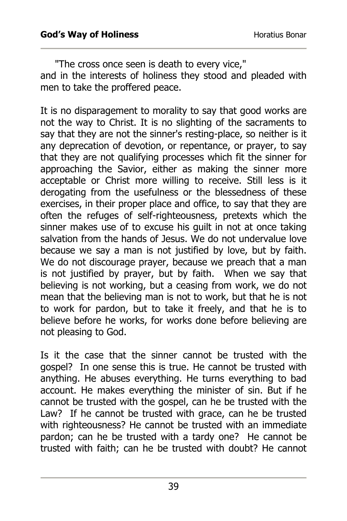"The cross once seen is death to every vice," and in the interests of holiness they stood and pleaded with men to take the proffered peace.

It is no disparagement to morality to say that good works are not the way to Christ. It is no slighting of the sacraments to say that they are not the sinner's resting-place, so neither is it any deprecation of devotion, or repentance, or prayer, to say that they are not qualifying processes which fit the sinner for approaching the Savior, either as making the sinner more acceptable or Christ more willing to receive. Still less is it derogating from the usefulness or the blessedness of these exercises, in their proper place and office, to say that they are often the refuges of self-righteousness, pretexts which the sinner makes use of to excuse his guilt in not at once taking salvation from the hands of Jesus. We do not undervalue love because we say a man is not justified by love, but by faith. We do not discourage prayer, because we preach that a man is not justified by prayer, but by faith. When we say that believing is not working, but a ceasing from work, we do not mean that the believing man is not to work, but that he is not to work for pardon, but to take it freely, and that he is to believe before he works, for works done before believing are not pleasing to God.

Is it the case that the sinner cannot be trusted with the gospel? In one sense this is true. He cannot be trusted with anything. He abuses everything. He turns everything to bad account. He makes everything the minister of sin. But if he cannot be trusted with the gospel, can he be trusted with the Law? If he cannot be trusted with grace, can he be trusted with righteousness? He cannot be trusted with an immediate pardon; can he be trusted with a tardy one? He cannot be trusted with faith; can he be trusted with doubt? He cannot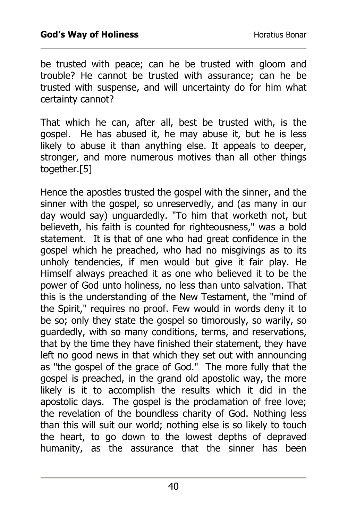be trusted with peace; can he be trusted with gloom and trouble? He cannot be trusted with assurance; can he be trusted with suspense, and will uncertainty do for him what certainty cannot?

That which he can, after all, best be trusted with, is the gospel. He has abused it, he may abuse it, but he is less likely to abuse it than anything else. It appeals to deeper, stronger, and more numerous motives than all other things together.[5]

Hence the apostles trusted the gospel with the sinner, and the sinner with the gospel, so unreservedly, and (as many in our day would say) unguardedly. "To him that worketh not, but believeth, his faith is counted for righteousness," was a bold statement. It is that of one who had great confidence in the gospel which he preached, who had no misgivings as to its unholy tendencies, if men would but give it fair play. He Himself always preached it as one who believed it to be the power of God unto holiness, no less than unto salvation. That this is the understanding of the New Testament, the "mind of the Spirit," requires no proof. Few would in words deny it to be so; only they state the gospel so timorously, so warily, so guardedly, with so many conditions, terms, and reservations, that by the time they have finished their statement, they have left no good news in that which they set out with announcing as "the gospel of the grace of God." The more fully that the gospel is preached, in the grand old apostolic way, the more likely is it to accomplish the results which it did in the apostolic days. The gospel is the proclamation of free love; the revelation of the boundless charity of God. Nothing less than this will suit our world; nothing else is so likely to touch the heart, to go down to the lowest depths of depraved humanity, as the assurance that the sinner has been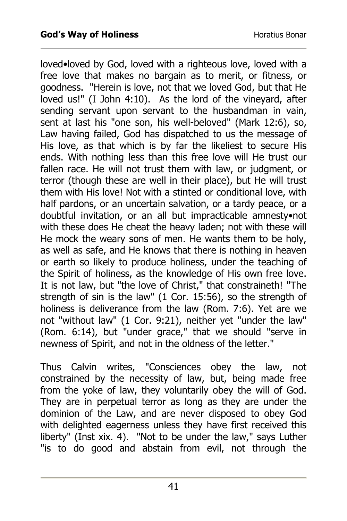loved•loved by God, loved with a righteous love, loved with a free love that makes no bargain as to merit, or fitness, or goodness. "Herein is love, not that we loved God, but that He loved us!" (I John 4:10). As the lord of the vineyard, after sending servant upon servant to the husbandman in vain, sent at last his "one son, his well-beloved" (Mark 12:6), so, Law having failed, God has dispatched to us the message of His love, as that which is by far the likeliest to secure His ends. With nothing less than this free love will He trust our fallen race. He will not trust them with law, or judgment, or terror (though these are well in their place), but He will trust them with His love! Not with a stinted or conditional love, with half pardons, or an uncertain salvation, or a tardy peace, or a doubtful invitation, or an all but impracticable amnesty•not with these does He cheat the heavy laden; not with these will He mock the weary sons of men. He wants them to be holy, as well as safe, and He knows that there is nothing in heaven or earth so likely to produce holiness, under the teaching of the Spirit of holiness, as the knowledge of His own free love. It is not law, but "the love of Christ," that constraineth! "The strength of sin is the law" (1 Cor. 15:56), so the strength of holiness is deliverance from the law (Rom. 7:6). Yet are we not "without law" (1 Cor. 9:21), neither yet "under the law" (Rom. 6:14), but "under grace," that we should "serve in newness of Spirit, and not in the oldness of the letter."

Thus Calvin writes, "Consciences obey the law, not constrained by the necessity of law, but, being made free from the yoke of law, they voluntarily obey the will of God. They are in perpetual terror as long as they are under the dominion of the Law, and are never disposed to obey God with delighted eagerness unless they have first received this liberty" (Inst xix. 4). "Not to be under the law," says Luther "is to do good and abstain from evil, not through the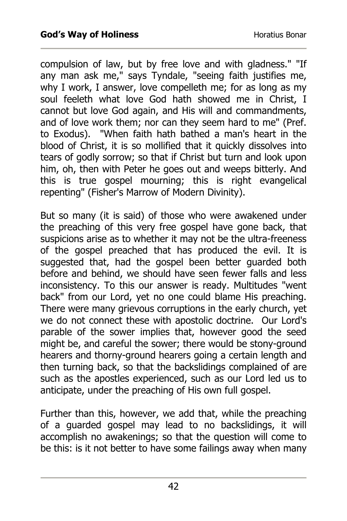compulsion of law, but by free love and with gladness." "If any man ask me," says Tyndale, "seeing faith justifies me, why I work, I answer, love compelleth me; for as long as my soul feeleth what love God hath showed me in Christ, I cannot but love God again, and His will and commandments, and of love work them; nor can they seem hard to me" (Pref. to Exodus). "When faith hath bathed a man's heart in the blood of Christ, it is so mollified that it quickly dissolves into tears of godly sorrow; so that if Christ but turn and look upon him, oh, then with Peter he goes out and weeps bitterly. And this is true gospel mourning; this is right evangelical repenting" (Fisher's Marrow of Modern Divinity).

But so many (it is said) of those who were awakened under the preaching of this very free gospel have gone back, that suspicions arise as to whether it may not be the ultra-freeness of the gospel preached that has produced the evil. It is suggested that, had the gospel been better guarded both before and behind, we should have seen fewer falls and less inconsistency. To this our answer is ready. Multitudes "went back" from our Lord, yet no one could blame His preaching. There were many grievous corruptions in the early church, yet we do not connect these with apostolic doctrine. Our Lord's parable of the sower implies that, however good the seed might be, and careful the sower; there would be stony-ground hearers and thorny-ground hearers going a certain length and then turning back, so that the backslidings complained of are such as the apostles experienced, such as our Lord led us to anticipate, under the preaching of His own full gospel.

Further than this, however, we add that, while the preaching of a guarded gospel may lead to no backslidings, it will accomplish no awakenings; so that the question will come to be this: is it not better to have some failings away when many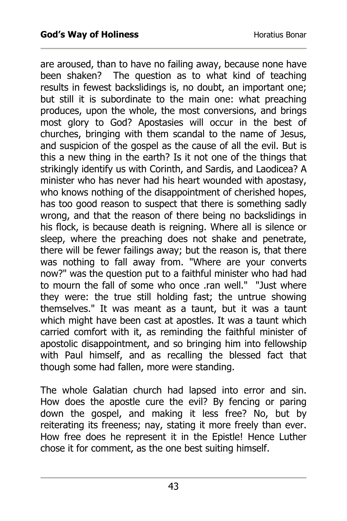are aroused, than to have no failing away, because none have been shaken? The question as to what kind of teaching results in fewest backslidings is, no doubt, an important one; but still it is subordinate to the main one: what preaching produces, upon the whole, the most conversions, and brings most glory to God? Apostasies will occur in the best of churches, bringing with them scandal to the name of Jesus, and suspicion of the gospel as the cause of all the evil. But is this a new thing in the earth? Is it not one of the things that strikingly identify us with Corinth, and Sardis, and Laodicea? A minister who has never had his heart wounded with apostasy, who knows nothing of the disappointment of cherished hopes, has too good reason to suspect that there is something sadly wrong, and that the reason of there being no backslidings in his flock, is because death is reigning. Where all is silence or sleep, where the preaching does not shake and penetrate, there will be fewer failings away; but the reason is, that there was nothing to fall away from. "Where are your converts now?" was the question put to a faithful minister who had had to mourn the fall of some who once .ran well." "Just where they were: the true still holding fast; the untrue showing themselves." It was meant as a taunt, but it was a taunt which might have been cast at apostles. It was a taunt which carried comfort with it, as reminding the faithful minister of apostolic disappointment, and so bringing him into fellowship with Paul himself, and as recalling the blessed fact that though some had fallen, more were standing.

The whole Galatian church had lapsed into error and sin. How does the apostle cure the evil? By fencing or paring down the gospel, and making it less free? No, but by reiterating its freeness; nay, stating it more freely than ever. How free does he represent it in the Epistle! Hence Luther chose it for comment, as the one best suiting himself.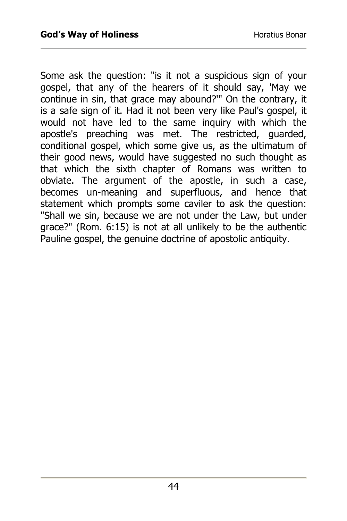Some ask the question: "is it not a suspicious sign of your gospel, that any of the hearers of it should say, 'May we continue in sin, that grace may abound?'" On the contrary, it is a safe sign of it. Had it not been very like Paul's gospel, it would not have led to the same inquiry with which the apostle's preaching was met. The restricted, guarded, conditional gospel, which some give us, as the ultimatum of their good news, would have suggested no such thought as that which the sixth chapter of Romans was written to obviate. The argument of the apostle, in such a case, becomes un-meaning and superfluous, and hence that statement which prompts some caviler to ask the question: "Shall we sin, because we are not under the Law, but under grace?" (Rom. 6:15) is not at all unlikely to be the authentic Pauline gospel, the genuine doctrine of apostolic antiquity.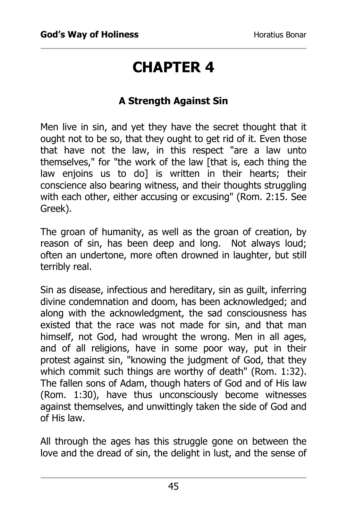# **CHAPTER 4**

### **A Strength Against Sin**

Men live in sin, and yet they have the secret thought that it ought not to be so, that they ought to get rid of it. Even those that have not the law, in this respect "are a law unto themselves," for "the work of the law [that is, each thing the law enjoins us to do] is written in their hearts; their conscience also bearing witness, and their thoughts struggling with each other, either accusing or excusing" (Rom. 2:15. See Greek).

The groan of humanity, as well as the groan of creation, by reason of sin, has been deep and long. Not always loud; often an undertone, more often drowned in laughter, but still terribly real.

Sin as disease, infectious and hereditary, sin as guilt, inferring divine condemnation and doom, has been acknowledged; and along with the acknowledgment, the sad consciousness has existed that the race was not made for sin, and that man himself, not God, had wrought the wrong. Men in all ages, and of all religions, have in some poor way, put in their protest against sin, "knowing the judgment of God, that they which commit such things are worthy of death" (Rom. 1:32). The fallen sons of Adam, though haters of God and of His law (Rom. 1:30), have thus unconsciously become witnesses against themselves, and unwittingly taken the side of God and of His law.

All through the ages has this struggle gone on between the love and the dread of sin, the delight in lust, and the sense of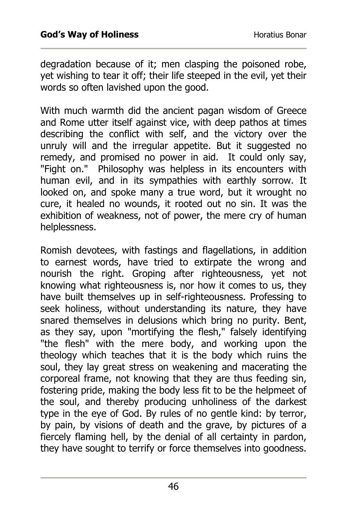degradation because of it; men clasping the poisoned robe, yet wishing to tear it off; their life steeped in the evil, yet their words so often lavished upon the good.

With much warmth did the ancient pagan wisdom of Greece and Rome utter itself against vice, with deep pathos at times describing the conflict with self, and the victory over the unruly will and the irregular appetite. But it suggested no remedy, and promised no power in aid. It could only say, "Fight on." Philosophy was helpless in its encounters with human evil, and in its sympathies with earthly sorrow. It looked on, and spoke many a true word, but it wrought no cure, it healed no wounds, it rooted out no sin. It was the exhibition of weakness, not of power, the mere cry of human helplessness.

Romish devotees, with fastings and flagellations, in addition to earnest words, have tried to extirpate the wrong and nourish the right. Groping after righteousness, yet not knowing what righteousness is, nor how it comes to us, they have built themselves up in self-righteousness. Professing to seek holiness, without understanding its nature, they have snared themselves in delusions which bring no purity. Bent, as they say, upon "mortifying the flesh," falsely identifying "the flesh" with the mere body, and working upon the theology which teaches that it is the body which ruins the soul, they lay great stress on weakening and macerating the corporeal frame, not knowing that they are thus feeding sin, fostering pride, making the body less fit to be the helpmeet of the soul, and thereby producing unholiness of the darkest type in the eye of God. By rules of no gentle kind: by terror, by pain, by visions of death and the grave, by pictures of a fiercely flaming hell, by the denial of all certainty in pardon, they have sought to terrify or force themselves into goodness.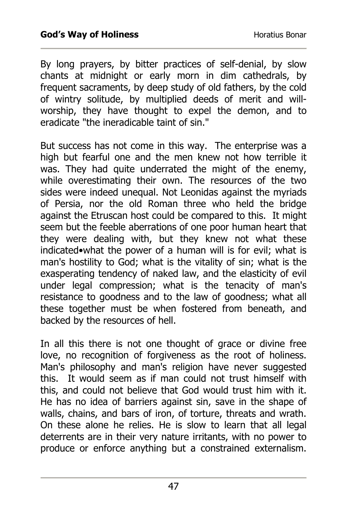By long prayers, by bitter practices of self-denial, by slow chants at midnight or early morn in dim cathedrals, by frequent sacraments, by deep study of old fathers, by the cold of wintry solitude, by multiplied deeds of merit and willworship, they have thought to expel the demon, and to eradicate "the ineradicable taint of sin."

But success has not come in this way. The enterprise was a high but fearful one and the men knew not how terrible it was. They had quite underrated the might of the enemy, while overestimating their own. The resources of the two sides were indeed unequal. Not Leonidas against the myriads of Persia, nor the old Roman three who held the bridge against the Etruscan host could be compared to this. It might seem but the feeble aberrations of one poor human heart that they were dealing with, but they knew not what these indicated•what the power of a human will is for evil; what is man's hostility to God; what is the vitality of sin; what is the exasperating tendency of naked law, and the elasticity of evil under legal compression; what is the tenacity of man's resistance to goodness and to the law of goodness; what all these together must be when fostered from beneath, and backed by the resources of hell.

In all this there is not one thought of grace or divine free love, no recognition of forgiveness as the root of holiness. Man's philosophy and man's religion have never suggested this. It would seem as if man could not trust himself with this, and could not believe that God would trust him with it. He has no idea of barriers against sin, save in the shape of walls, chains, and bars of iron, of torture, threats and wrath. On these alone he relies. He is slow to learn that all legal deterrents are in their very nature irritants, with no power to produce or enforce anything but a constrained externalism.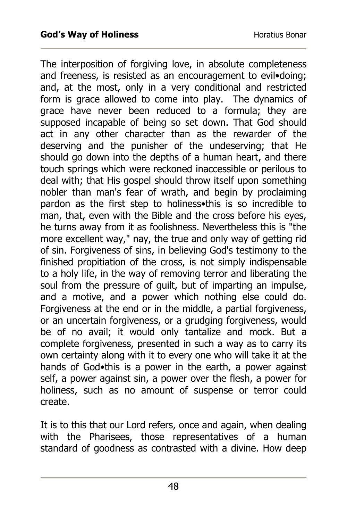The interposition of forgiving love, in absolute completeness and freeness, is resisted as an encouragement to evil•doing; and, at the most, only in a very conditional and restricted form is grace allowed to come into play. The dynamics of grace have never been reduced to a formula; they are supposed incapable of being so set down. That God should act in any other character than as the rewarder of the deserving and the punisher of the undeserving; that He should go down into the depths of a human heart, and there touch springs which were reckoned inaccessible or perilous to deal with; that His gospel should throw itself upon something nobler than man's fear of wrath, and begin by proclaiming pardon as the first step to holiness•this is so incredible to man, that, even with the Bible and the cross before his eyes, he turns away from it as foolishness. Nevertheless this is "the more excellent way," nay, the true and only way of getting rid of sin. Forgiveness of sins, in believing God's testimony to the finished propitiation of the cross, is not simply indispensable to a holy life, in the way of removing terror and liberating the soul from the pressure of guilt, but of imparting an impulse, and a motive, and a power which nothing else could do. Forgiveness at the end or in the middle, a partial forgiveness, or an uncertain forgiveness, or a grudging forgiveness, would be of no avail; it would only tantalize and mock. But a complete forgiveness, presented in such a way as to carry its own certainty along with it to every one who will take it at the hands of God•this is a power in the earth, a power against self, a power against sin, a power over the flesh, a power for holiness, such as no amount of suspense or terror could create.

It is to this that our Lord refers, once and again, when dealing with the Pharisees, those representatives of a human standard of goodness as contrasted with a divine. How deep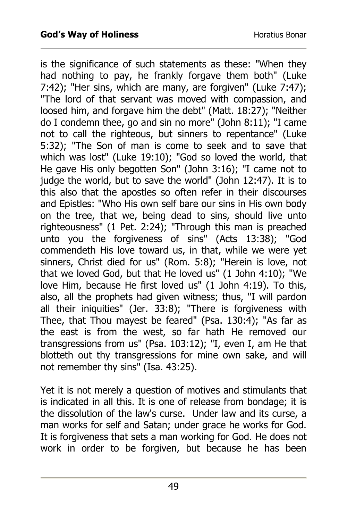is the significance of such statements as these: "When they had nothing to pay, he frankly forgave them both" (Luke 7:42); "Her sins, which are many, are forgiven" (Luke 7:47); "The lord of that servant was moved with compassion, and loosed him, and forgave him the debt" (Matt. 18:27); "Neither do I condemn thee, go and sin no more" (John 8:11); "I came not to call the righteous, but sinners to repentance" (Luke 5:32); "The Son of man is come to seek and to save that which was lost" (Luke 19:10); "God so loved the world, that He gave His only begotten Son" (John 3:16); "I came not to judge the world, but to save the world" (John 12:47). It is to this also that the apostles so often refer in their discourses and Epistles: "Who His own self bare our sins in His own body on the tree, that we, being dead to sins, should live unto righteousness" (1 Pet. 2:24); "Through this man is preached unto you the forgiveness of sins" (Acts 13:38); "God commendeth His love toward us, in that, while we were yet sinners, Christ died for us" (Rom. 5:8); "Herein is love, not that we loved God, but that He loved us" (1 John 4:10); "We love Him, because He first loved us" (1 John 4:19). To this, also, all the prophets had given witness; thus, "I will pardon all their iniquities" (Jer. 33:8); "There is forgiveness with Thee, that Thou mayest be feared" (Psa. 130:4); "As far as the east is from the west, so far hath He removed our transgressions from us" (Psa. 103:12); "I, even I, am He that blotteth out thy transgressions for mine own sake, and will not remember thy sins" (Isa. 43:25).

Yet it is not merely a question of motives and stimulants that is indicated in all this. It is one of release from bondage; it is the dissolution of the law's curse. Under law and its curse, a man works for self and Satan; under grace he works for God. It is forgiveness that sets a man working for God. He does not work in order to be forgiven, but because he has been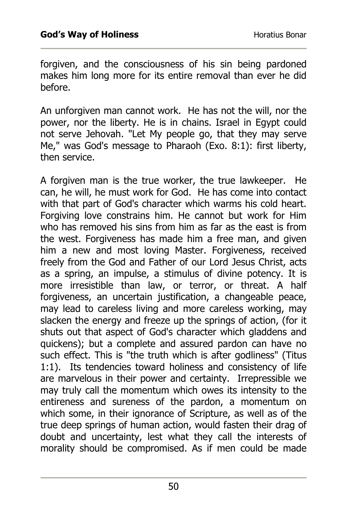forgiven, and the consciousness of his sin being pardoned makes him long more for its entire removal than ever he did before.

An unforgiven man cannot work. He has not the will, nor the power, nor the liberty. He is in chains. Israel in Egypt could not serve Jehovah. "Let My people go, that they may serve Me," was God's message to Pharaoh (Exo. 8:1): first liberty, then service.

A forgiven man is the true worker, the true lawkeeper. He can, he will, he must work for God. He has come into contact with that part of God's character which warms his cold heart. Forgiving love constrains him. He cannot but work for Him who has removed his sins from him as far as the east is from the west. Forgiveness has made him a free man, and given him a new and most loving Master. Forgiveness, received freely from the God and Father of our Lord Jesus Christ, acts as a spring, an impulse, a stimulus of divine potency. It is more irresistible than law, or terror, or threat. A half forgiveness, an uncertain justification, a changeable peace, may lead to careless living and more careless working, may slacken the energy and freeze up the springs of action, (for it shuts out that aspect of God's character which gladdens and quickens); but a complete and assured pardon can have no such effect. This is "the truth which is after godliness" (Titus 1:1). Its tendencies toward holiness and consistency of life are marvelous in their power and certainty. Irrepressible we may truly call the momentum which owes its intensity to the entireness and sureness of the pardon, a momentum on which some, in their ignorance of Scripture, as well as of the true deep springs of human action, would fasten their drag of doubt and uncertainty, lest what they call the interests of morality should be compromised. As if men could be made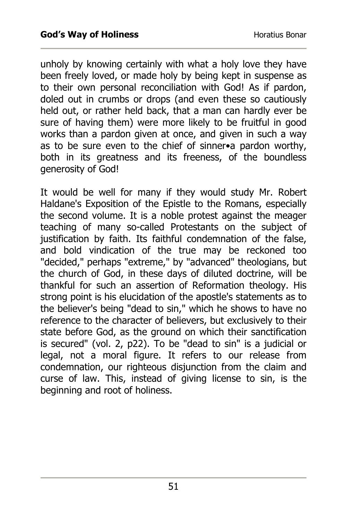unholy by knowing certainly with what a holy love they have been freely loved, or made holy by being kept in suspense as to their own personal reconciliation with God! As if pardon, doled out in crumbs or drops (and even these so cautiously held out, or rather held back, that a man can hardly ever be sure of having them) were more likely to be fruitful in good works than a pardon given at once, and given in such a way as to be sure even to the chief of sinner•a pardon worthy, both in its greatness and its freeness, of the boundless generosity of God!

It would be well for many if they would study Mr. Robert Haldane's Exposition of the Epistle to the Romans, especially the second volume. It is a noble protest against the meager teaching of many so-called Protestants on the subject of justification by faith. Its faithful condemnation of the false, and bold vindication of the true may be reckoned too "decided," perhaps "extreme," by "advanced" theologians, but the church of God, in these days of diluted doctrine, will be thankful for such an assertion of Reformation theology. His strong point is his elucidation of the apostle's statements as to the believer's being "dead to sin," which he shows to have no reference to the character of believers, but exclusively to their state before God, as the ground on which their sanctification is secured" (vol. 2, p22). To be "dead to sin" is a judicial or legal, not a moral figure. It refers to our release from condemnation, our righteous disjunction from the claim and curse of law. This, instead of giving license to sin, is the beginning and root of holiness.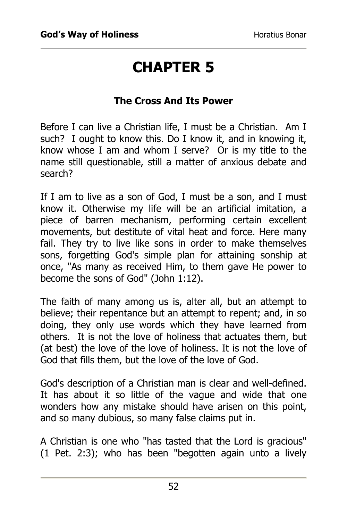# **CHAPTER 5**

#### **The Cross And Its Power**

Before I can live a Christian life, I must be a Christian. Am I such? I ought to know this. Do I know it, and in knowing it, know whose I am and whom I serve? Or is my title to the name still questionable, still a matter of anxious debate and search?

If I am to live as a son of God, I must be a son, and I must know it. Otherwise my life will be an artificial imitation, a piece of barren mechanism, performing certain excellent movements, but destitute of vital heat and force. Here many fail. They try to live like sons in order to make themselves sons, forgetting God's simple plan for attaining sonship at once, "As many as received Him, to them gave He power to become the sons of God" (John 1:12).

The faith of many among us is, alter all, but an attempt to believe; their repentance but an attempt to repent; and, in so doing, they only use words which they have learned from others. It is not the love of holiness that actuates them, but (at best) the love of the love of holiness. It is not the love of God that fills them, but the love of the love of God.

God's description of a Christian man is clear and well-defined. It has about it so little of the vague and wide that one wonders how any mistake should have arisen on this point, and so many dubious, so many false claims put in.

A Christian is one who "has tasted that the Lord is gracious" (1 Pet. 2:3); who has been "begotten again unto a lively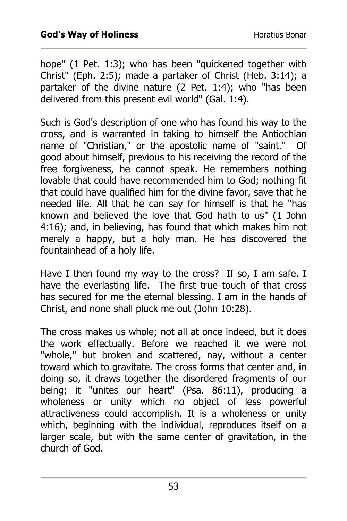hope" (1 Pet. 1:3); who has been "quickened together with Christ" (Eph. 2:5); made a partaker of Christ (Heb. 3:14); a partaker of the divine nature (2 Pet. 1:4); who "has been delivered from this present evil world" (Gal. 1:4).

Such is God's description of one who has found his way to the cross, and is warranted in taking to himself the Antiochian name of "Christian," or the apostolic name of "saint." Of good about himself, previous to his receiving the record of the free forgiveness, he cannot speak. He remembers nothing lovable that could have recommended him to God; nothing fit that could have qualified him for the divine favor, save that he needed life. All that he can say for himself is that he "has known and believed the love that God hath to us" (1 John 4:16); and, in believing, has found that which makes him not merely a happy, but a holy man. He has discovered the fountainhead of a holy life.

Have I then found my way to the cross? If so, I am safe. I have the everlasting life. The first true touch of that cross has secured for me the eternal blessing. I am in the hands of Christ, and none shall pluck me out (John 10:28).

The cross makes us whole; not all at once indeed, but it does the work effectually. Before we reached it we were not "whole," but broken and scattered, nay, without a center toward which to gravitate. The cross forms that center and, in doing so, it draws together the disordered fragments of our being; it "unites our heart" (Psa. 86:11), producing a wholeness or unity which no object of less powerful attractiveness could accomplish. It is a wholeness or unity which, beginning with the individual, reproduces itself on a larger scale, but with the same center of gravitation, in the church of God.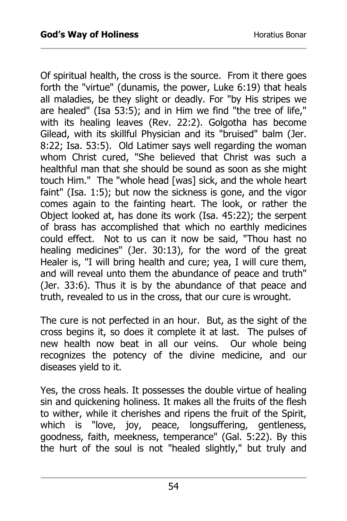Of spiritual health, the cross is the source. From it there goes forth the "virtue" (dunamis, the power, Luke 6:19) that heals all maladies, be they slight or deadly. For "by His stripes we are healed" (Isa 53:5); and in Him we find "the tree of life," with its healing leaves (Rev. 22:2). Golgotha has become Gilead, with its skillful Physician and its "bruised" balm (Jer. 8:22; Isa. 53:5). Old Latimer says well regarding the woman whom Christ cured, "She believed that Christ was such a healthful man that she should be sound as soon as she might touch Him." The "whole head [was] sick, and the whole heart faint" (Isa. 1:5); but now the sickness is gone, and the vigor comes again to the fainting heart. The look, or rather the Object looked at, has done its work (Isa. 45:22); the serpent of brass has accomplished that which no earthly medicines could effect. Not to us can it now be said, "Thou hast no healing medicines" (Jer. 30:13), for the word of the great Healer is, "I will bring health and cure; yea, I will cure them, and will reveal unto them the abundance of peace and truth" (Jer. 33:6). Thus it is by the abundance of that peace and truth, revealed to us in the cross, that our cure is wrought.

The cure is not perfected in an hour. But, as the sight of the cross begins it, so does it complete it at last. The pulses of new health now beat in all our veins. Our whole being recognizes the potency of the divine medicine, and our diseases yield to it.

Yes, the cross heals. It possesses the double virtue of healing sin and quickening holiness. It makes all the fruits of the flesh to wither, while it cherishes and ripens the fruit of the Spirit, which is "love, joy, peace, longsuffering, gentleness, goodness, faith, meekness, temperance" (Gal. 5:22). By this the hurt of the soul is not "healed slightly," but truly and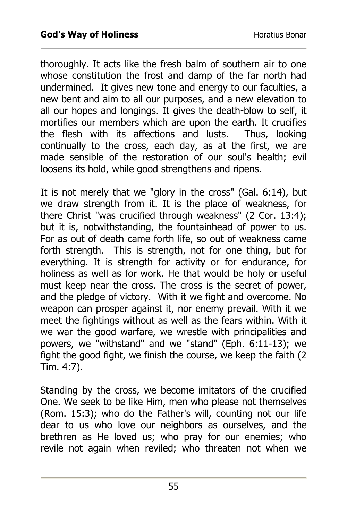thoroughly. It acts like the fresh balm of southern air to one whose constitution the frost and damp of the far north had undermined. It gives new tone and energy to our faculties, a new bent and aim to all our purposes, and a new elevation to all our hopes and longings. It gives the death-blow to self, it mortifies our members which are upon the earth. It crucifies the flesh with its affections and lusts. Thus, looking continually to the cross, each day, as at the first, we are made sensible of the restoration of our soul's health; evil loosens its hold, while good strengthens and ripens.

It is not merely that we "glory in the cross" (Gal. 6:14), but we draw strength from it. It is the place of weakness, for there Christ "was crucified through weakness" (2 Cor. 13:4); but it is, notwithstanding, the fountainhead of power to us. For as out of death came forth life, so out of weakness came forth strength. This is strength, not for one thing, but for everything. It is strength for activity or for endurance, for holiness as well as for work. He that would be holy or useful must keep near the cross. The cross is the secret of power, and the pledge of victory. With it we fight and overcome. No weapon can prosper against it, nor enemy prevail. With it we meet the fightings without as well as the fears within. With it we war the good warfare, we wrestle with principalities and powers, we "withstand" and we "stand" (Eph. 6:11-13); we fight the good fight, we finish the course, we keep the faith (2 Tim. 4:7).

Standing by the cross, we become imitators of the crucified One. We seek to be like Him, men who please not themselves (Rom. 15:3); who do the Father's will, counting not our life dear to us who love our neighbors as ourselves, and the brethren as He loved us; who pray for our enemies; who revile not again when reviled; who threaten not when we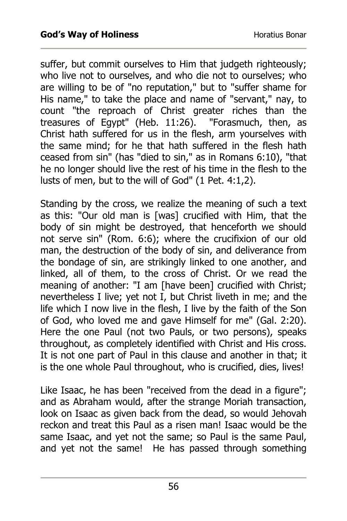suffer, but commit ourselves to Him that judgeth righteously; who live not to ourselves, and who die not to ourselves; who are willing to be of "no reputation," but to "suffer shame for His name," to take the place and name of "servant," nay, to count "the reproach of Christ greater riches than the treasures of Egypt" (Heb. 11:26). "Forasmuch, then, as Christ hath suffered for us in the flesh, arm yourselves with the same mind; for he that hath suffered in the flesh hath ceased from sin" (has "died to sin," as in Romans 6:10), "that he no longer should live the rest of his time in the flesh to the lusts of men, but to the will of God" (1 Pet. 4:1,2).

Standing by the cross, we realize the meaning of such a text as this: "Our old man is [was] crucified with Him, that the body of sin might be destroyed, that henceforth we should not serve sin" (Rom. 6:6); where the crucifixion of our old man, the destruction of the body of sin, and deliverance from the bondage of sin, are strikingly linked to one another, and linked, all of them, to the cross of Christ. Or we read the meaning of another: "I am [have been] crucified with Christ; nevertheless I live; yet not I, but Christ liveth in me; and the life which I now live in the flesh, I live by the faith of the Son of God, who loved me and gave Himself for me" (Gal. 2:20). Here the one Paul (not two Pauls, or two persons), speaks throughout, as completely identified with Christ and His cross. It is not one part of Paul in this clause and another in that; it is the one whole Paul throughout, who is crucified, dies, lives!

Like Isaac, he has been "received from the dead in a figure"; and as Abraham would, after the strange Moriah transaction, look on Isaac as given back from the dead, so would Jehovah reckon and treat this Paul as a risen man! Isaac would be the same Isaac, and yet not the same; so Paul is the same Paul, and yet not the same! He has passed through something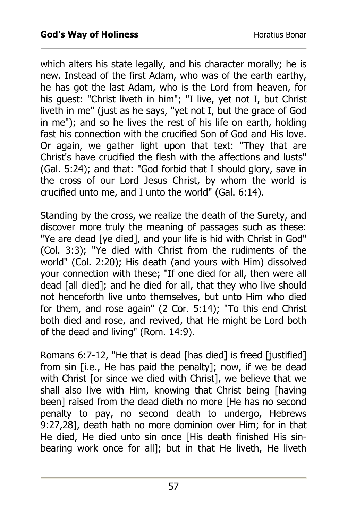which alters his state legally, and his character morally; he is new. Instead of the first Adam, who was of the earth earthy, he has got the last Adam, who is the Lord from heaven, for his guest: "Christ liveth in him"; "I live, yet not I, but Christ liveth in me" (just as he says, "yet not I, but the grace of God in me"); and so he lives the rest of his life on earth, holding fast his connection with the crucified Son of God and His love. Or again, we gather light upon that text: "They that are Christ's have crucified the flesh with the affections and lusts" (Gal. 5:24); and that: "God forbid that I should glory, save in the cross of our Lord Jesus Christ, by whom the world is crucified unto me, and I unto the world" (Gal. 6:14).

Standing by the cross, we realize the death of the Surety, and discover more truly the meaning of passages such as these: "Ye are dead [ye died], and your life is hid with Christ in God" (Col. 3:3); "Ye died with Christ from the rudiments of the world" (Col. 2:20); His death (and yours with Him) dissolved your connection with these; "If one died for all, then were all dead [all died]; and he died for all, that they who live should not henceforth live unto themselves, but unto Him who died for them, and rose again" (2 Cor. 5:14); "To this end Christ both died and rose, and revived, that He might be Lord both of the dead and living" (Rom. 14:9).

Romans 6:7-12, "He that is dead [has died] is freed [justified] from sin [i.e., He has paid the penalty]; now, if we be dead with Christ [or since we died with Christ], we believe that we shall also live with Him, knowing that Christ being [having been] raised from the dead dieth no more [He has no second penalty to pay, no second death to undergo, Hebrews 9:27,28], death hath no more dominion over Him; for in that He died, He died unto sin once [His death finished His sinbearing work once for all]; but in that He liveth, He liveth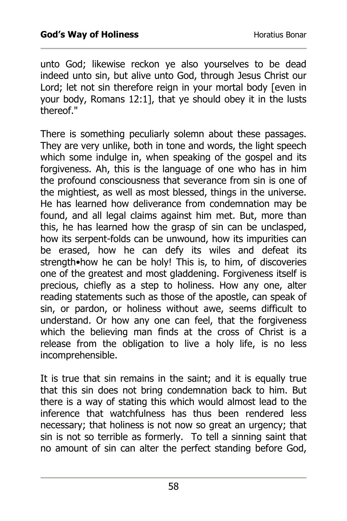unto God; likewise reckon ye also yourselves to be dead indeed unto sin, but alive unto God, through Jesus Christ our Lord; let not sin therefore reign in your mortal body [even in your body, Romans 12:1], that ye should obey it in the lusts thereof."

There is something peculiarly solemn about these passages. They are very unlike, both in tone and words, the light speech which some indulge in, when speaking of the gospel and its forgiveness. Ah, this is the language of one who has in him the profound consciousness that severance from sin is one of the mightiest, as well as most blessed, things in the universe. He has learned how deliverance from condemnation may be found, and all legal claims against him met. But, more than this, he has learned how the grasp of sin can be unclasped, how its serpent-folds can be unwound, how its impurities can be erased, how he can defy its wiles and defeat its strength•how he can be holy! This is, to him, of discoveries one of the greatest and most gladdening. Forgiveness itself is precious, chiefly as a step to holiness. How any one, alter reading statements such as those of the apostle, can speak of sin, or pardon, or holiness without awe, seems difficult to understand. Or how any one can feel, that the forgiveness which the believing man finds at the cross of Christ is a release from the obligation to live a holy life, is no less incomprehensible.

It is true that sin remains in the saint; and it is equally true that this sin does not bring condemnation back to him. But there is a way of stating this which would almost lead to the inference that watchfulness has thus been rendered less necessary; that holiness is not now so great an urgency; that sin is not so terrible as formerly. To tell a sinning saint that no amount of sin can alter the perfect standing before God,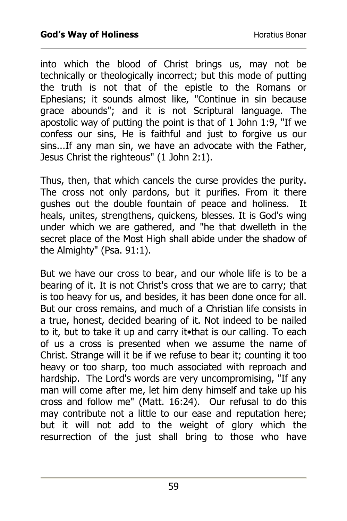into which the blood of Christ brings us, may not be technically or theologically incorrect; but this mode of putting the truth is not that of the epistle to the Romans or Ephesians; it sounds almost like, "Continue in sin because grace abounds"; and it is not Scriptural language. The apostolic way of putting the point is that of 1 John 1:9, "If we confess our sins, He is faithful and just to forgive us our sins...If any man sin, we have an advocate with the Father, Jesus Christ the righteous" (1 John 2:1).

Thus, then, that which cancels the curse provides the purity. The cross not only pardons, but it purifies. From it there gushes out the double fountain of peace and holiness. It heals, unites, strengthens, quickens, blesses. It is God's wing under which we are gathered, and "he that dwelleth in the secret place of the Most High shall abide under the shadow of the Almighty" (Psa. 91:1).

But we have our cross to bear, and our whole life is to be a bearing of it. It is not Christ's cross that we are to carry; that is too heavy for us, and besides, it has been done once for all. But our cross remains, and much of a Christian life consists in a true, honest, decided bearing of it. Not indeed to be nailed to it, but to take it up and carry it•that is our calling. To each of us a cross is presented when we assume the name of Christ. Strange will it be if we refuse to bear it; counting it too heavy or too sharp, too much associated with reproach and hardship. The Lord's words are very uncompromising, "If any man will come after me, let him deny himself and take up his cross and follow me" (Matt. 16:24). Our refusal to do this may contribute not a little to our ease and reputation here; but it will not add to the weight of glory which the resurrection of the just shall bring to those who have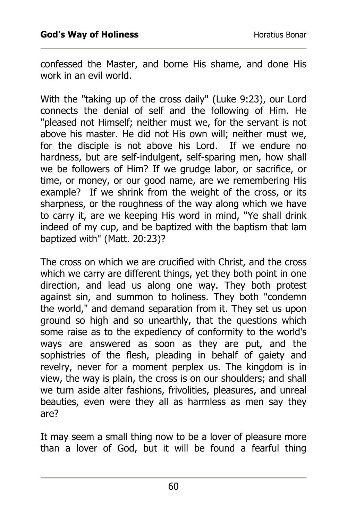confessed the Master, and borne His shame, and done His work in an evil world.

With the "taking up of the cross daily" (Luke 9:23), our Lord connects the denial of self and the following of Him. He "pleased not Himself; neither must we, for the servant is not above his master. He did not His own will; neither must we, for the disciple is not above his Lord. If we endure no hardness, but are self-indulgent, self-sparing men, how shall we be followers of Him? If we grudge labor, or sacrifice, or time, or money, or our good name, are we remembering His example? If we shrink from the weight of the cross, or its sharpness, or the roughness of the way along which we have to carry it, are we keeping His word in mind, "Ye shall drink indeed of my cup, and be baptized with the baptism that lam baptized with" (Matt. 20:23)?

The cross on which we are crucified with Christ, and the cross which we carry are different things, yet they both point in one direction, and lead us along one way. They both protest against sin, and summon to holiness. They both "condemn the world," and demand separation from it. They set us upon ground so high and so unearthly, that the questions which some raise as to the expediency of conformity to the world's ways are answered as soon as they are put, and the sophistries of the flesh, pleading in behalf of gaiety and revelry, never for a moment perplex us. The kingdom is in view, the way is plain, the cross is on our shoulders; and shall we turn aside alter fashions, frivolities, pleasures, and unreal beauties, even were they all as harmless as men say they are?

It may seem a small thing now to be a lover of pleasure more than a lover of God, but it will be found a fearful thing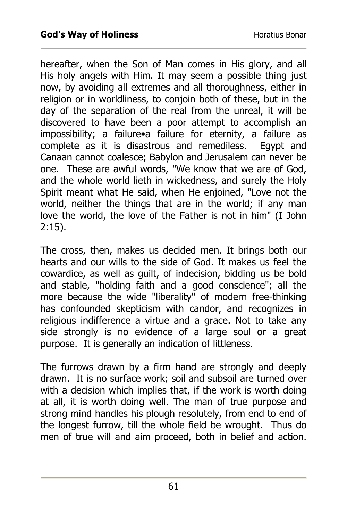hereafter, when the Son of Man comes in His glory, and all His holy angels with Him. It may seem a possible thing just now, by avoiding all extremes and all thoroughness, either in religion or in worldliness, to conjoin both of these, but in the day of the separation of the real from the unreal, it will be discovered to have been a poor attempt to accomplish an impossibility; a failure•a failure for eternity, a failure as complete as it is disastrous and remediless. Egypt and Canaan cannot coalesce; Babylon and Jerusalem can never be one. These are awful words, "We know that we are of God, and the whole world lieth in wickedness, and surely the Holy Spirit meant what He said, when He enjoined, "Love not the world, neither the things that are in the world; if any man love the world, the love of the Father is not in him" (I John 2:15).

The cross, then, makes us decided men. It brings both our hearts and our wills to the side of God. It makes us feel the cowardice, as well as guilt, of indecision, bidding us be bold and stable, "holding faith and a good conscience"; all the more because the wide "liberality" of modern free-thinking has confounded skepticism with candor, and recognizes in religious indifference a virtue and a grace. Not to take any side strongly is no evidence of a large soul or a great purpose. It is generally an indication of littleness.

The furrows drawn by a firm hand are strongly and deeply drawn. It is no surface work; soil and subsoil are turned over with a decision which implies that, if the work is worth doing at all, it is worth doing well. The man of true purpose and strong mind handles his plough resolutely, from end to end of the longest furrow, till the whole field be wrought. Thus do men of true will and aim proceed, both in belief and action.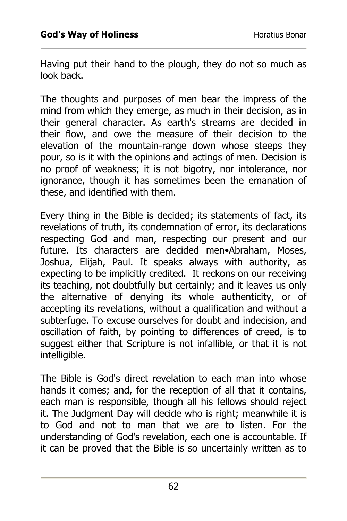Having put their hand to the plough, they do not so much as look back.

The thoughts and purposes of men bear the impress of the mind from which they emerge, as much in their decision, as in their general character. As earth's streams are decided in their flow, and owe the measure of their decision to the elevation of the mountain-range down whose steeps they pour, so is it with the opinions and actings of men. Decision is no proof of weakness; it is not bigotry, nor intolerance, nor ignorance, though it has sometimes been the emanation of these, and identified with them.

Every thing in the Bible is decided; its statements of fact, its revelations of truth, its condemnation of error, its declarations respecting God and man, respecting our present and our future. Its characters are decided men•Abraham, Moses, Joshua, Elijah, Paul. It speaks always with authority, as expecting to be implicitly credited. It reckons on our receiving its teaching, not doubtfully but certainly; and it leaves us only the alternative of denying its whole authenticity, or of accepting its revelations, without a qualification and without a subterfuge. To excuse ourselves for doubt and indecision, and oscillation of faith, by pointing to differences of creed, is to suggest either that Scripture is not infallible, or that it is not intelligible.

The Bible is God's direct revelation to each man into whose hands it comes; and, for the reception of all that it contains, each man is responsible, though all his fellows should reject it. The Judgment Day will decide who is right; meanwhile it is to God and not to man that we are to listen. For the understanding of God's revelation, each one is accountable. If it can be proved that the Bible is so uncertainly written as to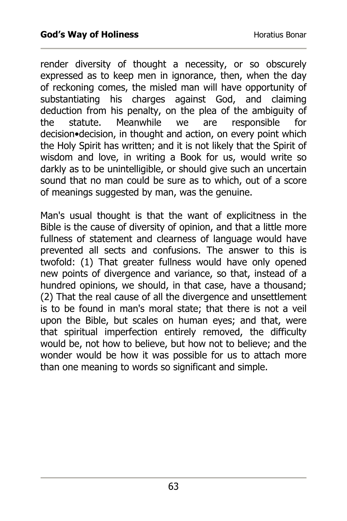render diversity of thought a necessity, or so obscurely expressed as to keep men in ignorance, then, when the day of reckoning comes, the misled man will have opportunity of substantiating his charges against God, and claiming deduction from his penalty, on the plea of the ambiguity of the statute. Meanwhile we are responsible for decision•decision, in thought and action, on every point which the Holy Spirit has written; and it is not likely that the Spirit of wisdom and love, in writing a Book for us, would write so darkly as to be unintelligible, or should give such an uncertain sound that no man could be sure as to which, out of a score of meanings suggested by man, was the genuine.

Man's usual thought is that the want of explicitness in the Bible is the cause of diversity of opinion, and that a little more fullness of statement and clearness of language would have prevented all sects and confusions. The answer to this is twofold: (1) That greater fullness would have only opened new points of divergence and variance, so that, instead of a hundred opinions, we should, in that case, have a thousand; (2) That the real cause of all the divergence and unsettlement is to be found in man's moral state; that there is not a veil upon the Bible, but scales on human eyes; and that, were that spiritual imperfection entirely removed, the difficulty would be, not how to believe, but how not to believe; and the wonder would be how it was possible for us to attach more than one meaning to words so significant and simple.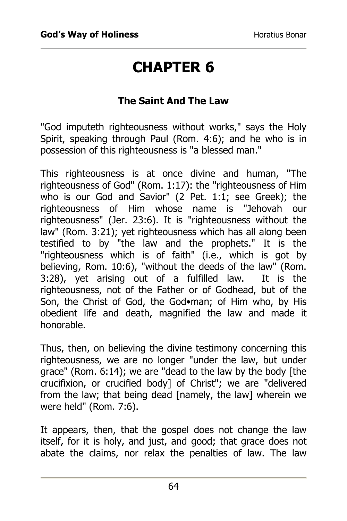# **CHAPTER 6**

### **The Saint And The Law**

"God imputeth righteousness without works," says the Holy Spirit, speaking through Paul (Rom. 4:6); and he who is in possession of this righteousness is "a blessed man."

This righteousness is at once divine and human, "The righteousness of God" (Rom. 1:17): the "righteousness of Him who is our God and Savior" (2 Pet. 1:1; see Greek); the righteousness of Him whose name is "Jehovah our righteousness" (Jer. 23:6). It is "righteousness without the law" (Rom. 3:21); yet righteousness which has all along been testified to by "the law and the prophets." It is the "righteousness which is of faith" (i.e., which is got by believing, Rom. 10:6), "without the deeds of the law" (Rom. 3:28), yet arising out of a fulfilled law. It is the righteousness, not of the Father or of Godhead, but of the Son, the Christ of God, the God•man; of Him who, by His obedient life and death, magnified the law and made it honorable.

Thus, then, on believing the divine testimony concerning this righteousness, we are no longer "under the law, but under grace" (Rom. 6:14); we are "dead to the law by the body [the crucifixion, or crucified body] of Christ"; we are "delivered from the law; that being dead [namely, the law] wherein we were held" (Rom. 7:6).

It appears, then, that the gospel does not change the law itself, for it is holy, and just, and good; that grace does not abate the claims, nor relax the penalties of law. The law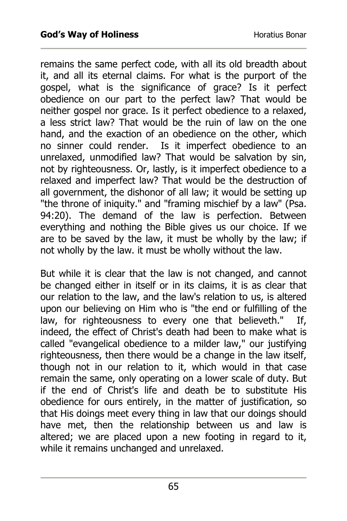remains the same perfect code, with all its old breadth about it, and all its eternal claims. For what is the purport of the gospel, what is the significance of grace? Is it perfect obedience on our part to the perfect law? That would be neither gospel nor grace. Is it perfect obedience to a relaxed, a less strict law? That would be the ruin of law on the one hand, and the exaction of an obedience on the other, which no sinner could render. Is it imperfect obedience to an unrelaxed, unmodified law? That would be salvation by sin, not by righteousness. Or, lastly, is it imperfect obedience to a relaxed and imperfect law? That would be the destruction of all government, the dishonor of all law; it would be setting up "the throne of iniquity." and "framing mischief by a law" (Psa. 94:20). The demand of the law is perfection. Between everything and nothing the Bible gives us our choice. If we are to be saved by the law, it must be wholly by the law; if not wholly by the law. it must be wholly without the law.

But while it is clear that the law is not changed, and cannot be changed either in itself or in its claims, it is as clear that our relation to the law, and the law's relation to us, is altered upon our believing on Him who is "the end or fulfilling of the law, for righteousness to every one that believeth." If, indeed, the effect of Christ's death had been to make what is called "evangelical obedience to a milder law," our justifying righteousness, then there would be a change in the law itself, though not in our relation to it, which would in that case remain the same, only operating on a lower scale of duty. But if the end of Christ's life and death be to substitute His obedience for ours entirely, in the matter of justification, so that His doings meet every thing in law that our doings should have met, then the relationship between us and law is altered; we are placed upon a new footing in regard to it, while it remains unchanged and unrelaxed.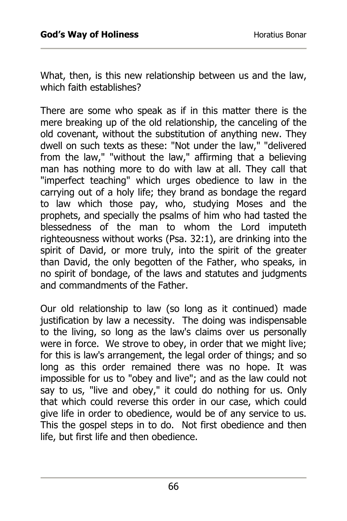What, then, is this new relationship between us and the law, which faith establishes?

There are some who speak as if in this matter there is the mere breaking up of the old relationship, the canceling of the old covenant, without the substitution of anything new. They dwell on such texts as these: "Not under the law," "delivered from the law," "without the law," affirming that a believing man has nothing more to do with law at all. They call that "imperfect teaching" which urges obedience to law in the carrying out of a holy life; they brand as bondage the regard to law which those pay, who, studying Moses and the prophets, and specially the psalms of him who had tasted the blessedness of the man to whom the Lord imputeth righteousness without works (Psa. 32:1), are drinking into the spirit of David, or more truly, into the spirit of the greater than David, the only begotten of the Father, who speaks, in no spirit of bondage, of the laws and statutes and judgments and commandments of the Father.

Our old relationship to law (so long as it continued) made justification by law a necessity. The doing was indispensable to the living, so long as the law's claims over us personally were in force. We strove to obey, in order that we might live; for this is law's arrangement, the legal order of things; and so long as this order remained there was no hope. It was impossible for us to "obey and live"; and as the law could not say to us, "live and obey," it could do nothing for us. Only that which could reverse this order in our case, which could give life in order to obedience, would be of any service to us. This the gospel steps in to do. Not first obedience and then life, but first life and then obedience.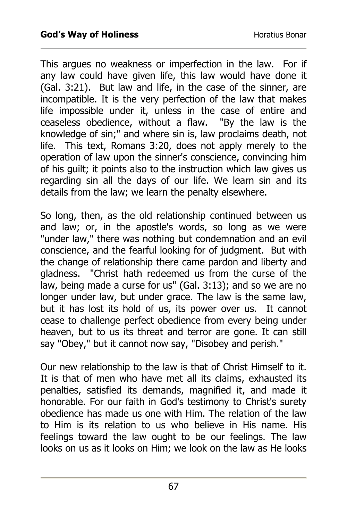This argues no weakness or imperfection in the law. For if any law could have given life, this law would have done it (Gal. 3:21). But law and life, in the case of the sinner, are incompatible. It is the very perfection of the law that makes life impossible under it, unless in the case of entire and ceaseless obedience, without a flaw. "By the law is the knowledge of sin;" and where sin is, law proclaims death, not life. This text, Romans 3:20, does not apply merely to the operation of law upon the sinner's conscience, convincing him of his guilt; it points also to the instruction which law gives us regarding sin all the days of our life. We learn sin and its details from the law; we learn the penalty elsewhere.

So long, then, as the old relationship continued between us and law; or, in the apostle's words, so long as we were "under law," there was nothing but condemnation and an evil conscience, and the fearful looking for of judgment. But with the change of relationship there came pardon and liberty and gladness. "Christ hath redeemed us from the curse of the law, being made a curse for us" (Gal. 3:13); and so we are no longer under law, but under grace. The law is the same law, but it has lost its hold of us, its power over us. It cannot cease to challenge perfect obedience from every being under heaven, but to us its threat and terror are gone. It can still say "Obey," but it cannot now say, "Disobey and perish."

Our new relationship to the law is that of Christ Himself to it. It is that of men who have met all its claims, exhausted its penalties, satisfied its demands, magnified it, and made it honorable. For our faith in God's testimony to Christ's surety obedience has made us one with Him. The relation of the law to Him is its relation to us who believe in His name. His feelings toward the law ought to be our feelings. The law looks on us as it looks on Him; we look on the law as He looks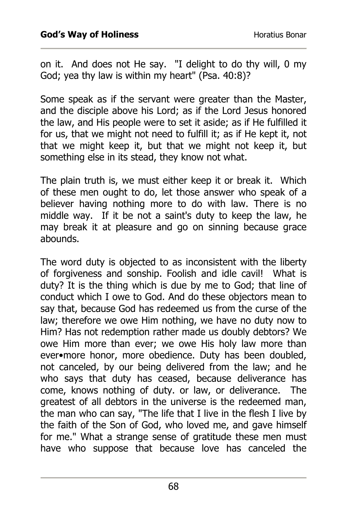on it. And does not He say. "I delight to do thy will, 0 my God; yea thy law is within my heart" (Psa. 40:8)?

Some speak as if the servant were greater than the Master, and the disciple above his Lord; as if the Lord Jesus honored the law, and His people were to set it aside; as if He fulfilled it for us, that we might not need to fulfill it; as if He kept it, not that we might keep it, but that we might not keep it, but something else in its stead, they know not what.

The plain truth is, we must either keep it or break it. Which of these men ought to do, let those answer who speak of a believer having nothing more to do with law. There is no middle way. If it be not a saint's duty to keep the law, he may break it at pleasure and go on sinning because grace abounds.

The word duty is objected to as inconsistent with the liberty of forgiveness and sonship. Foolish and idle cavil! What is duty? It is the thing which is due by me to God; that line of conduct which I owe to God. And do these objectors mean to say that, because God has redeemed us from the curse of the law; therefore we owe Him nothing, we have no duty now to Him? Has not redemption rather made us doubly debtors? We owe Him more than ever; we owe His holy law more than ever•more honor, more obedience. Duty has been doubled, not canceled, by our being delivered from the law; and he who says that duty has ceased, because deliverance has come, knows nothing of duty. or law, or deliverance. The greatest of all debtors in the universe is the redeemed man, the man who can say, "The life that I live in the flesh I live by the faith of the Son of God, who loved me, and gave himself for me." What a strange sense of gratitude these men must have who suppose that because love has canceled the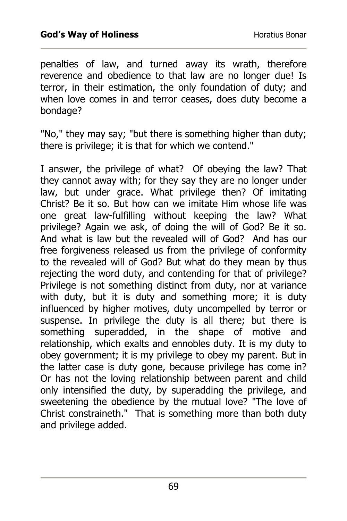penalties of law, and turned away its wrath, therefore reverence and obedience to that law are no longer due! Is terror, in their estimation, the only foundation of duty; and when love comes in and terror ceases, does duty become a bondage?

"No," they may say; "but there is something higher than duty; there is privilege; it is that for which we contend."

I answer, the privilege of what? Of obeying the law? That they cannot away with; for they say they are no longer under law, but under grace. What privilege then? Of imitating Christ? Be it so. But how can we imitate Him whose life was one great law-fulfilling without keeping the law? What privilege? Again we ask, of doing the will of God? Be it so. And what is law but the revealed will of God? And has our free forgiveness released us from the privilege of conformity to the revealed will of God? But what do they mean by thus rejecting the word duty, and contending for that of privilege? Privilege is not something distinct from duty, nor at variance with duty, but it is duty and something more; it is duty influenced by higher motives, duty uncompelled by terror or suspense. In privilege the duty is all there; but there is something superadded, in the shape of motive and relationship, which exalts and ennobles duty. It is my duty to obey government; it is my privilege to obey my parent. But in the latter case is duty gone, because privilege has come in? Or has not the loving relationship between parent and child only intensified the duty, by superadding the privilege, and sweetening the obedience by the mutual love? "The love of Christ constraineth." That is something more than both duty and privilege added.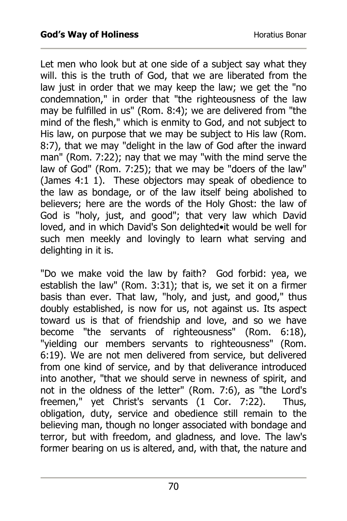Let men who look but at one side of a subject say what they will. this is the truth of God, that we are liberated from the law just in order that we may keep the law; we get the "no condemnation," in order that "the righteousness of the law may be fulfilled in us" (Rom. 8:4); we are delivered from "the mind of the flesh," which is enmity to God, and not subject to His law, on purpose that we may be subject to His law (Rom. 8:7), that we may "delight in the law of God after the inward man" (Rom. 7:22); nay that we may "with the mind serve the law of God" (Rom. 7:25); that we may be "doers of the law" (James 4:1 1). These objectors may speak of obedience to the law as bondage, or of the law itself being abolished to believers; here are the words of the Holy Ghost: the law of God is "holy, just, and good"; that very law which David loved, and in which David's Son delighted•it would be well for such men meekly and lovingly to learn what serving and delighting in it is.

"Do we make void the law by faith? God forbid: yea, we establish the law" (Rom. 3:31); that is, we set it on a firmer basis than ever. That law, "holy, and just, and good," thus doubly established, is now for us, not against us. Its aspect toward us is that of friendship and love, and so we have become "the servants of righteousness" (Rom. 6:18), "yielding our members servants to righteousness" (Rom. 6:19). We are not men delivered from service, but delivered from one kind of service, and by that deliverance introduced into another, "that we should serve in newness of spirit, and not in the oldness of the letter" (Rom. 7:6), as "the Lord's freemen," yet Christ's servants (1 Cor. 7:22). Thus, obligation, duty, service and obedience still remain to the believing man, though no longer associated with bondage and terror, but with freedom, and gladness, and love. The law's former bearing on us is altered, and, with that, the nature and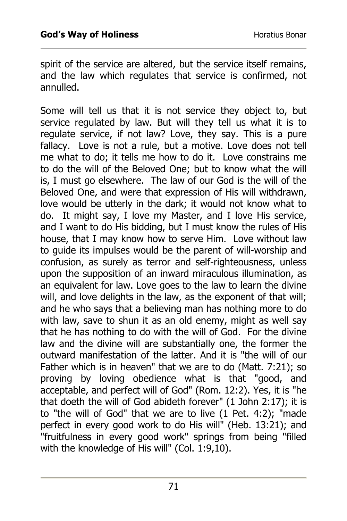spirit of the service are altered, but the service itself remains, and the law which regulates that service is confirmed, not annulled.

Some will tell us that it is not service they object to, but service regulated by law. But will they tell us what it is to regulate service, if not law? Love, they say. This is a pure fallacy. Love is not a rule, but a motive. Love does not tell me what to do; it tells me how to do it. Love constrains me to do the will of the Beloved One; but to know what the will is, I must go elsewhere. The law of our God is the will of the Beloved One, and were that expression of His will withdrawn, love would be utterly in the dark; it would not know what to do. It might say, I love my Master, and I love His service, and I want to do His bidding, but I must know the rules of His house, that I may know how to serve Him. Love without law to guide its impulses would be the parent of will-worship and confusion, as surely as terror and self-righteousness, unless upon the supposition of an inward miraculous illumination, as an equivalent for law. Love goes to the law to learn the divine will, and love delights in the law, as the exponent of that will; and he who says that a believing man has nothing more to do with law, save to shun it as an old enemy, might as well say that he has nothing to do with the will of God. For the divine law and the divine will are substantially one, the former the outward manifestation of the latter. And it is "the will of our Father which is in heaven" that we are to do (Matt. 7:21); so proving by loving obedience what is that "good, and acceptable, and perfect will of God" (Rom. 12:2). Yes, it is "he that doeth the will of God abideth forever" (1 John 2:17); it is to "the will of God" that we are to live (1 Pet. 4:2); "made perfect in every good work to do His will" (Heb. 13:21); and "fruitfulness in every good work" springs from being "filled with the knowledge of His will" (Col. 1:9,10).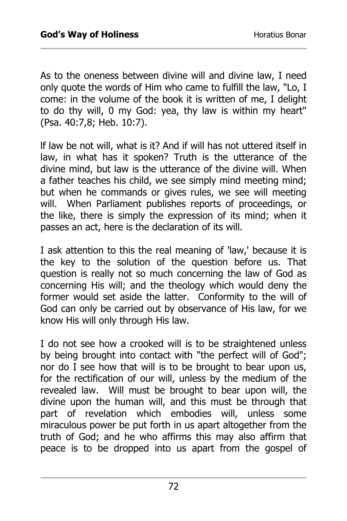As to the oneness between divine will and divine law, I need only quote the words of Him who came to fulfill the law, "Lo, I come: in the volume of the book it is written of me, I delight to do thy will, 0 my God: yea, thy law is within my heart" (Psa. 40:7,8; Heb. 10:7).

lf law be not will, what is it? And if will has not uttered itself in law, in what has it spoken? Truth is the utterance of the divine mind, but law is the utterance of the divine will. When a father teaches his child, we see simply mind meeting mind; but when he commands or gives rules, we see will meeting will. When Parliament publishes reports of proceedings, or the like, there is simply the expression of its mind; when it passes an act, here is the declaration of its will.

I ask attention to this the real meaning of 'law,' because it is the key to the solution of the question before us. That question is really not so much concerning the law of God as concerning His will; and the theology which would deny the former would set aside the latter. Conformity to the will of God can only be carried out by observance of His law, for we know His will only through His law.

I do not see how a crooked will is to be straightened unless by being brought into contact with "the perfect will of God"; nor do I see how that will is to be brought to bear upon us, for the rectification of our will, unless by the medium of the revealed law. Will must be brought to bear upon will, the divine upon the human will, and this must be through that part of revelation which embodies will, unless some miraculous power be put forth in us apart altogether from the truth of God; and he who affirms this may also affirm that peace is to be dropped into us apart from the gospel of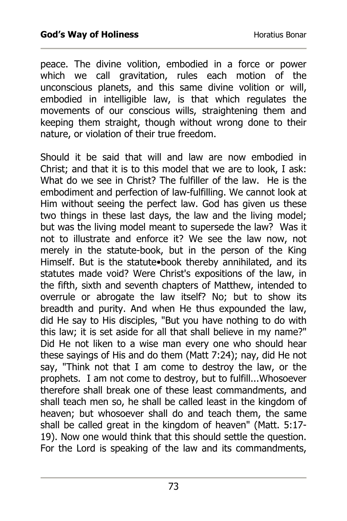peace. The divine volition, embodied in a force or power which we call gravitation, rules each motion of the unconscious planets, and this same divine volition or will, embodied in intelligible law, is that which regulates the movements of our conscious wills, straightening them and keeping them straight, though without wrong done to their nature, or violation of their true freedom.

Should it be said that will and law are now embodied in Christ; and that it is to this model that we are to look, I ask: What do we see in Christ? The fulfiller of the law. He is the embodiment and perfection of law-fulfilling. We cannot look at Him without seeing the perfect law. God has given us these two things in these last days, the law and the living model; but was the living model meant to supersede the law? Was it not to illustrate and enforce it? We see the law now, not merely in the statute-book, but in the person of the King Himself. But is the statute•book thereby annihilated, and its statutes made void? Were Christ's expositions of the law, in the fifth, sixth and seventh chapters of Matthew, intended to overrule or abrogate the law itself? No; but to show its breadth and purity. And when He thus expounded the law, did He say to His disciples, "But you have nothing to do with this law; it is set aside for all that shall believe in my name?" Did He not liken to a wise man every one who should hear these sayings of His and do them (Matt 7:24); nay, did He not say, "Think not that I am come to destroy the law, or the prophets. I am not come to destroy, but to fulfill...Whosoever therefore shall break one of these least commandments, and shall teach men so, he shall be called least in the kingdom of heaven; but whosoever shall do and teach them, the same shall be called great in the kingdom of heaven" (Matt. 5:17- 19). Now one would think that this should settle the question. For the Lord is speaking of the law and its commandments,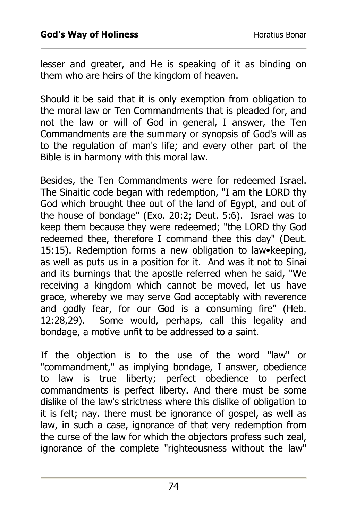lesser and greater, and He is speaking of it as binding on them who are heirs of the kingdom of heaven.

Should it be said that it is only exemption from obligation to the moral law or Ten Commandments that is pleaded for, and not the law or will of God in general, I answer, the Ten Commandments are the summary or synopsis of God's will as to the regulation of man's life; and every other part of the Bible is in harmony with this moral law.

Besides, the Ten Commandments were for redeemed Israel. The Sinaitic code began with redemption, "I am the LORD thy God which brought thee out of the land of Egypt, and out of the house of bondage" (Exo. 20:2; Deut. 5:6). Israel was to keep them because they were redeemed; "the LORD thy God redeemed thee, therefore I command thee this day" (Deut. 15:15). Redemption forms a new obligation to law•keeping, as well as puts us in a position for it. And was it not to Sinai and its burnings that the apostle referred when he said, "We receiving a kingdom which cannot be moved, let us have grace, whereby we may serve God acceptably with reverence and godly fear, for our God is a consuming fire" (Heb. 12:28,29). Some would, perhaps, call this legality and bondage, a motive unfit to be addressed to a saint.

If the objection is to the use of the word "law" or "commandment," as implying bondage, I answer, obedience to law is true liberty; perfect obedience to perfect commandments is perfect liberty. And there must be some dislike of the law's strictness where this dislike of obligation to it is felt; nay. there must be ignorance of gospel, as well as law, in such a case, ignorance of that very redemption from the curse of the law for which the objectors profess such zeal, ignorance of the complete "righteousness without the law"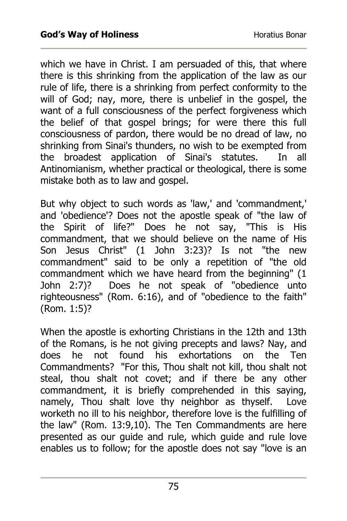which we have in Christ. I am persuaded of this, that where there is this shrinking from the application of the law as our rule of life, there is a shrinking from perfect conformity to the will of God; nay, more, there is unbelief in the gospel, the want of a full consciousness of the perfect forgiveness which the belief of that gospel brings; for were there this full consciousness of pardon, there would be no dread of law, no shrinking from Sinai's thunders, no wish to be exempted from the broadest application of Sinai's statutes. In all Antinomianism, whether practical or theological, there is some mistake both as to law and gospel.

But why object to such words as 'law,' and 'commandment,' and 'obedience'? Does not the apostle speak of "the law of the Spirit of life?" Does he not say, "This is His commandment, that we should believe on the name of His Son Jesus Christ" (1 John 3:23)? Is not "the new commandment" said to be only a repetition of "the old commandment which we have heard from the beginning" (1 John 2:7)? Does he not speak of "obedience unto righteousness" (Rom. 6:16), and of "obedience to the faith" (Rom. 1:5)?

When the apostle is exhorting Christians in the 12th and 13th of the Romans, is he not giving precepts and laws? Nay, and does he not found his exhortations on the Ten Commandments? "For this, Thou shalt not kill, thou shalt not steal, thou shalt not covet; and if there be any other commandment, it is briefly comprehended in this saying, namely, Thou shalt love thy neighbor as thyself. Love worketh no ill to his neighbor, therefore love is the fulfilling of the law" (Rom. 13:9,10). The Ten Commandments are here presented as our guide and rule, which guide and rule love enables us to follow; for the apostle does not say "love is an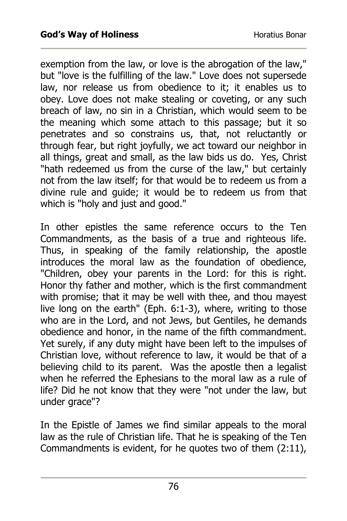exemption from the law, or love is the abrogation of the law," but "love is the fulfilling of the law." Love does not supersede law, nor release us from obedience to it; it enables us to obey. Love does not make stealing or coveting, or any such breach of law, no sin in a Christian, which would seem to be the meaning which some attach to this passage; but it so penetrates and so constrains us, that, not reluctantly or through fear, but right joyfully, we act toward our neighbor in all things, great and small, as the law bids us do. Yes, Christ "hath redeemed us from the curse of the law," but certainly not from the law itself; for that would be to redeem us from a divine rule and guide; it would be to redeem us from that which is "holy and just and good."

In other epistles the same reference occurs to the Ten Commandments, as the basis of a true and righteous life. Thus, in speaking of the family relationship, the apostle introduces the moral law as the foundation of obedience, "Children, obey your parents in the Lord: for this is right. Honor thy father and mother, which is the first commandment with promise; that it may be well with thee, and thou mayest live long on the earth" (Eph. 6:1-3), where, writing to those who are in the Lord, and not Jews, but Gentiles, he demands obedience and honor, in the name of the fifth commandment. Yet surely, if any duty might have been left to the impulses of Christian love, without reference to law, it would be that of a believing child to its parent. Was the apostle then a legalist when he referred the Ephesians to the moral law as a rule of life? Did he not know that they were "not under the law, but under grace"?

In the Epistle of James we find similar appeals to the moral law as the rule of Christian life. That he is speaking of the Ten Commandments is evident, for he quotes two of them (2:11),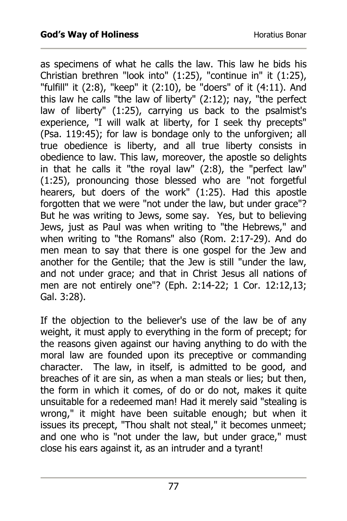as specimens of what he calls the law. This law he bids his Christian brethren "look into" (1:25), "continue in" it (1:25), "fulfill" it (2:8), "keep" it (2:10), be "doers" of it (4:11). And this law he calls "the law of liberty" (2:12); nay, "the perfect law of liberty" (1:25), carrying us back to the psalmist's experience, "I will walk at liberty, for I seek thy precepts" (Psa. 119:45); for law is bondage only to the unforgiven; all true obedience is liberty, and all true liberty consists in obedience to law. This law, moreover, the apostle so delights in that he calls it "the royal law" (2:8), the "perfect law" (1:25), pronouncing those blessed who are "not forgetful hearers, but doers of the work" (1:25). Had this apostle forgotten that we were "not under the law, but under grace"? But he was writing to Jews, some say. Yes, but to believing Jews, just as Paul was when writing to "the Hebrews," and when writing to "the Romans" also (Rom. 2:17-29). And do men mean to say that there is one gospel for the Jew and another for the Gentile; that the Jew is still "under the law, and not under grace; and that in Christ Jesus all nations of men are not entirely one"? (Eph. 2:14-22; 1 Cor. 12:12,13; Gal. 3:28).

If the objection to the believer's use of the law be of any weight, it must apply to everything in the form of precept; for the reasons given against our having anything to do with the moral law are founded upon its preceptive or commanding character. The law, in itself, is admitted to be good, and breaches of it are sin, as when a man steals or lies; but then, the form in which it comes, of do or do not, makes it quite unsuitable for a redeemed man! Had it merely said "stealing is wrong," it might have been suitable enough; but when it issues its precept, "Thou shalt not steal," it becomes unmeet; and one who is "not under the law, but under grace," must close his ears against it, as an intruder and a tyrant!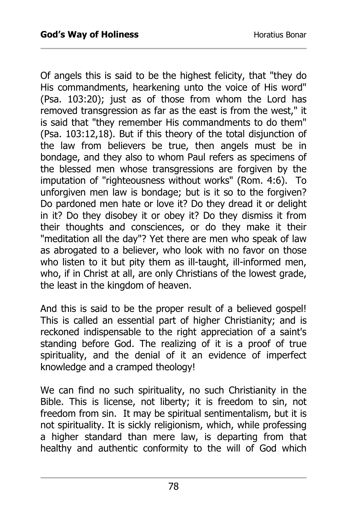Of angels this is said to be the highest felicity, that "they do His commandments, hearkening unto the voice of His word" (Psa. 103:20); just as of those from whom the Lord has removed transgression as far as the east is from the west," it is said that "they remember His commandments to do them" (Psa. 103:12,18). But if this theory of the total disjunction of the law from believers be true, then angels must be in bondage, and they also to whom Paul refers as specimens of the blessed men whose transgressions are forgiven by the imputation of "righteousness without works" (Rom. 4:6). To unforgiven men law is bondage; but is it so to the forgiven? Do pardoned men hate or love it? Do they dread it or delight in it? Do they disobey it or obey it? Do they dismiss it from their thoughts and consciences, or do they make it their "meditation all the day"? Yet there are men who speak of law as abrogated to a believer, who look with no favor on those who listen to it but pity them as ill-taught, ill-informed men, who, if in Christ at all, are only Christians of the lowest grade, the least in the kingdom of heaven.

And this is said to be the proper result of a believed gospel! This is called an essential part of higher Christianity; and is reckoned indispensable to the right appreciation of a saint's standing before God. The realizing of it is a proof of true spirituality, and the denial of it an evidence of imperfect knowledge and a cramped theology!

We can find no such spirituality, no such Christianity in the Bible. This is license, not liberty; it is freedom to sin, not freedom from sin. It may be spiritual sentimentalism, but it is not spirituality. It is sickly religionism, which, while professing a higher standard than mere law, is departing from that healthy and authentic conformity to the will of God which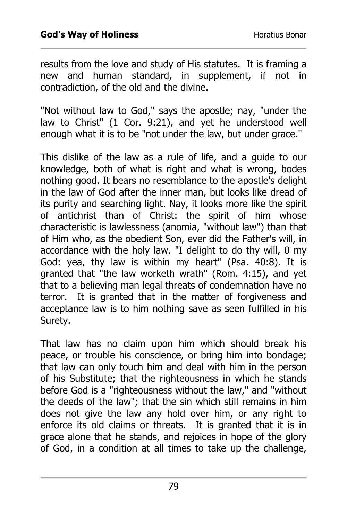results from the love and study of His statutes. It is framing a new and human standard, in supplement, if not in contradiction, of the old and the divine.

"Not without law to God," says the apostle; nay, "under the law to Christ" (1 Cor. 9:21), and yet he understood well enough what it is to be "not under the law, but under grace."

This dislike of the law as a rule of life, and a guide to our knowledge, both of what is right and what is wrong, bodes nothing good. It bears no resemblance to the apostle's delight in the law of God after the inner man, but looks like dread of its purity and searching light. Nay, it looks more like the spirit of antichrist than of Christ: the spirit of him whose characteristic is lawlessness (anomia, "without law") than that of Him who, as the obedient Son, ever did the Father's will, in accordance with the holy law. "I delight to do thy will, 0 my God: yea, thy law is within my heart" (Psa. 40:8). It is granted that "the law worketh wrath" (Rom. 4:15), and yet that to a believing man legal threats of condemnation have no terror. It is granted that in the matter of forgiveness and acceptance law is to him nothing save as seen fulfilled in his Surety.

That law has no claim upon him which should break his peace, or trouble his conscience, or bring him into bondage; that law can only touch him and deal with him in the person of his Substitute; that the righteousness in which he stands before God is a "righteousness without the law," and "without the deeds of the law"; that the sin which still remains in him does not give the law any hold over him, or any right to enforce its old claims or threats. It is granted that it is in grace alone that he stands, and rejoices in hope of the glory of God, in a condition at all times to take up the challenge,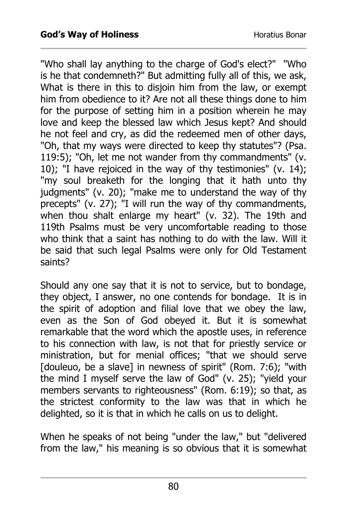"Who shall lay anything to the charge of God's elect?" "Who is he that condemneth?" But admitting fully all of this, we ask, What is there in this to disjoin him from the law, or exempt him from obedience to it? Are not all these things done to him for the purpose of setting him in a position wherein he may love and keep the blessed law which Jesus kept? And should he not feel and cry, as did the redeemed men of other days, "Oh, that my ways were directed to keep thy statutes"? (Psa. 119:5); "Oh, let me not wander from thy commandments" (v. 10); "I have rejoiced in the way of thy testimonies" (v. 14); "my soul breaketh for the longing that it hath unto thy judgments" (v. 20); "make me to understand the way of thy precepts" (v. 27); "I will run the way of thy commandments, when thou shalt enlarge my heart" (v. 32). The 19th and 119th Psalms must be very uncomfortable reading to those who think that a saint has nothing to do with the law. Will it be said that such legal Psalms were only for Old Testament saints?

Should any one say that it is not to service, but to bondage, they object, I answer, no one contends for bondage. It is in the spirit of adoption and filial love that we obey the law, even as the Son of God obeyed it. But it is somewhat remarkable that the word which the apostle uses, in reference to his connection with law, is not that for priestly service or ministration, but for menial offices; "that we should serve [douleuo, be a slave] in newness of spirit" (Rom. 7:6); "with the mind I myself serve the law of God" (v. 25); "yield your members servants to righteousness" (Rom. 6:19); so that, as the strictest conformity to the law was that in which he delighted, so it is that in which he calls on us to delight.

When he speaks of not being "under the law," but "delivered from the law," his meaning is so obvious that it is somewhat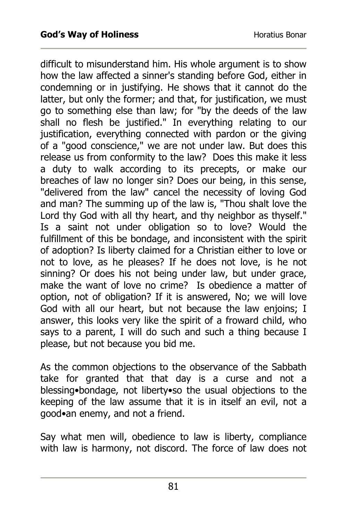difficult to misunderstand him. His whole argument is to show how the law affected a sinner's standing before God, either in condemning or in justifying. He shows that it cannot do the latter, but only the former; and that, for justification, we must go to something else than law; for "by the deeds of the law shall no flesh be justified." In everything relating to our justification, everything connected with pardon or the giving of a "good conscience," we are not under law. But does this release us from conformity to the law? Does this make it less a duty to walk according to its precepts, or make our breaches of law no longer sin? Does our being, in this sense, "delivered from the law" cancel the necessity of loving God and man? The summing up of the law is, "Thou shalt love the Lord thy God with all thy heart, and thy neighbor as thyself." Is a saint not under obligation so to love? Would the fulfillment of this be bondage, and inconsistent with the spirit of adoption? Is liberty claimed for a Christian either to love or not to love, as he pleases? If he does not love, is he not sinning? Or does his not being under law, but under grace, make the want of love no crime? Is obedience a matter of option, not of obligation? If it is answered, No; we will love God with all our heart, but not because the law enjoins; I answer, this looks very like the spirit of a froward child, who says to a parent, I will do such and such a thing because I please, but not because you bid me.

As the common objections to the observance of the Sabbath take for granted that that day is a curse and not a blessing•bondage, not liberty•so the usual objections to the keeping of the law assume that it is in itself an evil, not a good•an enemy, and not a friend.

Say what men will, obedience to law is liberty, compliance with law is harmony, not discord. The force of law does not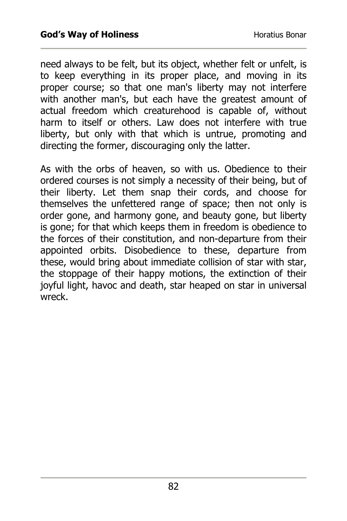need always to be felt, but its object, whether felt or unfelt, is to keep everything in its proper place, and moving in its proper course; so that one man's liberty may not interfere with another man's, but each have the greatest amount of actual freedom which creaturehood is capable of, without harm to itself or others. Law does not interfere with true liberty, but only with that which is untrue, promoting and directing the former, discouraging only the latter.

As with the orbs of heaven, so with us. Obedience to their ordered courses is not simply a necessity of their being, but of their liberty. Let them snap their cords, and choose for themselves the unfettered range of space; then not only is order gone, and harmony gone, and beauty gone, but liberty is gone; for that which keeps them in freedom is obedience to the forces of their constitution, and non-departure from their appointed orbits. Disobedience to these, departure from these, would bring about immediate collision of star with star, the stoppage of their happy motions, the extinction of their joyful light, havoc and death, star heaped on star in universal wreck.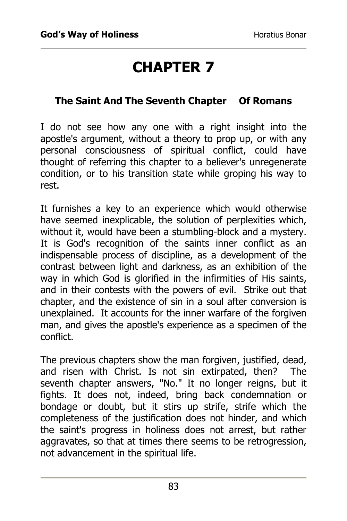# **CHAPTER 7**

### **The Saint And The Seventh Chapter Of Romans**

I do not see how any one with a right insight into the apostle's argument, without a theory to prop up, or with any personal consciousness of spiritual conflict, could have thought of referring this chapter to a believer's unregenerate condition, or to his transition state while groping his way to rest.

It furnishes a key to an experience which would otherwise have seemed inexplicable, the solution of perplexities which, without it, would have been a stumbling-block and a mystery. It is God's recognition of the saints inner conflict as an indispensable process of discipline, as a development of the contrast between light and darkness, as an exhibition of the way in which God is glorified in the infirmities of His saints, and in their contests with the powers of evil. Strike out that chapter, and the existence of sin in a soul after conversion is unexplained. It accounts for the inner warfare of the forgiven man, and gives the apostle's experience as a specimen of the conflict.

The previous chapters show the man forgiven, justified, dead, and risen with Christ. Is not sin extirpated, then? The seventh chapter answers, "No." It no longer reigns, but it fights. It does not, indeed, bring back condemnation or bondage or doubt, but it stirs up strife, strife which the completeness of the justification does not hinder, and which the saint's progress in holiness does not arrest, but rather aggravates, so that at times there seems to be retrogression, not advancement in the spiritual life.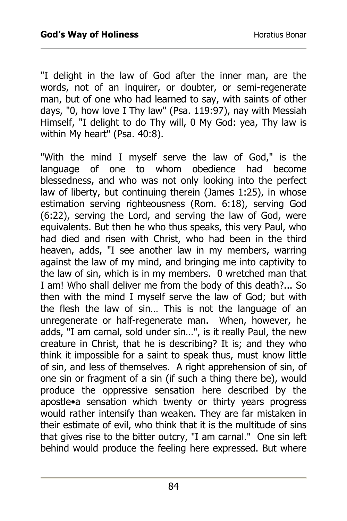"I delight in the law of God after the inner man, are the words, not of an inquirer, or doubter, or semi-regenerate man, but of one who had learned to say, with saints of other days, "0, how love I Thy law" (Psa. 119:97), nay with Messiah Himself, "I delight to do Thy will, 0 My God: yea, Thy law is within My heart" (Psa. 40:8).

"With the mind I myself serve the law of God," is the language of one to whom obedience had become blessedness, and who was not only looking into the perfect law of liberty, but continuing therein (James 1:25), in whose estimation serving righteousness (Rom. 6:18), serving God (6:22), serving the Lord, and serving the law of God, were equivalents. But then he who thus speaks, this very Paul, who had died and risen with Christ, who had been in the third heaven, adds, "I see another law in my members, warring against the law of my mind, and bringing me into captivity to the law of sin, which is in my members. 0 wretched man that I am! Who shall deliver me from the body of this death?... So then with the mind I myself serve the law of God; but with the flesh the law of sin… This is not the language of an unregenerate or half-regenerate man. When, however, he adds, "I am carnal, sold under sin…", is it really Paul, the new creature in Christ, that he is describing? It is; and they who think it impossible for a saint to speak thus, must know little of sin, and less of themselves. A right apprehension of sin, of one sin or fragment of a sin (if such a thing there be), would produce the oppressive sensation here described by the apostle•a sensation which twenty or thirty years progress would rather intensify than weaken. They are far mistaken in their estimate of evil, who think that it is the multitude of sins that gives rise to the bitter outcry, "I am carnal." One sin left behind would produce the feeling here expressed. But where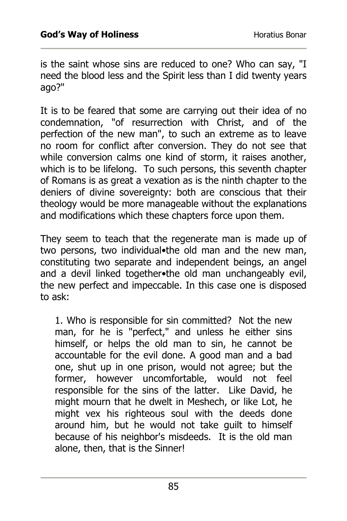is the saint whose sins are reduced to one? Who can say, "I need the blood less and the Spirit less than I did twenty years ago?"

It is to be feared that some are carrying out their idea of no condemnation, "of resurrection with Christ, and of the perfection of the new man", to such an extreme as to leave no room for conflict after conversion. They do not see that while conversion calms one kind of storm, it raises another, which is to be lifelong. To such persons, this seventh chapter of Romans is as great a vexation as is the ninth chapter to the deniers of divine sovereignty: both are conscious that their theology would be more manageable without the explanations and modifications which these chapters force upon them.

They seem to teach that the regenerate man is made up of two persons, two individual•the old man and the new man, constituting two separate and independent beings, an angel and a devil linked together•the old man unchangeably evil, the new perfect and impeccable. In this case one is disposed to ask:

1. Who is responsible for sin committed? Not the new man, for he is "perfect," and unless he either sins himself, or helps the old man to sin, he cannot be accountable for the evil done. A good man and a bad one, shut up in one prison, would not agree; but the former, however uncomfortable, would not feel responsible for the sins of the latter. Like David, he might mourn that he dwelt in Meshech, or like Lot, he might vex his righteous soul with the deeds done around him, but he would not take guilt to himself because of his neighbor's misdeeds. It is the old man alone, then, that is the Sinner!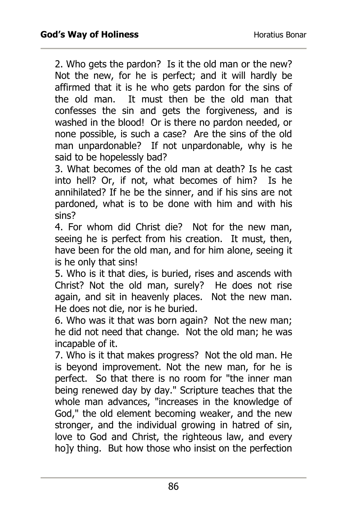2. Who gets the pardon? Is it the old man or the new? Not the new, for he is perfect; and it will hardly be affirmed that it is he who gets pardon for the sins of the old man. It must then be the old man that confesses the sin and gets the forgiveness, and is washed in the blood! Or is there no pardon needed, or none possible, is such a case? Are the sins of the old man unpardonable? If not unpardonable, why is he said to be hopelessly bad?

3. What becomes of the old man at death? Is he cast into hell? Or, if not, what becomes of him? Is he annihilated? If he be the sinner, and if his sins are not pardoned, what is to be done with him and with his sins?

4. For whom did Christ die? Not for the new man, seeing he is perfect from his creation. It must, then, have been for the old man, and for him alone, seeing it is he only that sins!

5. Who is it that dies, is buried, rises and ascends with Christ? Not the old man, surely? He does not rise again, and sit in heavenly places. Not the new man. He does not die, nor is he buried.

6. Who was it that was born again? Not the new man; he did not need that change. Not the old man; he was incapable of it.

7. Who is it that makes progress? Not the old man. He is beyond improvement. Not the new man, for he is perfect. So that there is no room for "the inner man being renewed day by day." Scripture teaches that the whole man advances, "increases in the knowledge of God," the old element becoming weaker, and the new stronger, and the individual growing in hatred of sin, love to God and Christ, the righteous law, and every ho]y thing. But how those who insist on the perfection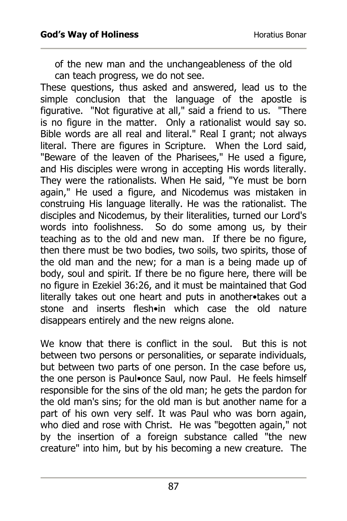of the new man and the unchangeableness of the old can teach progress, we do not see.

These questions, thus asked and answered, lead us to the simple conclusion that the language of the apostle is figurative. "Not figurative at all," said a friend to us. "There is no figure in the matter. Only a rationalist would say so. Bible words are all real and literal." Real I grant; not always literal. There are figures in Scripture. When the Lord said, "Beware of the leaven of the Pharisees," He used a figure, and His disciples were wrong in accepting His words literally. They were the rationalists. When He said, "Ye must be born again," He used a figure, and Nicodemus was mistaken in construing His language literally. He was the rationalist. The disciples and Nicodemus, by their literalities, turned our Lord's words into foolishness. So do some among us, by their teaching as to the old and new man. If there be no figure, then there must be two bodies, two soils, two spirits, those of the old man and the new; for a man is a being made up of body, soul and spirit. If there be no figure here, there will be no figure in Ezekiel 36:26, and it must be maintained that God literally takes out one heart and puts in another•takes out a stone and inserts flesh•in which case the old nature disappears entirely and the new reigns alone.

We know that there is conflict in the soul. But this is not between two persons or personalities, or separate individuals, but between two parts of one person. In the case before us, the one person is Paul•once Saul, now Paul. He feels himself responsible for the sins of the old man; he gets the pardon for the old man's sins; for the old man is but another name for a part of his own very self. It was Paul who was born again, who died and rose with Christ. He was "begotten again," not by the insertion of a foreign substance called "the new creature" into him, but by his becoming a new creature. The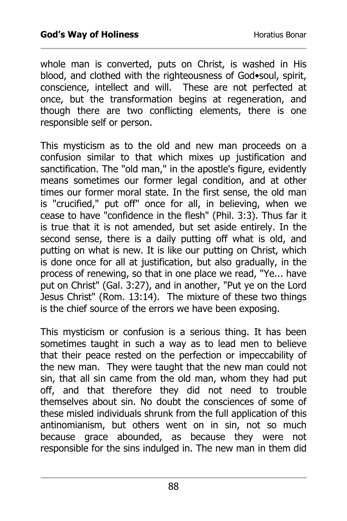whole man is converted, puts on Christ, is washed in His blood, and clothed with the righteousness of God•soul, spirit, conscience, intellect and will. These are not perfected at once, but the transformation begins at regeneration, and though there are two conflicting elements, there is one responsible self or person.

This mysticism as to the old and new man proceeds on a confusion similar to that which mixes up justification and sanctification. The "old man," in the apostle's figure, evidently means sometimes our former legal condition, and at other times our former moral state. In the first sense, the old man is "crucified," put off" once for all, in believing, when we cease to have "confidence in the flesh" (Phil. 3:3). Thus far it is true that it is not amended, but set aside entirely. In the second sense, there is a daily putting off what is old, and putting on what is new. It is like our putting on Christ, which is done once for all at justification, but also gradually, in the process of renewing, so that in one place we read, "Ye... have put on Christ" (Gal. 3:27), and in another, "Put ye on the Lord Jesus Christ" (Rom. 13:14). The mixture of these two things is the chief source of the errors we have been exposing.

This mysticism or confusion is a serious thing. It has been sometimes taught in such a way as to lead men to believe that their peace rested on the perfection or impeccability of the new man. They were taught that the new man could not sin, that all sin came from the old man, whom they had put off, and that therefore they did not need to trouble themselves about sin. No doubt the consciences of some of these misled individuals shrunk from the full application of this antinomianism, but others went on in sin, not so much because grace abounded, as because they were not responsible for the sins indulged in. The new man in them did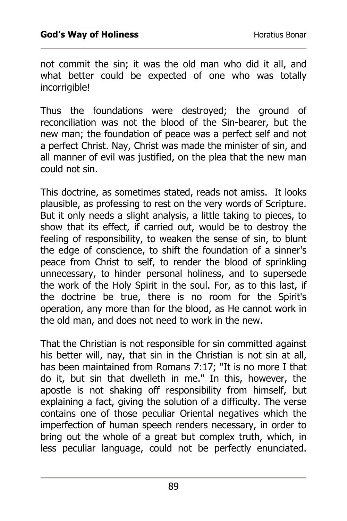not commit the sin; it was the old man who did it all, and what better could be expected of one who was totally incorrigible!

Thus the foundations were destroyed; the ground of reconciliation was not the blood of the Sin-bearer, but the new man; the foundation of peace was a perfect self and not a perfect Christ. Nay, Christ was made the minister of sin, and all manner of evil was justified, on the plea that the new man could not sin.

This doctrine, as sometimes stated, reads not amiss. It looks plausible, as professing to rest on the very words of Scripture. But it only needs a slight analysis, a little taking to pieces, to show that its effect, if carried out, would be to destroy the feeling of responsibility, to weaken the sense of sin, to blunt the edge of conscience, to shift the foundation of a sinner's peace from Christ to self, to render the blood of sprinkling unnecessary, to hinder personal holiness, and to supersede the work of the Holy Spirit in the soul. For, as to this last, if the doctrine be true, there is no room for the Spirit's operation, any more than for the blood, as He cannot work in the old man, and does not need to work in the new.

That the Christian is not responsible for sin committed against his better will, nay, that sin in the Christian is not sin at all, has been maintained from Romans 7:17; "It is no more I that do it, but sin that dwelleth in me." In this, however, the apostle is not shaking off responsibility from himself, but explaining a fact, giving the solution of a difficulty. The verse contains one of those peculiar Oriental negatives which the imperfection of human speech renders necessary, in order to bring out the whole of a great but complex truth, which, in less peculiar language, could not be perfectly enunciated.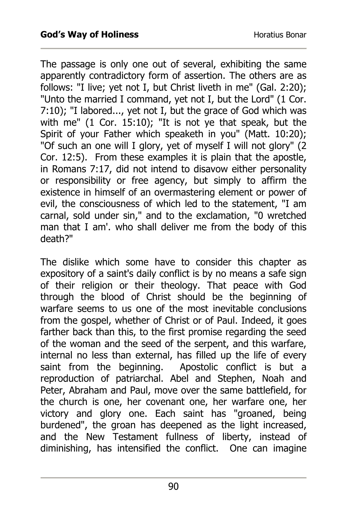The passage is only one out of several, exhibiting the same apparently contradictory form of assertion. The others are as follows: "I live; yet not I, but Christ liveth in me" (Gal. 2:20); "Unto the married I command, yet not I, but the Lord" (1 Cor. 7:10); "I labored..., yet not I, but the grace of God which was with me" (1 Cor. 15:10); "It is not ye that speak, but the Spirit of your Father which speaketh in you" (Matt. 10:20); "Of such an one will I glory, yet of myself I will not glory" (2 Cor. 12:5). From these examples it is plain that the apostle, in Romans 7:17, did not intend to disavow either personality or responsibility or free agency, but simply to affirm the existence in himself of an overmastering element or power of evil, the consciousness of which led to the statement, "I am carnal, sold under sin," and to the exclamation, "0 wretched man that I am'. who shall deliver me from the body of this death?"

The dislike which some have to consider this chapter as expository of a saint's daily conflict is by no means a safe sign of their religion or their theology. That peace with God through the blood of Christ should be the beginning of warfare seems to us one of the most inevitable conclusions from the gospel, whether of Christ or of Paul. Indeed, it goes farther back than this, to the first promise regarding the seed of the woman and the seed of the serpent, and this warfare, internal no less than external, has filled up the life of every saint from the beginning. Apostolic conflict is but a reproduction of patriarchal. Abel and Stephen, Noah and Peter, Abraham and Paul, move over the same battlefield, for the church is one, her covenant one, her warfare one, her victory and glory one. Each saint has "groaned, being burdened", the groan has deepened as the light increased, and the New Testament fullness of liberty, instead of diminishing, has intensified the conflict. One can imagine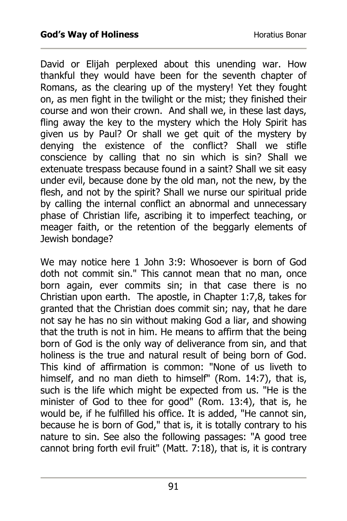David or Elijah perplexed about this unending war. How thankful they would have been for the seventh chapter of Romans, as the clearing up of the mystery! Yet they fought on, as men fight in the twilight or the mist; they finished their course and won their crown. And shall we, in these last days, fling away the key to the mystery which the Holy Spirit has given us by Paul? Or shall we get quit of the mystery by denying the existence of the conflict? Shall we stifle conscience by calling that no sin which is sin? Shall we extenuate trespass because found in a saint? Shall we sit easy under evil, because done by the old man, not the new, by the flesh, and not by the spirit? Shall we nurse our spiritual pride by calling the internal conflict an abnormal and unnecessary phase of Christian life, ascribing it to imperfect teaching, or meager faith, or the retention of the beggarly elements of Jewish bondage?

We may notice here 1 John 3:9: Whosoever is born of God doth not commit sin." This cannot mean that no man, once born again, ever commits sin; in that case there is no Christian upon earth. The apostle, in Chapter 1:7,8, takes for granted that the Christian does commit sin; nay, that he dare not say he has no sin without making God a liar, and showing that the truth is not in him. He means to affirm that the being born of God is the only way of deliverance from sin, and that holiness is the true and natural result of being born of God. This kind of affirmation is common: "None of us liveth to himself, and no man dieth to himself" (Rom. 14:7), that is, such is the life which might be expected from us. "He is the minister of God to thee for good" (Rom. 13:4), that is, he would be, if he fulfilled his office. It is added, "He cannot sin, because he is born of God," that is, it is totally contrary to his nature to sin. See also the following passages: "A good tree cannot bring forth evil fruit" (Matt. 7:18), that is, it is contrary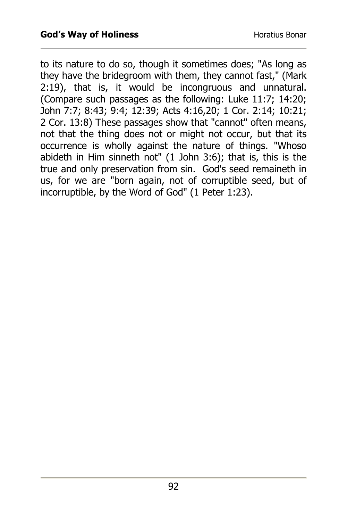to its nature to do so, though it sometimes does; "As long as they have the bridegroom with them, they cannot fast," (Mark 2:19), that is, it would be incongruous and unnatural. (Compare such passages as the following: Luke 11:7; 14:20; John 7:7; 8:43; 9:4; 12:39; Acts 4:16,20; 1 Cor. 2:14; 10:21; 2 Cor. 13:8) These passages show that "cannot" often means, not that the thing does not or might not occur, but that its occurrence is wholly against the nature of things. "Whoso abideth in Him sinneth not" (1 John 3:6); that is, this is the true and only preservation from sin. God's seed remaineth in us, for we are "born again, not of corruptible seed, but of incorruptible, by the Word of God" (1 Peter 1:23).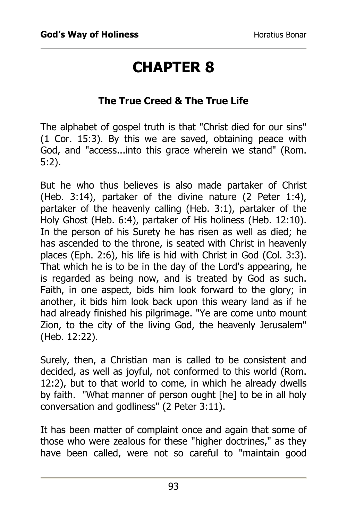# **CHAPTER 8**

### **The True Creed & The True Life**

The alphabet of gospel truth is that "Christ died for our sins" (1 Cor. 15:3). By this we are saved, obtaining peace with God, and "access...into this grace wherein we stand" (Rom. 5:2).

But he who thus believes is also made partaker of Christ (Heb. 3:14), partaker of the divine nature (2 Peter 1:4), partaker of the heavenly calling (Heb. 3:1), partaker of the Holy Ghost (Heb. 6:4), partaker of His holiness (Heb. 12:10). In the person of his Surety he has risen as well as died; he has ascended to the throne, is seated with Christ in heavenly places (Eph. 2:6), his life is hid with Christ in God (Col. 3:3). That which he is to be in the day of the Lord's appearing, he is regarded as being now, and is treated by God as such. Faith, in one aspect, bids him look forward to the glory; in another, it bids him look back upon this weary land as if he had already finished his pilgrimage. "Ye are come unto mount Zion, to the city of the living God, the heavenly Jerusalem" (Heb. 12:22).

Surely, then, a Christian man is called to be consistent and decided, as well as joyful, not conformed to this world (Rom. 12:2), but to that world to come, in which he already dwells by faith. "What manner of person ought [he] to be in all holy conversation and godliness" (2 Peter 3:11).

It has been matter of complaint once and again that some of those who were zealous for these "higher doctrines," as they have been called, were not so careful to "maintain good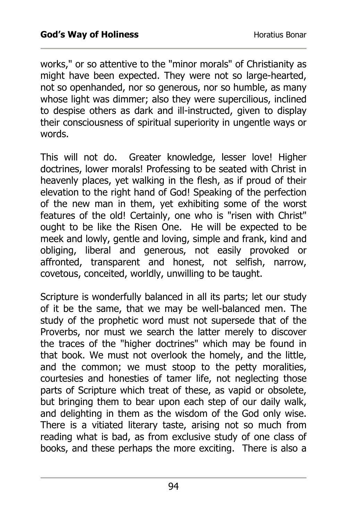works," or so attentive to the "minor morals" of Christianity as might have been expected. They were not so large-hearted, not so openhanded, nor so generous, nor so humble, as many whose light was dimmer; also they were supercilious, inclined to despise others as dark and ill-instructed, given to display their consciousness of spiritual superiority in ungentle ways or words.

This will not do. Greater knowledge, lesser love! Higher doctrines, lower morals! Professing to be seated with Christ in heavenly places, yet walking in the flesh, as if proud of their elevation to the right hand of God! Speaking of the perfection of the new man in them, yet exhibiting some of the worst features of the old! Certainly, one who is "risen with Christ" ought to be like the Risen One. He will be expected to be meek and lowly, gentle and loving, simple and frank, kind and obliging, liberal and generous, not easily provoked or affronted, transparent and honest, not selfish, narrow, covetous, conceited, worldly, unwilling to be taught.

Scripture is wonderfully balanced in all its parts; let our study of it be the same, that we may be well-balanced men. The study of the prophetic word must not supersede that of the Proverbs, nor must we search the latter merely to discover the traces of the "higher doctrines" which may be found in that book. We must not overlook the homely, and the little, and the common; we must stoop to the petty moralities, courtesies and honesties of tamer life, not neglecting those parts of Scripture which treat of these, as vapid or obsolete, but bringing them to bear upon each step of our daily walk, and delighting in them as the wisdom of the God only wise. There is a vitiated literary taste, arising not so much from reading what is bad, as from exclusive study of one class of books, and these perhaps the more exciting. There is also a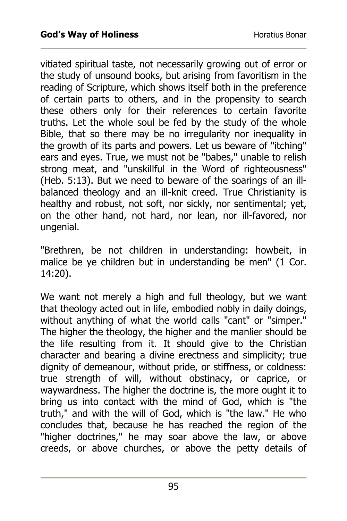vitiated spiritual taste, not necessarily growing out of error or the study of unsound books, but arising from favoritism in the reading of Scripture, which shows itself both in the preference of certain parts to others, and in the propensity to search these others only for their references to certain favorite truths. Let the whole soul be fed by the study of the whole Bible, that so there may be no irregularity nor inequality in the growth of its parts and powers. Let us beware of "itching" ears and eyes. True, we must not be "babes," unable to relish strong meat, and "unskillful in the Word of righteousness" (Heb. 5:13). But we need to beware of the soarings of an illbalanced theology and an ill-knit creed. True Christianity is healthy and robust, not soft, nor sickly, nor sentimental; yet, on the other hand, not hard, nor lean, nor ill-favored, nor ungenial.

"Brethren, be not children in understanding: howbeit, in malice be ye children but in understanding be men" (1 Cor. 14:20).

We want not merely a high and full theology, but we want that theology acted out in life, embodied nobly in daily doings, without anything of what the world calls "cant" or "simper." The higher the theology, the higher and the manlier should be the life resulting from it. It should give to the Christian character and bearing a divine erectness and simplicity; true dignity of demeanour, without pride, or stiffness, or coldness: true strength of will, without obstinacy, or caprice, or waywardness. The higher the doctrine is, the more ought it to bring us into contact with the mind of God, which is "the truth," and with the will of God, which is "the law." He who concludes that, because he has reached the region of the "higher doctrines," he may soar above the law, or above creeds, or above churches, or above the petty details of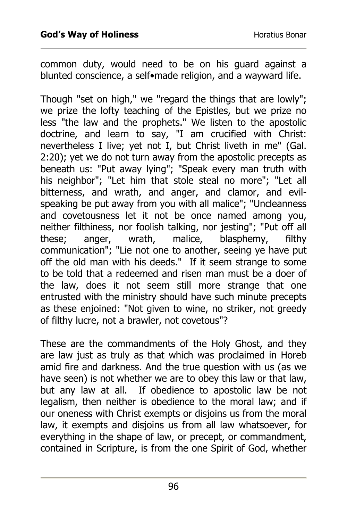common duty, would need to be on his guard against a blunted conscience, a self•made religion, and a wayward life.

Though "set on high," we "regard the things that are lowly"; we prize the lofty teaching of the Epistles, but we prize no less "the law and the prophets." We listen to the apostolic doctrine, and learn to say, "I am crucified with Christ: nevertheless I live; yet not I, but Christ liveth in me" (Gal. 2:20); yet we do not turn away from the apostolic precepts as beneath us: "Put away lying"; "Speak every man truth with his neighbor"; "Let him that stole steal no more"; "Let all bitterness, and wrath, and anger, and clamor, and evilspeaking be put away from you with all malice"; "Uncleanness and covetousness let it not be once named among you, neither filthiness, nor foolish talking, nor jesting"; "Put off all<br>these; anger, wrath, malice, blasphemy, filthy these; anger, wrath, malice, blasphemy, filthy communication"; "Lie not one to another, seeing ye have put off the old man with his deeds." If it seem strange to some to be told that a redeemed and risen man must be a doer of the law, does it not seem still more strange that one entrusted with the ministry should have such minute precepts as these enjoined: "Not given to wine, no striker, not greedy of filthy lucre, not a brawler, not covetous"?

These are the commandments of the Holy Ghost, and they are law just as truly as that which was proclaimed in Horeb amid fire and darkness. And the true question with us (as we have seen) is not whether we are to obey this law or that law, but any law at all. If obedience to apostolic law be not legalism, then neither is obedience to the moral law; and if our oneness with Christ exempts or disjoins us from the moral law, it exempts and disjoins us from all law whatsoever, for everything in the shape of law, or precept, or commandment, contained in Scripture, is from the one Spirit of God, whether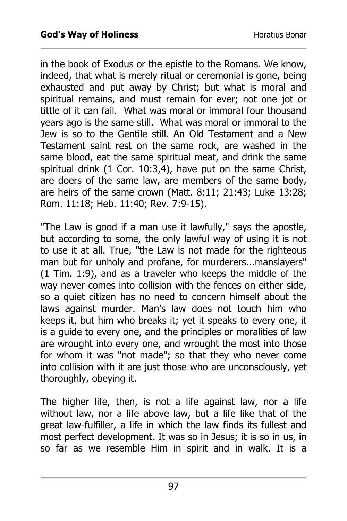in the book of Exodus or the epistle to the Romans. We know, indeed, that what is merely ritual or ceremonial is gone, being exhausted and put away by Christ; but what is moral and spiritual remains, and must remain for ever; not one jot or tittle of it can fail. What was moral or immoral four thousand years ago is the same still. What was moral or immoral to the Jew is so to the Gentile still. An Old Testament and a New Testament saint rest on the same rock, are washed in the same blood, eat the same spiritual meat, and drink the same spiritual drink (1 Cor. 10:3,4), have put on the same Christ, are doers of the same law, are members of the same body, are heirs of the same crown (Matt. 8:11; 21:43; Luke 13:28; Rom. 11:18; Heb. 11:40; Rev. 7:9-15).

"The Law is good if a man use it lawfully," says the apostle, but according to some, the only lawful way of using it is not to use it at all. True, "the Law is not made for the righteous man but for unholy and profane, for murderers...manslayers" (1 Tim. 1:9), and as a traveler who keeps the middle of the way never comes into collision with the fences on either side, so a quiet citizen has no need to concern himself about the laws against murder. Man's law does not touch him who keeps it, but him who breaks it; yet it speaks to every one, it is a guide to every one, and the principles or moralities of law are wrought into every one, and wrought the most into those for whom it was "not made"; so that they who never come into collision with it are just those who are unconsciously, yet thoroughly, obeying it.

The higher life, then, is not a life against law, nor a life without law, nor a life above law, but a life like that of the great law-fulfiller, a life in which the law finds its fullest and most perfect development. It was so in Jesus; it is so in us, in so far as we resemble Him in spirit and in walk. It is a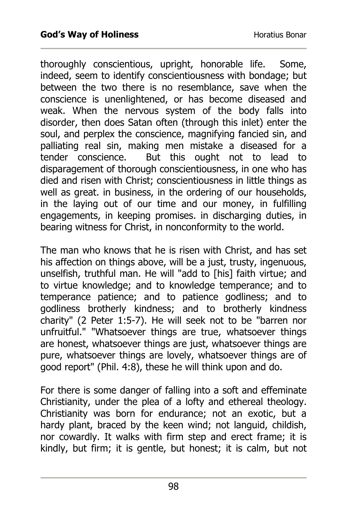thoroughly conscientious, upright, honorable life. Some, indeed, seem to identify conscientiousness with bondage; but between the two there is no resemblance, save when the conscience is unenlightened, or has become diseased and weak. When the nervous system of the body falls into disorder, then does Satan often (through this inlet) enter the soul, and perplex the conscience, magnifying fancied sin, and palliating real sin, making men mistake a diseased for a tender conscience. But this ought not to lead to disparagement of thorough conscientiousness, in one who has died and risen with Christ; conscientiousness in little things as well as great. in business, in the ordering of our households, in the laying out of our time and our money, in fulfilling engagements, in keeping promises. in discharging duties, in bearing witness for Christ, in nonconformity to the world.

The man who knows that he is risen with Christ, and has set his affection on things above, will be a just, trusty, ingenuous, unselfish, truthful man. He will "add to [his] faith virtue; and to virtue knowledge; and to knowledge temperance; and to temperance patience; and to patience godliness; and to godliness brotherly kindness; and to brotherly kindness charity" (2 Peter 1:5-7). He will seek not to be "barren nor unfruitful." "Whatsoever things are true, whatsoever things are honest, whatsoever things are just, whatsoever things are pure, whatsoever things are lovely, whatsoever things are of good report" (Phil. 4:8), these he will think upon and do.

For there is some danger of falling into a soft and effeminate Christianity, under the plea of a lofty and ethereal theology. Christianity was born for endurance; not an exotic, but a hardy plant, braced by the keen wind; not languid, childish, nor cowardly. It walks with firm step and erect frame; it is kindly, but firm; it is gentle, but honest; it is calm, but not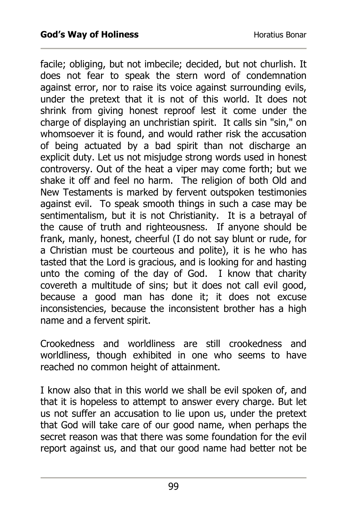facile; obliging, but not imbecile; decided, but not churlish. It does not fear to speak the stern word of condemnation against error, nor to raise its voice against surrounding evils, under the pretext that it is not of this world. It does not shrink from giving honest reproof lest it come under the charge of displaying an unchristian spirit. It calls sin "sin," on whomsoever it is found, and would rather risk the accusation of being actuated by a bad spirit than not discharge an explicit duty. Let us not misjudge strong words used in honest controversy. Out of the heat a viper may come forth; but we shake it off and feel no harm. The religion of both Old and New Testaments is marked by fervent outspoken testimonies against evil. To speak smooth things in such a case may be sentimentalism, but it is not Christianity. It is a betrayal of the cause of truth and righteousness. If anyone should be frank, manly, honest, cheerful (I do not say blunt or rude, for a Christian must be courteous and polite), it is he who has tasted that the Lord is gracious, and is looking for and hasting unto the coming of the day of God. I know that charity covereth a multitude of sins; but it does not call evil good, because a good man has done it; it does not excuse inconsistencies, because the inconsistent brother has a high name and a fervent spirit.

Crookedness and worldliness are still crookedness and worldliness, though exhibited in one who seems to have reached no common height of attainment.

I know also that in this world we shall be evil spoken of, and that it is hopeless to attempt to answer every charge. But let us not suffer an accusation to lie upon us, under the pretext that God will take care of our good name, when perhaps the secret reason was that there was some foundation for the evil report against us, and that our good name had better not be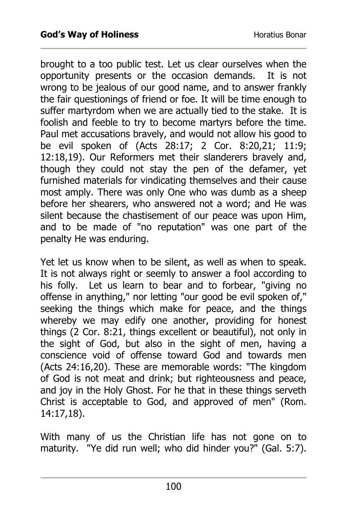brought to a too public test. Let us clear ourselves when the opportunity presents or the occasion demands. It is not wrong to be jealous of our good name, and to answer frankly the fair questionings of friend or foe. It will be time enough to suffer martyrdom when we are actually tied to the stake. It is foolish and feeble to try to become martyrs before the time. Paul met accusations bravely, and would not allow his good to be evil spoken of (Acts 28:17; 2 Cor. 8:20,21; 11:9; 12:18,19). Our Reformers met their slanderers bravely and, though they could not stay the pen of the defamer, yet furnished materials for vindicating themselves and their cause most amply. There was only One who was dumb as a sheep before her shearers, who answered not a word; and He was silent because the chastisement of our peace was upon Him, and to be made of "no reputation" was one part of the penalty He was enduring.

Yet let us know when to be silent, as well as when to speak. It is not always right or seemly to answer a fool according to his folly. Let us learn to bear and to forbear, "giving no offense in anything," nor letting "our good be evil spoken of," seeking the things which make for peace, and the things whereby we may edify one another, providing for honest things (2 Cor. 8:21, things excellent or beautiful), not only in the sight of God, but also in the sight of men, having a conscience void of offense toward God and towards men (Acts 24:16,20). These are memorable words: "The kingdom of God is not meat and drink; but righteousness and peace, and joy in the Holy Ghost. For he that in these things serveth Christ is acceptable to God, and approved of men" (Rom. 14:17,18).

With many of us the Christian life has not gone on to maturity. "Ye did run well; who did hinder you?" (Gal. 5:7).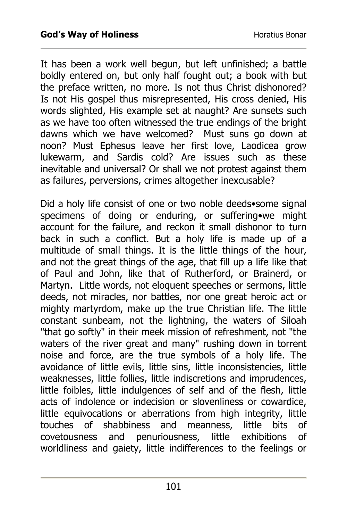It has been a work well begun, but left unfinished; a battle boldly entered on, but only half fought out; a book with but the preface written, no more. Is not thus Christ dishonored? Is not His gospel thus misrepresented, His cross denied, His words slighted, His example set at naught? Are sunsets such as we have too often witnessed the true endings of the bright dawns which we have welcomed? Must suns go down at noon? Must Ephesus leave her first love, Laodicea grow lukewarm, and Sardis cold? Are issues such as these inevitable and universal? Or shall we not protest against them as failures, perversions, crimes altogether inexcusable?

Did a holy life consist of one or two noble deeds•some signal specimens of doing or enduring, or suffering•we might account for the failure, and reckon it small dishonor to turn back in such a conflict. But a holy life is made up of a multitude of small things. It is the little things of the hour, and not the great things of the age, that fill up a life like that of Paul and John, like that of Rutherford, or Brainerd, or Martyn. Little words, not eloquent speeches or sermons, little deeds, not miracles, nor battles, nor one great heroic act or mighty martyrdom, make up the true Christian life. The little constant sunbeam, not the lightning, the waters of Siloah "that go softly" in their meek mission of refreshment, not "the waters of the river great and many" rushing down in torrent noise and force, are the true symbols of a holy life. The avoidance of little evils, little sins, little inconsistencies, little weaknesses, little follies, little indiscretions and imprudences, little foibles, little indulgences of self and of the flesh, little acts of indolence or indecision or slovenliness or cowardice, little equivocations or aberrations from high integrity, little touches of shabbiness and meanness, little bits of covetousness and penuriousness, little exhibitions of worldliness and gaiety, little indifferences to the feelings or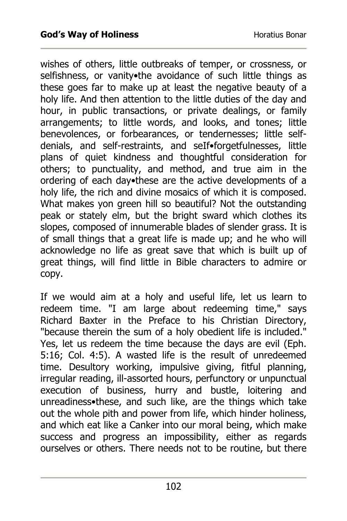wishes of others, little outbreaks of temper, or crossness, or selfishness, or vanity•the avoidance of such little things as these goes far to make up at least the negative beauty of a holy life. And then attention to the little duties of the day and hour, in public transactions, or private dealings, or family arrangements; to little words, and looks, and tones; little benevolences, or forbearances, or tendernesses; little selfdenials, and self-restraints, and seIf•forgetfulnesses, little plans of quiet kindness and thoughtful consideration for others; to punctuality, and method, and true aim in the ordering of each day•these are the active developments of a holy life, the rich and divine mosaics of which it is composed. What makes yon green hill so beautiful? Not the outstanding peak or stately elm, but the bright sward which clothes its slopes, composed of innumerable blades of slender grass. It is of small things that a great life is made up; and he who will acknowledge no life as great save that which is built up of great things, will find little in Bible characters to admire or copy.

If we would aim at a holy and useful life, let us learn to redeem time. "I am large about redeeming time," says Richard Baxter in the Preface to his Christian Directory, "because therein the sum of a holy obedient life is included." Yes, let us redeem the time because the days are evil (Eph. 5:16; Col. 4:5). A wasted life is the result of unredeemed time. Desultory working, impulsive giving, fitful planning, irregular reading, ill-assorted hours, perfunctory or unpunctual execution of business, hurry and bustle, loitering and unreadiness•these, and such like, are the things which take out the whole pith and power from life, which hinder holiness, and which eat like a Canker into our moral being, which make success and progress an impossibility, either as regards ourselves or others. There needs not to be routine, but there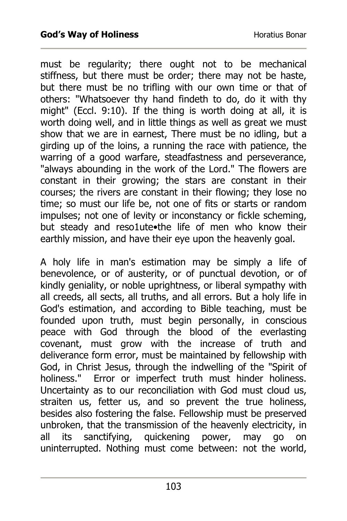must be regularity; there ought not to be mechanical stiffness, but there must be order; there may not be haste, but there must be no trifling with our own time or that of others: "Whatsoever thy hand findeth to do, do it with thy might" (Eccl. 9:10). If the thing is worth doing at all, it is worth doing well, and in little things as well as great we must show that we are in earnest, There must be no idling, but a girding up of the loins, a running the race with patience, the warring of a good warfare, steadfastness and perseverance, "always abounding in the work of the Lord." The flowers are constant in their growing; the stars are constant in their courses; the rivers are constant in their flowing; they lose no time; so must our life be, not one of fits or starts or random impulses; not one of levity or inconstancy or fickle scheming, but steady and reso1ute•the life of men who know their earthly mission, and have their eye upon the heavenly goal.

A holy life in man's estimation may be simply a life of benevolence, or of austerity, or of punctual devotion, or of kindly geniality, or noble uprightness, or liberal sympathy with all creeds, all sects, all truths, and all errors. But a holy life in God's estimation, and according to Bible teaching, must be founded upon truth, must begin personally, in conscious peace with God through the blood of the everlasting covenant, must grow with the increase of truth and deliverance form error, must be maintained by fellowship with God, in Christ Jesus, through the indwelling of the "Spirit of holiness." Error or imperfect truth must hinder holiness. Uncertainty as to our reconciliation with God must cloud us, straiten us, fetter us, and so prevent the true holiness, besides also fostering the false. Fellowship must be preserved unbroken, that the transmission of the heavenly electricity, in all its sanctifying, quickening power, may go on uninterrupted. Nothing must come between: not the world,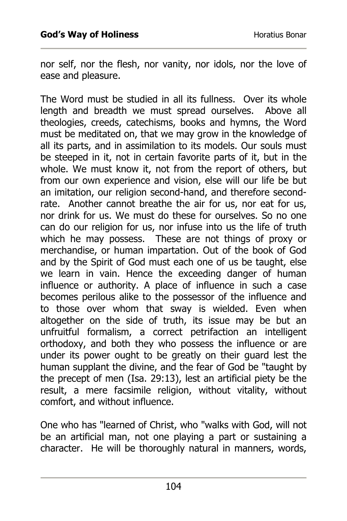nor self, nor the flesh, nor vanity, nor idols, nor the love of ease and pleasure.

The Word must be studied in all its fullness. Over its whole length and breadth we must spread ourselves. Above all theologies, creeds, catechisms, books and hymns, the Word must be meditated on, that we may grow in the knowledge of all its parts, and in assimilation to its models. Our souls must be steeped in it, not in certain favorite parts of it, but in the whole. We must know it, not from the report of others, but from our own experience and vision, else will our life be but an imitation, our religion second-hand, and therefore secondrate. Another cannot breathe the air for us, nor eat for us, nor drink for us. We must do these for ourselves. So no one can do our religion for us, nor infuse into us the life of truth which he may possess. These are not things of proxy or merchandise, or human impartation. Out of the book of God and by the Spirit of God must each one of us be taught, else we learn in vain. Hence the exceeding danger of human influence or authority. A place of influence in such a case becomes perilous alike to the possessor of the influence and to those over whom that sway is wielded. Even when altogether on the side of truth, its issue may be but an unfruitful formalism, a correct petrifaction an intelligent orthodoxy, and both they who possess the influence or are under its power ought to be greatly on their guard lest the human supplant the divine, and the fear of God be "taught by the precept of men (Isa. 29:13), lest an artificial piety be the result, a mere facsimile religion, without vitality, without comfort, and without influence.

One who has "learned of Christ, who "walks with God, will not be an artificial man, not one playing a part or sustaining a character. He will be thoroughly natural in manners, words,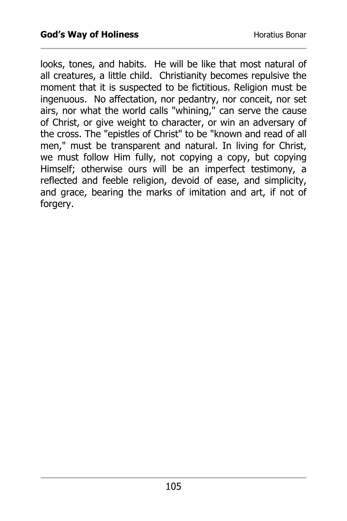looks, tones, and habits. He will be like that most natural of all creatures, a little child. Christianity becomes repulsive the moment that it is suspected to be fictitious. Religion must be ingenuous. No affectation, nor pedantry, nor conceit, nor set airs, nor what the world calls "whining," can serve the cause of Christ, or give weight to character, or win an adversary of the cross. The "epistles of Christ" to be "known and read of all men," must be transparent and natural. In living for Christ, we must follow Him fully, not copying a copy, but copying Himself; otherwise ours will be an imperfect testimony, a reflected and feeble religion, devoid of ease, and simplicity, and grace, bearing the marks of imitation and art, if not of forgery.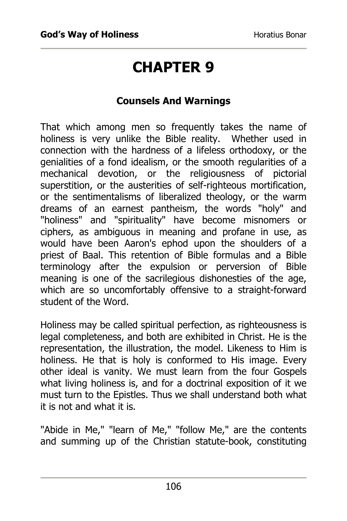# **CHAPTER 9**

### **Counsels And Warnings**

That which among men so frequently takes the name of holiness is very unlike the Bible reality. Whether used in connection with the hardness of a lifeless orthodoxy, or the genialities of a fond idealism, or the smooth regularities of a mechanical devotion, or the religiousness of pictorial superstition, or the austerities of self-righteous mortification, or the sentimentalisms of liberalized theology, or the warm dreams of an earnest pantheism, the words "holy" and "holiness" and "spirituality" have become misnomers or ciphers, as ambiguous in meaning and profane in use, as would have been Aaron's ephod upon the shoulders of a priest of Baal. This retention of Bible formulas and a Bible terminology after the expulsion or perversion of Bible meaning is one of the sacrilegious dishonesties of the age, which are so uncomfortably offensive to a straight-forward student of the Word.

Holiness may be called spiritual perfection, as righteousness is legal completeness, and both are exhibited in Christ. He is the representation, the illustration, the model. Likeness to Him is holiness. He that is holy is conformed to His image. Every other ideal is vanity. We must learn from the four Gospels what living holiness is, and for a doctrinal exposition of it we must turn to the Epistles. Thus we shall understand both what it is not and what it is.

"Abide in Me," "learn of Me," "follow Me," are the contents and summing up of the Christian statute-book, constituting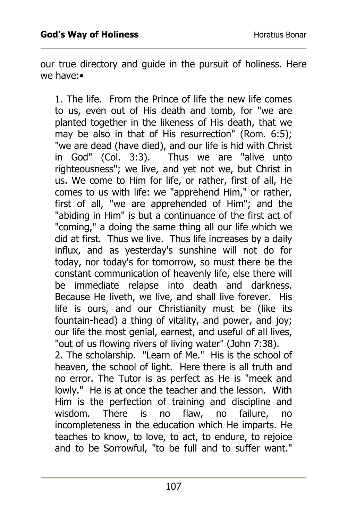our true directory and guide in the pursuit of holiness. Here we have:•

1. The life. From the Prince of life the new life comes to us, even out of His death and tomb, for "we are planted together in the likeness of His death, that we may be also in that of His resurrection" (Rom. 6:5); "we are dead (have died), and our life is hid with Christ in God" (Col. 3:3). Thus we are "alive unto righteousness"; we live, and yet not we, but Christ in us. We come to Him for life, or rather, first of all, He comes to us with life: we "apprehend Him," or rather, first of all, "we are apprehended of Him"; and the "abiding in Him" is but a continuance of the first act of "coming," a doing the same thing all our life which we did at first. Thus we live. Thus life increases by a daily influx, and as yesterday's sunshine will not do for today, nor today's for tomorrow, so must there be the constant communication of heavenly life, else there will be immediate relapse into death and darkness. Because He liveth, we live, and shall live forever. His life is ours, and our Christianity must be (like its fountain-head) a thing of vitality, and power, and joy; our life the most genial, earnest, and useful of all lives, "out of us flowing rivers of living water" (John 7:38). 2. The scholarship. "Learn of Me." His is the school of heaven, the school of light. Here there is all truth and no error. The Tutor is as perfect as He is "meek and lowly." He is at once the teacher and the lesson. With Him is the perfection of training and discipline and wisdom. There is no flaw, no failure, no incompleteness in the education which He imparts. He teaches to know, to love, to act, to endure, to rejoice and to be Sorrowful, "to be full and to suffer want."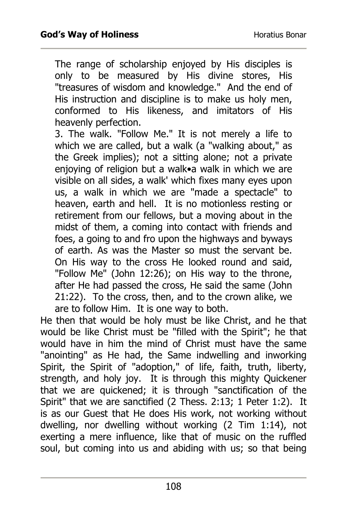The range of scholarship enjoyed by His disciples is only to be measured by His divine stores, His "treasures of wisdom and knowledge." And the end of His instruction and discipline is to make us holy men, conformed to His likeness, and imitators of His heavenly perfection.

3. The walk. "Follow Me." It is not merely a life to which we are called, but a walk (a "walking about," as the Greek implies); not a sitting alone; not a private enjoying of religion but a walk•a walk in which we are visible on all sides, a walk' which fixes many eyes upon us, a walk in which we are "made a spectacle" to heaven, earth and hell. It is no motionless resting or retirement from our fellows, but a moving about in the midst of them, a coming into contact with friends and foes, a going to and fro upon the highways and byways of earth. As was the Master so must the servant be. On His way to the cross He looked round and said, "Follow Me" (John 12:26); on His way to the throne, after He had passed the cross, He said the same (John 21:22). To the cross, then, and to the crown alike, we are to follow Him. It is one way to both.

He then that would be holy must be like Christ, and he that would be like Christ must be "filled with the Spirit"; he that would have in him the mind of Christ must have the same "anointing" as He had, the Same indwelling and inworking Spirit, the Spirit of "adoption," of life, faith, truth, liberty, strength, and holy joy. It is through this mighty Quickener that we are quickened; it is through "sanctification of the Spirit" that we are sanctified (2 Thess. 2:13; 1 Peter 1:2). It is as our Guest that He does His work, not working without dwelling, nor dwelling without working (2 Tim 1:14), not exerting a mere influence, like that of music on the ruffled soul, but coming into us and abiding with us; so that being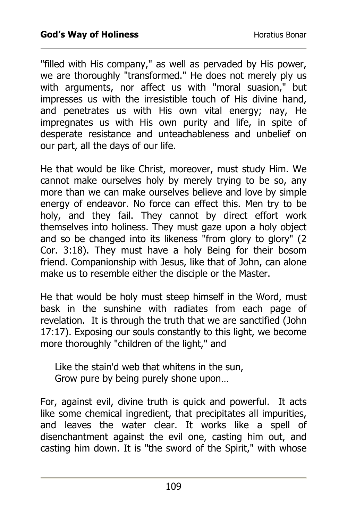"filled with His company," as well as pervaded by His power, we are thoroughly "transformed." He does not merely ply us with arguments, nor affect us with "moral suasion," but impresses us with the irresistible touch of His divine hand, and penetrates us with His own vital energy; nay, He impregnates us with His own purity and life, in spite of desperate resistance and unteachableness and unbelief on our part, all the days of our life.

He that would be like Christ, moreover, must study Him. We cannot make ourselves holy by merely trying to be so, any more than we can make ourselves believe and love by simple energy of endeavor. No force can effect this. Men try to be holy, and they fail. They cannot by direct effort work themselves into holiness. They must gaze upon a holy object and so be changed into its likeness "from glory to glory" (2 Cor. 3:18). They must have a holy Being for their bosom friend. Companionship with Jesus, like that of John, can alone make us to resemble either the disciple or the Master.

He that would be holy must steep himself in the Word, must bask in the sunshine with radiates from each page of revelation. It is through the truth that we are sanctified (John 17:17). Exposing our souls constantly to this light, we become more thoroughly "children of the light," and

Like the stain'd web that whitens in the sun, Grow pure by being purely shone upon…

For, against evil, divine truth is quick and powerful. It acts like some chemical ingredient, that precipitates all impurities, and leaves the water clear. It works like a spell of disenchantment against the evil one, casting him out, and casting him down. It is "the sword of the Spirit," with whose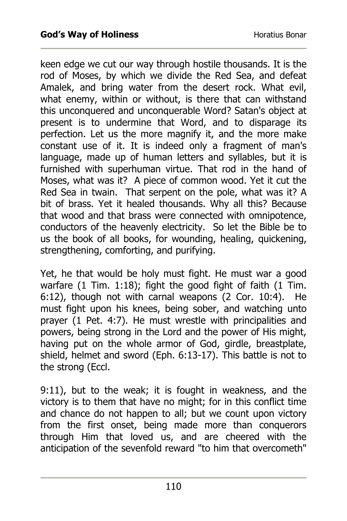keen edge we cut our way through hostile thousands. It is the rod of Moses, by which we divide the Red Sea, and defeat Amalek, and bring water from the desert rock. What evil, what enemy, within or without, is there that can withstand this unconquered and unconquerable Word? Satan's object at present is to undermine that Word, and to disparage its perfection. Let us the more magnify it, and the more make constant use of it. It is indeed only a fragment of man's language, made up of human letters and syllables, but it is furnished with superhuman virtue. That rod in the hand of Moses, what was it? A piece of common wood. Yet it cut the Red Sea in twain. That serpent on the pole, what was it? A bit of brass. Yet it healed thousands. Why all this? Because that wood and that brass were connected with omnipotence, conductors of the heavenly electricity. So let the Bible be to us the book of all books, for wounding, healing, quickening, strengthening, comforting, and purifying.

Yet, he that would be holy must fight. He must war a good warfare (1 Tim. 1:18); fight the good fight of faith (1 Tim. 6:12), though not with carnal weapons (2 Cor. 10:4). He must fight upon his knees, being sober, and watching unto prayer (1 Pet. 4:7). He must wrestle with principalities and powers, being strong in the Lord and the power of His might, having put on the whole armor of God, girdle, breastplate, shield, helmet and sword (Eph. 6:13-17). This battle is not to the strong (Eccl.

9:11), but to the weak; it is fought in weakness, and the victory is to them that have no might; for in this conflict time and chance do not happen to all; but we count upon victory from the first onset, being made more than conquerors through Him that loved us, and are cheered with the anticipation of the sevenfold reward "to him that overcometh"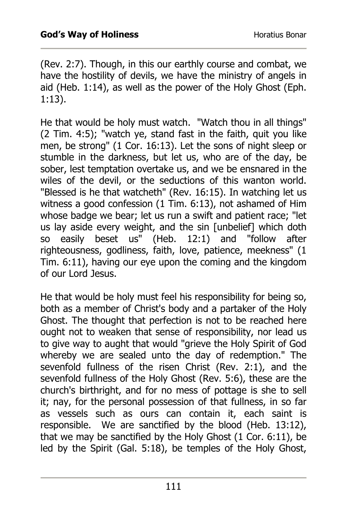(Rev. 2:7). Though, in this our earthly course and combat, we have the hostility of devils, we have the ministry of angels in aid (Heb. 1:14), as well as the power of the Holy Ghost (Eph. 1:13).

He that would be holy must watch. "Watch thou in all things" (2 Tim. 4:5); "watch ye, stand fast in the faith, quit you like men, be strong" (1 Cor. 16:13). Let the sons of night sleep or stumble in the darkness, but let us, who are of the day, be sober, lest temptation overtake us, and we be ensnared in the wiles of the devil, or the seductions of this wanton world. "Blessed is he that watcheth" (Rev. 16:15). In watching let us witness a good confession (1 Tim. 6:13), not ashamed of Him whose badge we bear; let us run a swift and patient race; "let us lay aside every weight, and the sin [unbelief] which doth<br>so easily beset us" (Heb. 12:1) and "follow after so easily beset us" (Heb. 12:1) and "follow after righteousness, godliness, faith, love, patience, meekness" (1 Tim. 6:11), having our eye upon the coming and the kingdom of our Lord Jesus.

He that would be holy must feel his responsibility for being so, both as a member of Christ's body and a partaker of the Holy Ghost. The thought that perfection is not to be reached here ought not to weaken that sense of responsibility, nor lead us to give way to aught that would "grieve the Holy Spirit of God whereby we are sealed unto the day of redemption." The sevenfold fullness of the risen Christ (Rev. 2:1), and the sevenfold fullness of the Holy Ghost (Rev. 5:6), these are the church's birthright, and for no mess of pottage is she to sell it; nay, for the personal possession of that fullness, in so far as vessels such as ours can contain it, each saint is responsible. We are sanctified by the blood (Heb. 13:12), that we may be sanctified by the Holy Ghost (1 Cor. 6:11), be led by the Spirit (Gal. 5:18), be temples of the Holy Ghost,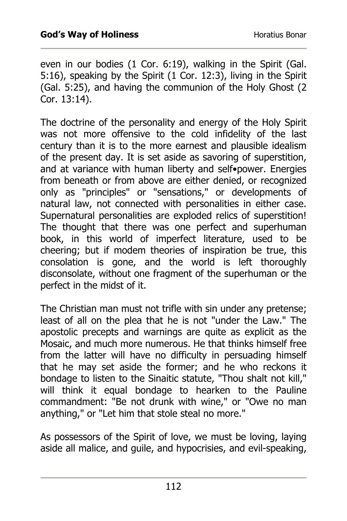even in our bodies (1 Cor. 6:19), walking in the Spirit (Gal. 5:16), speaking by the Spirit (1 Cor. 12:3), living in the Spirit (Gal. 5:25), and having the communion of the Holy Ghost (2 Cor. 13:14).

The doctrine of the personality and energy of the Holy Spirit was not more offensive to the cold infidelity of the last century than it is to the more earnest and plausible idealism of the present day. It is set aside as savoring of superstition, and at variance with human liberty and self•power. Energies from beneath or from above are either denied, or recognized only as "principles" or "sensations," or developments of natural law, not connected with personalities in either case. Supernatural personalities are exploded relics of superstition! The thought that there was one perfect and superhuman book, in this world of imperfect literature, used to be cheering; but if modem theories of inspiration be true, this consolation is gone, and the world is left thoroughly disconsolate, without one fragment of the superhuman or the perfect in the midst of it.

The Christian man must not trifle with sin under any pretense; least of all on the plea that he is not "under the Law." The apostolic precepts and warnings are quite as explicit as the Mosaic, and much more numerous. He that thinks himself free from the latter will have no difficulty in persuading himself that he may set aside the former; and he who reckons it bondage to listen to the Sinaitic statute, "Thou shalt not kill," will think it equal bondage to hearken to the Pauline commandment: "Be not drunk with wine," or "Owe no man anything," or "Let him that stole steal no more."

As possessors of the Spirit of love, we must be loving, laying aside all malice, and guile, and hypocrisies, and evil-speaking,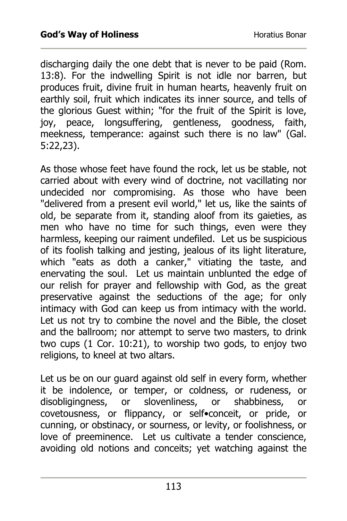discharging daily the one debt that is never to be paid (Rom. 13:8). For the indwelling Spirit is not idle nor barren, but produces fruit, divine fruit in human hearts, heavenly fruit on earthly soil, fruit which indicates its inner source, and tells of the glorious Guest within; "for the fruit of the Spirit is love, joy, peace, longsuffering, gentleness, goodness, faith, meekness, temperance: against such there is no law" (Gal. 5:22,23).

As those whose feet have found the rock, let us be stable, not carried about with every wind of doctrine, not vacillating nor undecided nor compromising. As those who have been "delivered from a present evil world," let us, like the saints of old, be separate from it, standing aloof from its gaieties, as men who have no time for such things, even were they harmless, keeping our raiment undefiled. Let us be suspicious of its foolish talking and jesting, jealous of its light literature, which "eats as doth a canker," vitiating the taste, and enervating the soul. Let us maintain unblunted the edge of our relish for prayer and fellowship with God, as the great preservative against the seductions of the age; for only intimacy with God can keep us from intimacy with the world. Let us not try to combine the novel and the Bible, the closet and the ballroom; nor attempt to serve two masters, to drink two cups (1 Cor. 10:21), to worship two gods, to enjoy two religions, to kneel at two altars.

Let us be on our guard against old self in every form, whether it be indolence, or temper, or coldness, or rudeness, or disobligingness, or slovenliness, or shabbiness, or covetousness, or flippancy, or self•conceit, or pride, or cunning, or obstinacy, or sourness, or levity, or foolishness, or love of preeminence. Let us cultivate a tender conscience, avoiding old notions and conceits; yet watching against the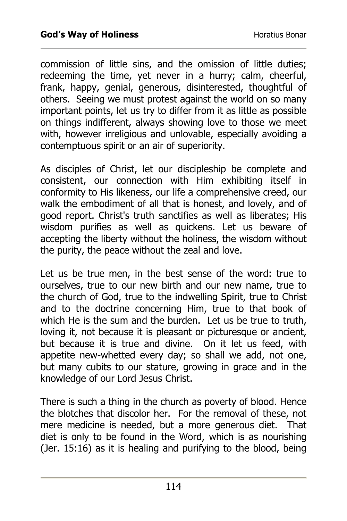commission of little sins, and the omission of little duties; redeeming the time, yet never in a hurry; calm, cheerful, frank, happy, genial, generous, disinterested, thoughtful of others. Seeing we must protest against the world on so many important points, let us try to differ from it as little as possible on things indifferent, always showing love to those we meet with, however irreligious and unlovable, especially avoiding a contemptuous spirit or an air of superiority.

As disciples of Christ, let our discipleship be complete and consistent, our connection with Him exhibiting itself in conformity to His likeness, our life a comprehensive creed, our walk the embodiment of all that is honest, and lovely, and of good report. Christ's truth sanctifies as well as liberates; His wisdom purifies as well as quickens. Let us beware of accepting the liberty without the holiness, the wisdom without the purity, the peace without the zeal and love.

Let us be true men, in the best sense of the word: true to ourselves, true to our new birth and our new name, true to the church of God, true to the indwelling Spirit, true to Christ and to the doctrine concerning Him, true to that book of which He is the sum and the burden. Let us be true to truth, loving it, not because it is pleasant or picturesque or ancient, but because it is true and divine. On it let us feed, with appetite new-whetted every day; so shall we add, not one, but many cubits to our stature, growing in grace and in the knowledge of our Lord Jesus Christ.

There is such a thing in the church as poverty of blood. Hence the blotches that discolor her. For the removal of these, not mere medicine is needed, but a more generous diet. That diet is only to be found in the Word, which is as nourishing (Jer. 15:16) as it is healing and purifying to the blood, being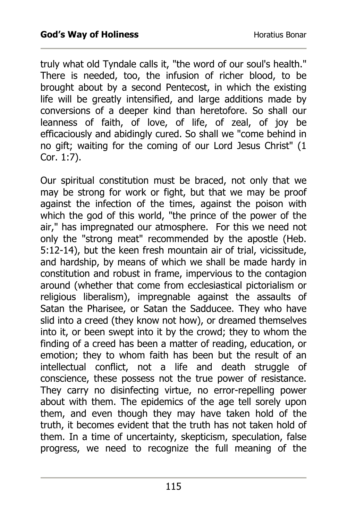truly what old Tyndale calls it, "the word of our soul's health." There is needed, too, the infusion of richer blood, to be brought about by a second Pentecost, in which the existing life will be greatly intensified, and large additions made by conversions of a deeper kind than heretofore. So shall our leanness of faith, of love, of life, of zeal, of joy be efficaciously and abidingly cured. So shall we "come behind in no gift; waiting for the coming of our Lord Jesus Christ" (1 Cor. 1:7).

Our spiritual constitution must be braced, not only that we may be strong for work or fight, but that we may be proof against the infection of the times, against the poison with which the god of this world, "the prince of the power of the air," has impregnated our atmosphere. For this we need not only the "strong meat" recommended by the apostle (Heb. 5:12-14), but the keen fresh mountain air of trial, vicissitude, and hardship, by means of which we shall be made hardy in constitution and robust in frame, impervious to the contagion around (whether that come from ecclesiastical pictorialism or religious liberalism), impregnable against the assaults of Satan the Pharisee, or Satan the Sadducee. They who have slid into a creed (they know not how), or dreamed themselves into it, or been swept into it by the crowd; they to whom the finding of a creed has been a matter of reading, education, or emotion; they to whom faith has been but the result of an intellectual conflict, not a life and death struggle of conscience, these possess not the true power of resistance. They carry no disinfecting virtue, no error-repelling power about with them. The epidemics of the age tell sorely upon them, and even though they may have taken hold of the truth, it becomes evident that the truth has not taken hold of them. In a time of uncertainty, skepticism, speculation, false progress, we need to recognize the full meaning of the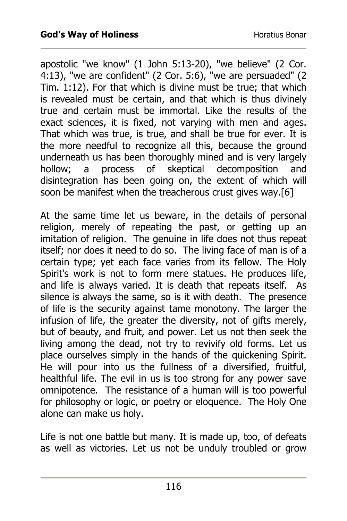apostolic "we know" (1 John 5:13-20), "we believe" (2 Cor. 4:13), "we are confident" (2 Cor. 5:6), "we are persuaded" (2 Tim. 1:12). For that which is divine must be true; that which is revealed must be certain, and that which is thus divinely true and certain must be immortal. Like the results of the exact sciences, it is fixed, not varying with men and ages. That which was true, is true, and shall be true for ever. It is the more needful to recognize all this, because the ground underneath us has been thoroughly mined and is very largely hollow; a process of skeptical decomposition and disintegration has been going on, the extent of which will soon be manifest when the treacherous crust gives way.[6]

At the same time let us beware, in the details of personal religion, merely of repeating the past, or getting up an imitation of religion. The genuine in life does not thus repeat itself; nor does it need to do so. The living face of man is of a certain type; yet each face varies from its fellow. The Holy Spirit's work is not to form mere statues. He produces life, and life is always varied. It is death that repeats itself. As silence is always the same, so is it with death. The presence of life is the security against tame monotony. The larger the infusion of life, the greater the diversity, not of gifts merely, but of beauty, and fruit, and power. Let us not then seek the living among the dead, not try to revivify old forms. Let us place ourselves simply in the hands of the quickening Spirit. He will pour into us the fullness of a diversified, fruitful, healthful life. The evil in us is too strong for any power save omnipotence. The resistance of a human will is too powerful for philosophy or logic, or poetry or eloquence. The Holy One alone can make us holy.

Life is not one battle but many. It is made up, too, of defeats as well as victories. Let us not be unduly troubled or grow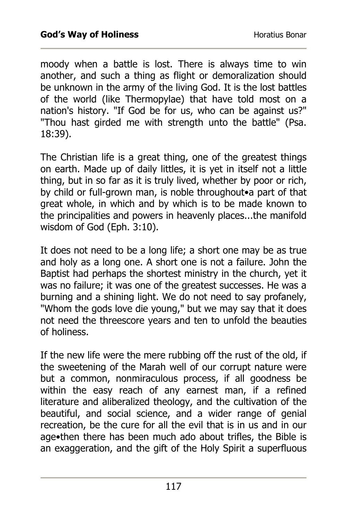moody when a battle is lost. There is always time to win another, and such a thing as flight or demoralization should be unknown in the army of the living God. It is the lost battles of the world (like Thermopylae) that have told most on a nation's history. "If God be for us, who can be against us?" "Thou hast girded me with strength unto the battle" (Psa. 18:39).

The Christian life is a great thing, one of the greatest things on earth. Made up of daily littles, it is yet in itself not a little thing, but in so far as it is truly lived, whether by poor or rich, by child or full-grown man, is noble throughout•a part of that great whole, in which and by which is to be made known to the principalities and powers in heavenly places...the manifold wisdom of God (Eph. 3:10).

It does not need to be a long life; a short one may be as true and holy as a long one. A short one is not a failure. John the Baptist had perhaps the shortest ministry in the church, yet it was no failure; it was one of the greatest successes. He was a burning and a shining light. We do not need to say profanely, "Whom the gods love die young," but we may say that it does not need the threescore years and ten to unfold the beauties of holiness.

If the new life were the mere rubbing off the rust of the old, if the sweetening of the Marah well of our corrupt nature were but a common, nonmiraculous process, if all goodness be within the easy reach of any earnest man, if a refined literature and aliberalized theology, and the cultivation of the beautiful, and social science, and a wider range of genial recreation, be the cure for all the evil that is in us and in our age•then there has been much ado about trifles, the Bible is an exaggeration, and the gift of the Holy Spirit a superfluous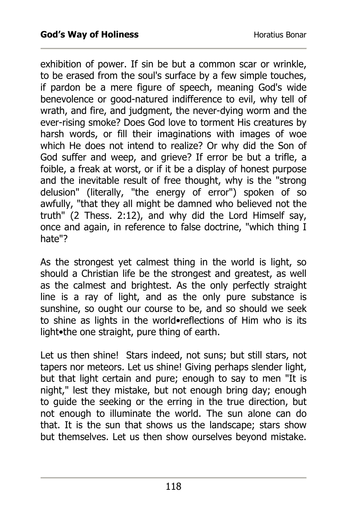exhibition of power. If sin be but a common scar or wrinkle, to be erased from the soul's surface by a few simple touches, if pardon be a mere figure of speech, meaning God's wide benevolence or good-natured indifference to evil, why tell of wrath, and fire, and judgment, the never-dying worm and the ever-rising smoke? Does God love to torment His creatures by harsh words, or fill their imaginations with images of woe which He does not intend to realize? Or why did the Son of God suffer and weep, and grieve? If error be but a trifle, a foible, a freak at worst, or if it be a display of honest purpose and the inevitable result of free thought, why is the "strong delusion" (literally, "the energy of error") spoken of so awfully, "that they all might be damned who believed not the truth" (2 Thess. 2:12), and why did the Lord Himself say, once and again, in reference to false doctrine, "which thing I hate"?

As the strongest yet calmest thing in the world is light, so should a Christian life be the strongest and greatest, as well as the calmest and brightest. As the only perfectly straight line is a ray of light, and as the only pure substance is sunshine, so ought our course to be, and so should we seek to shine as lights in the world•reflections of Him who is its light•the one straight, pure thing of earth.

Let us then shine! Stars indeed, not suns; but still stars, not tapers nor meteors. Let us shine! Giving perhaps slender light, but that light certain and pure; enough to say to men "It is night," lest they mistake, but not enough bring day; enough to guide the seeking or the erring in the true direction, but not enough to illuminate the world. The sun alone can do that. It is the sun that shows us the landscape; stars show but themselves. Let us then show ourselves beyond mistake.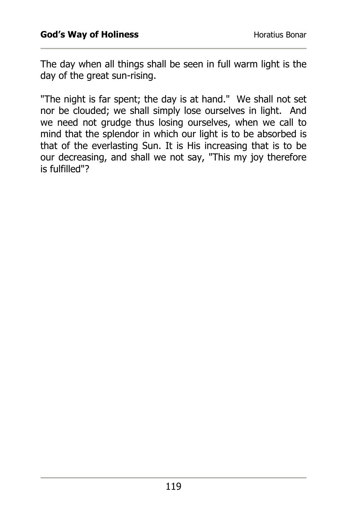The day when all things shall be seen in full warm light is the day of the great sun-rising.

"The night is far spent; the day is at hand." We shall not set nor be clouded; we shall simply lose ourselves in light. And we need not grudge thus losing ourselves, when we call to mind that the splendor in which our light is to be absorbed is that of the everlasting Sun. It is His increasing that is to be our decreasing, and shall we not say, "This my joy therefore is fulfilled"?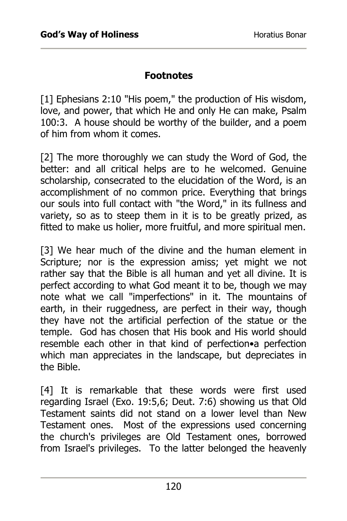## **Footnotes**

[1] Ephesians 2:10 "His poem," the production of His wisdom, love, and power, that which He and only He can make, Psalm 100:3. A house should be worthy of the builder, and a poem of him from whom it comes.

[2] The more thoroughly we can study the Word of God, the better: and all critical helps are to he welcomed. Genuine scholarship, consecrated to the elucidation of the Word, is an accomplishment of no common price. Everything that brings our souls into full contact with "the Word," in its fullness and variety, so as to steep them in it is to be greatly prized, as fitted to make us holier, more fruitful, and more spiritual men.

[3] We hear much of the divine and the human element in Scripture; nor is the expression amiss; yet might we not rather say that the Bible is all human and yet all divine. It is perfect according to what God meant it to be, though we may note what we call "imperfections" in it. The mountains of earth, in their ruggedness, are perfect in their way, though they have not the artificial perfection of the statue or the temple. God has chosen that His book and His world should resemble each other in that kind of perfection•a perfection which man appreciates in the landscape, but depreciates in the Bible.

[4] It is remarkable that these words were first used regarding Israel (Exo. 19:5,6; Deut. 7:6) showing us that Old Testament saints did not stand on a lower level than New Testament ones. Most of the expressions used concerning the church's privileges are Old Testament ones, borrowed from Israel's privileges. To the latter belonged the heavenly